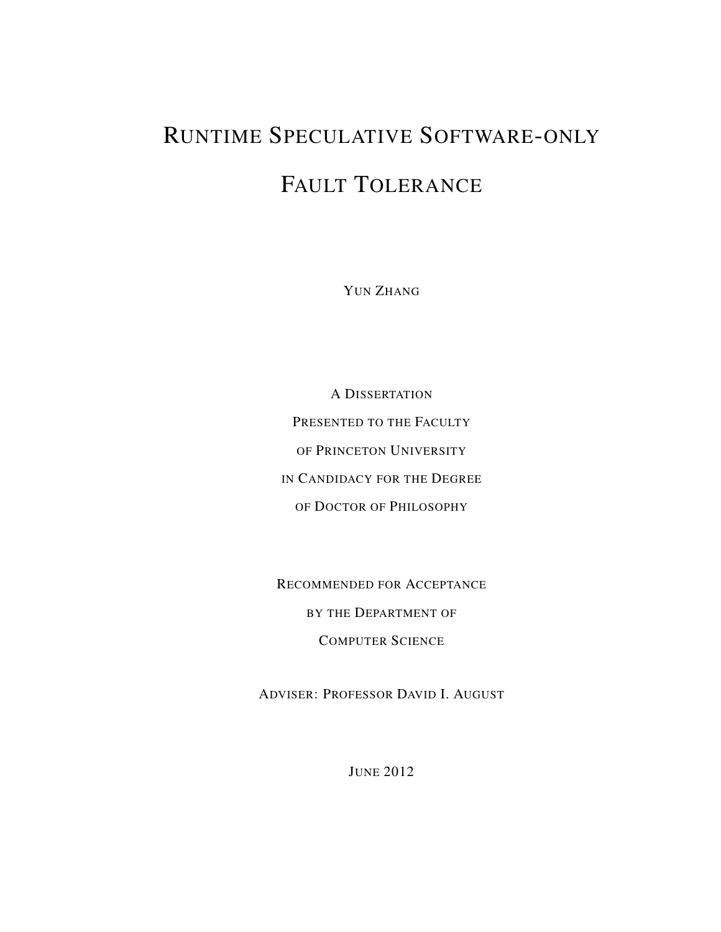# RUNTIME SPECULATIVE SOFTWARE-ONLY FAULT TOLERANCE

YUN ZHANG

A DISSERTATION PRESENTED TO THE FACULTY OF PRINCETON UNIVERSITY IN CANDIDACY FOR THE DEGREE OF DOCTOR OF PHILOSOPHY

RECOMMENDED FOR ACCEPTANCE BY THE DEPARTMENT OF COMPUTER SCIENCE

ADVISER: PROFESSOR DAVID I. AUGUST

JUNE 2012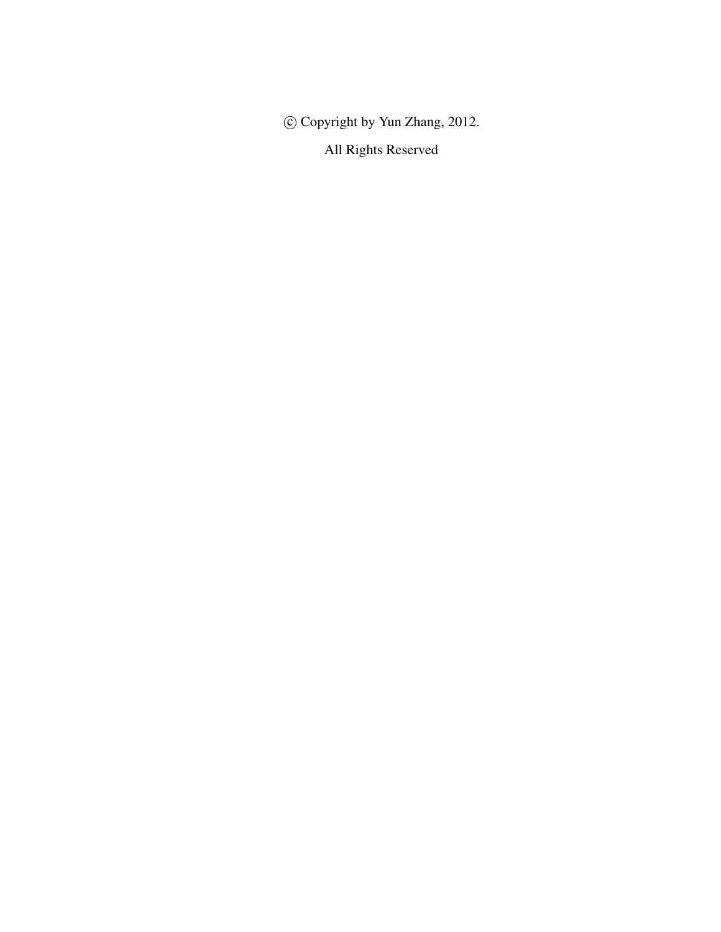c Copyright by Yun Zhang, 2012.

All Rights Reserved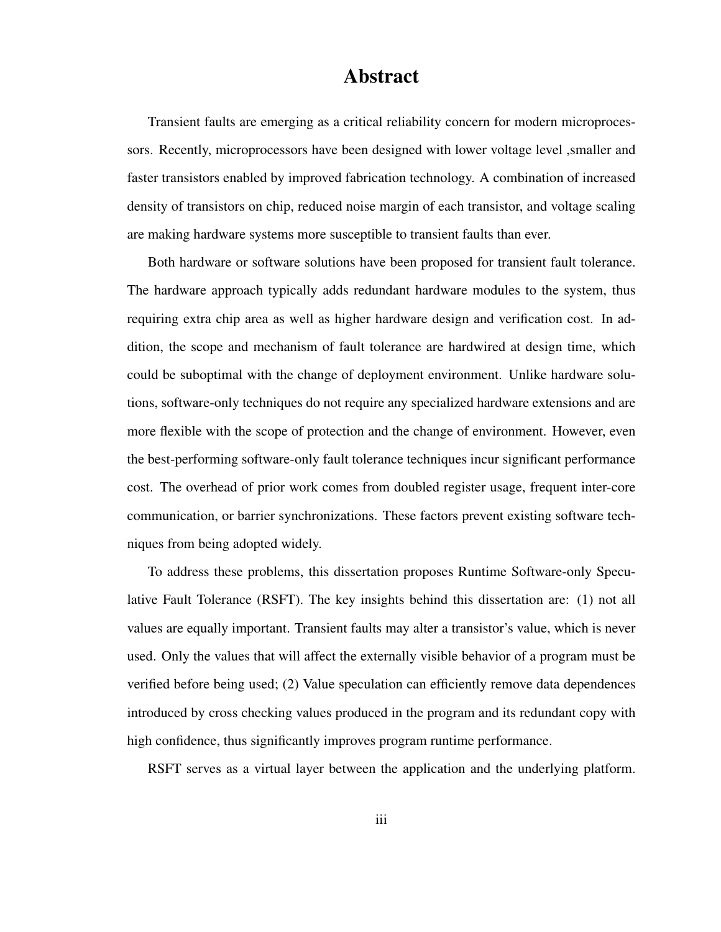#### Abstract

Transient faults are emerging as a critical reliability concern for modern microprocessors. Recently, microprocessors have been designed with lower voltage level ,smaller and faster transistors enabled by improved fabrication technology. A combination of increased density of transistors on chip, reduced noise margin of each transistor, and voltage scaling are making hardware systems more susceptible to transient faults than ever.

Both hardware or software solutions have been proposed for transient fault tolerance. The hardware approach typically adds redundant hardware modules to the system, thus requiring extra chip area as well as higher hardware design and verification cost. In addition, the scope and mechanism of fault tolerance are hardwired at design time, which could be suboptimal with the change of deployment environment. Unlike hardware solutions, software-only techniques do not require any specialized hardware extensions and are more flexible with the scope of protection and the change of environment. However, even the best-performing software-only fault tolerance techniques incur significant performance cost. The overhead of prior work comes from doubled register usage, frequent inter-core communication, or barrier synchronizations. These factors prevent existing software techniques from being adopted widely.

To address these problems, this dissertation proposes Runtime Software-only Speculative Fault Tolerance (RSFT). The key insights behind this dissertation are: (1) not all values are equally important. Transient faults may alter a transistor's value, which is never used. Only the values that will affect the externally visible behavior of a program must be verified before being used; (2) Value speculation can efficiently remove data dependences introduced by cross checking values produced in the program and its redundant copy with high confidence, thus significantly improves program runtime performance.

RSFT serves as a virtual layer between the application and the underlying platform.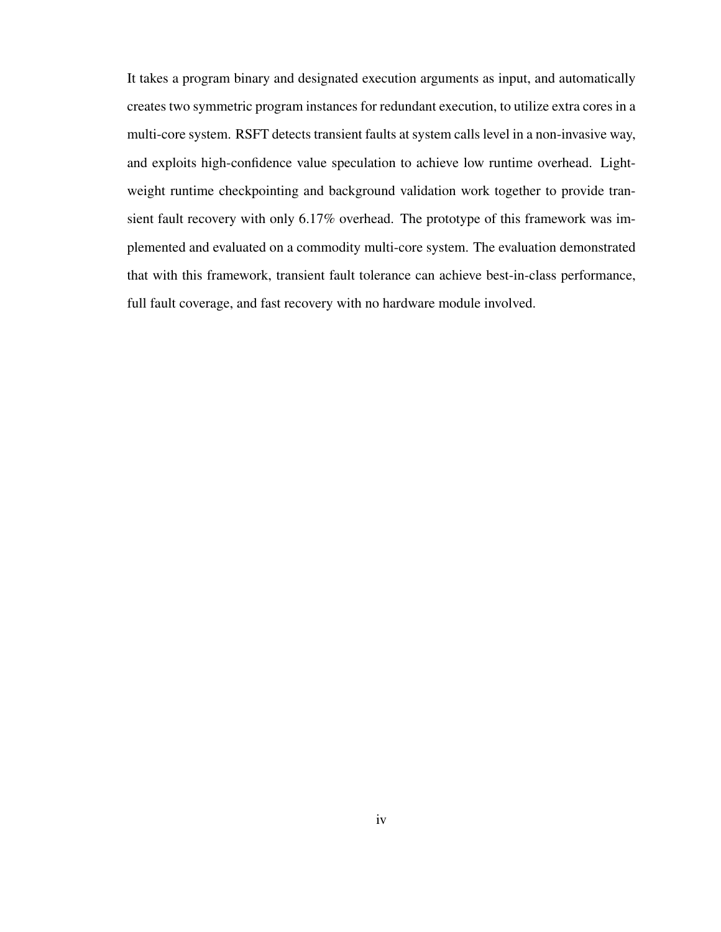It takes a program binary and designated execution arguments as input, and automatically creates two symmetric program instances for redundant execution, to utilize extra cores in a multi-core system. RSFT detects transient faults at system calls level in a non-invasive way, and exploits high-confidence value speculation to achieve low runtime overhead. Lightweight runtime checkpointing and background validation work together to provide transient fault recovery with only 6.17% overhead. The prototype of this framework was implemented and evaluated on a commodity multi-core system. The evaluation demonstrated that with this framework, transient fault tolerance can achieve best-in-class performance, full fault coverage, and fast recovery with no hardware module involved.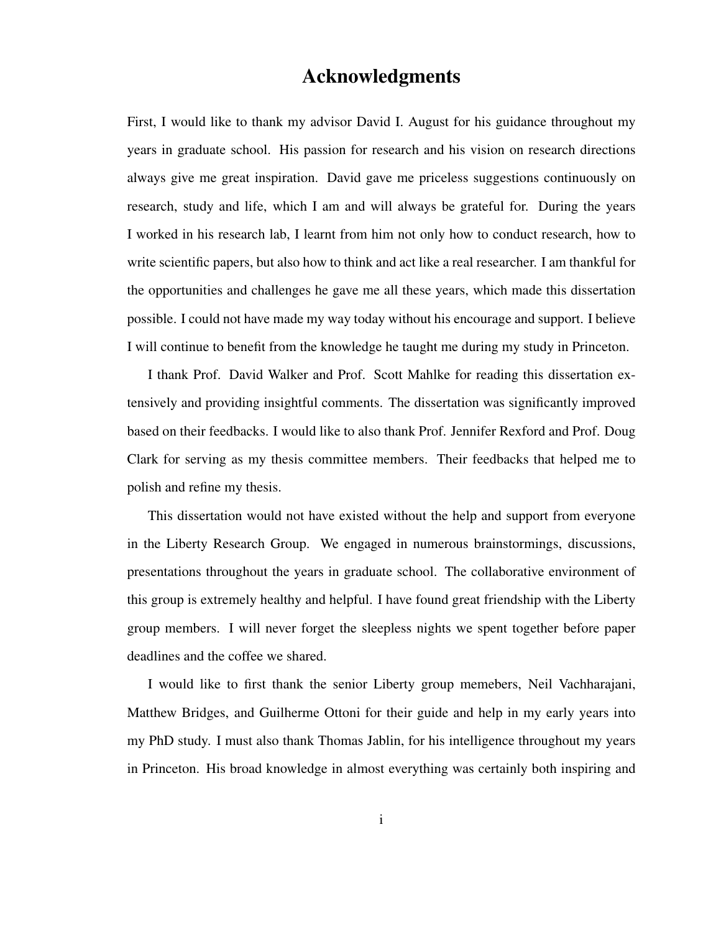#### Acknowledgments

First, I would like to thank my advisor David I. August for his guidance throughout my years in graduate school. His passion for research and his vision on research directions always give me great inspiration. David gave me priceless suggestions continuously on research, study and life, which I am and will always be grateful for. During the years I worked in his research lab, I learnt from him not only how to conduct research, how to write scientific papers, but also how to think and act like a real researcher. I am thankful for the opportunities and challenges he gave me all these years, which made this dissertation possible. I could not have made my way today without his encourage and support. I believe I will continue to benefit from the knowledge he taught me during my study in Princeton.

I thank Prof. David Walker and Prof. Scott Mahlke for reading this dissertation extensively and providing insightful comments. The dissertation was significantly improved based on their feedbacks. I would like to also thank Prof. Jennifer Rexford and Prof. Doug Clark for serving as my thesis committee members. Their feedbacks that helped me to polish and refine my thesis.

This dissertation would not have existed without the help and support from everyone in the Liberty Research Group. We engaged in numerous brainstormings, discussions, presentations throughout the years in graduate school. The collaborative environment of this group is extremely healthy and helpful. I have found great friendship with the Liberty group members. I will never forget the sleepless nights we spent together before paper deadlines and the coffee we shared.

I would like to first thank the senior Liberty group memebers, Neil Vachharajani, Matthew Bridges, and Guilherme Ottoni for their guide and help in my early years into my PhD study. I must also thank Thomas Jablin, for his intelligence throughout my years in Princeton. His broad knowledge in almost everything was certainly both inspiring and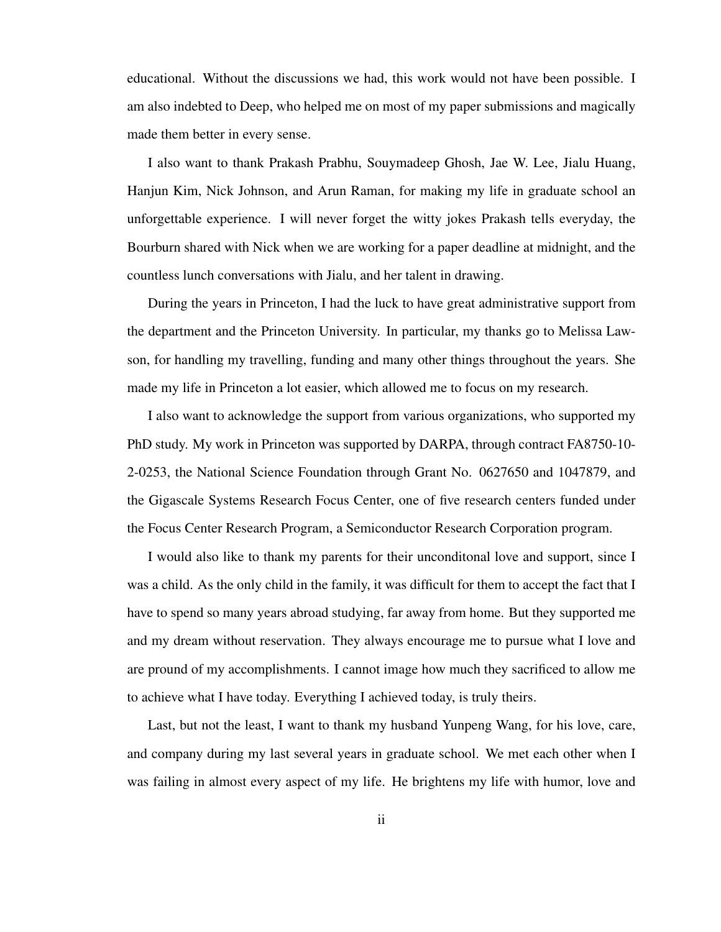educational. Without the discussions we had, this work would not have been possible. I am also indebted to Deep, who helped me on most of my paper submissions and magically made them better in every sense.

I also want to thank Prakash Prabhu, Souymadeep Ghosh, Jae W. Lee, Jialu Huang, Hanjun Kim, Nick Johnson, and Arun Raman, for making my life in graduate school an unforgettable experience. I will never forget the witty jokes Prakash tells everyday, the Bourburn shared with Nick when we are working for a paper deadline at midnight, and the countless lunch conversations with Jialu, and her talent in drawing.

During the years in Princeton, I had the luck to have great administrative support from the department and the Princeton University. In particular, my thanks go to Melissa Lawson, for handling my travelling, funding and many other things throughout the years. She made my life in Princeton a lot easier, which allowed me to focus on my research.

I also want to acknowledge the support from various organizations, who supported my PhD study. My work in Princeton was supported by DARPA, through contract FA8750-10- 2-0253, the National Science Foundation through Grant No. 0627650 and 1047879, and the Gigascale Systems Research Focus Center, one of five research centers funded under the Focus Center Research Program, a Semiconductor Research Corporation program.

I would also like to thank my parents for their unconditonal love and support, since I was a child. As the only child in the family, it was difficult for them to accept the fact that I have to spend so many years abroad studying, far away from home. But they supported me and my dream without reservation. They always encourage me to pursue what I love and are pround of my accomplishments. I cannot image how much they sacrificed to allow me to achieve what I have today. Everything I achieved today, is truly theirs.

Last, but not the least, I want to thank my husband Yunpeng Wang, for his love, care, and company during my last several years in graduate school. We met each other when I was failing in almost every aspect of my life. He brightens my life with humor, love and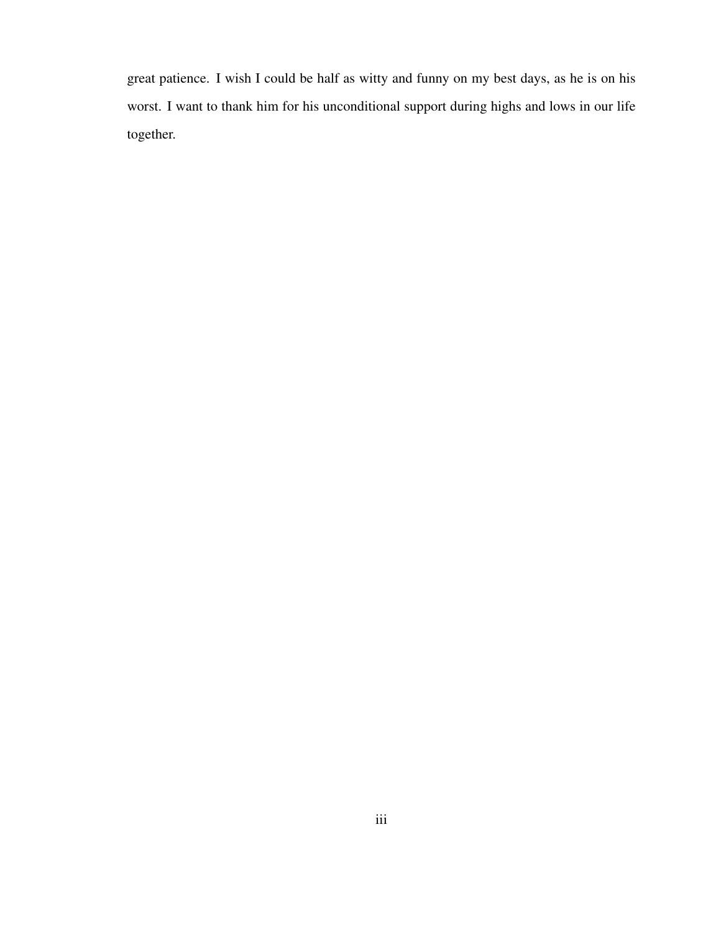great patience. I wish I could be half as witty and funny on my best days, as he is on his worst. I want to thank him for his unconditional support during highs and lows in our life together.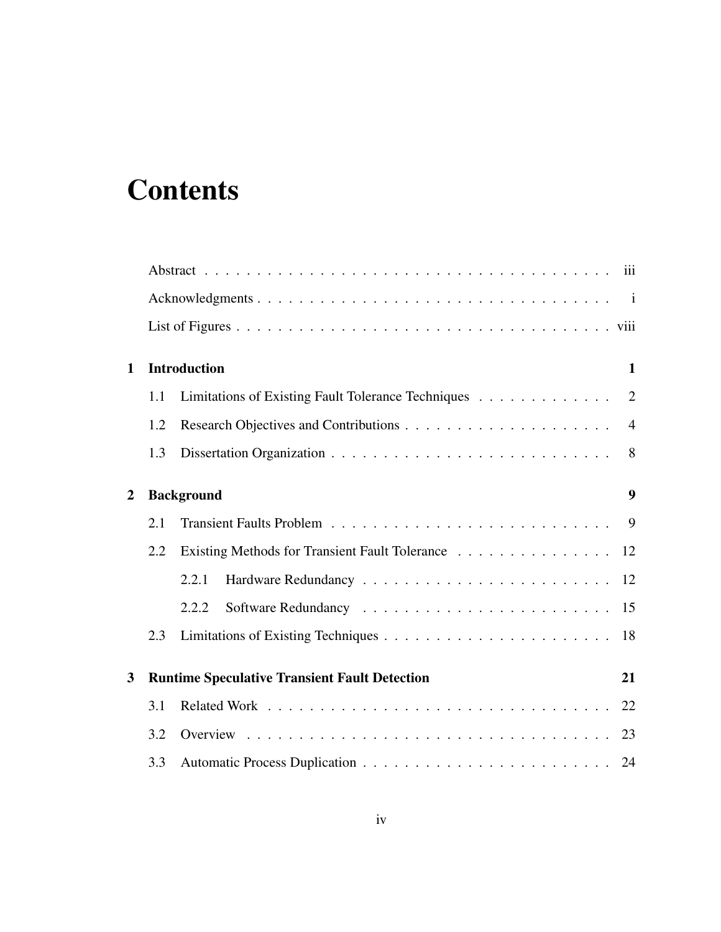## **Contents**

| $\mathbf{1}$   |     | <b>Introduction</b>                                  | 1                |  |  |  |  |  |  |  |  |
|----------------|-----|------------------------------------------------------|------------------|--|--|--|--|--|--|--|--|
|                | 1.1 | Limitations of Existing Fault Tolerance Techniques   | $\overline{2}$   |  |  |  |  |  |  |  |  |
|                | 1.2 |                                                      | $\overline{4}$   |  |  |  |  |  |  |  |  |
|                | 1.3 |                                                      | 8                |  |  |  |  |  |  |  |  |
| $\overline{2}$ |     | <b>Background</b>                                    | $\boldsymbol{9}$ |  |  |  |  |  |  |  |  |
|                | 2.1 |                                                      |                  |  |  |  |  |  |  |  |  |
|                | 2.2 | Existing Methods for Transient Fault Tolerance 12    |                  |  |  |  |  |  |  |  |  |
|                |     | 2.2.1                                                |                  |  |  |  |  |  |  |  |  |
|                |     | 2.2.2                                                |                  |  |  |  |  |  |  |  |  |
|                | 2.3 |                                                      | 18               |  |  |  |  |  |  |  |  |
| 3              |     | <b>Runtime Speculative Transient Fault Detection</b> | 21               |  |  |  |  |  |  |  |  |
|                | 3.1 |                                                      | 22               |  |  |  |  |  |  |  |  |
|                | 3.2 |                                                      | 23               |  |  |  |  |  |  |  |  |
|                | 3.3 |                                                      |                  |  |  |  |  |  |  |  |  |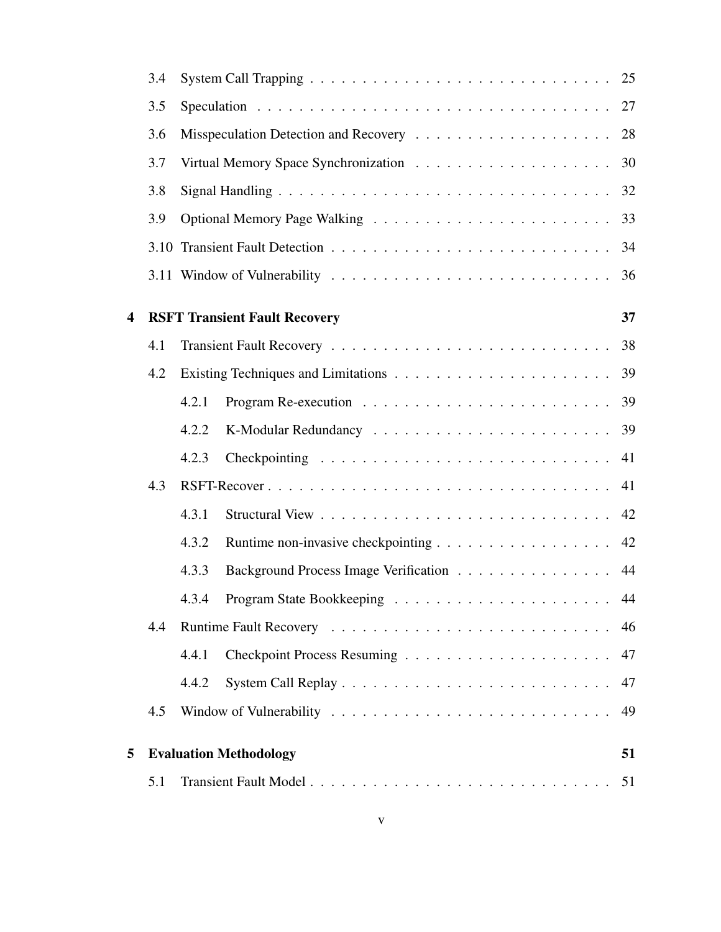|                         | 3.4 |       |                                       | 25 |
|-------------------------|-----|-------|---------------------------------------|----|
|                         | 3.5 |       |                                       | 27 |
|                         | 3.6 |       |                                       | 28 |
|                         | 3.7 |       |                                       | 30 |
|                         | 3.8 |       |                                       | 32 |
|                         | 3.9 |       |                                       | 33 |
|                         |     |       |                                       | 34 |
|                         |     |       |                                       | 36 |
| $\overline{\mathbf{4}}$ |     |       | <b>RSFT Transient Fault Recovery</b>  | 37 |
|                         | 4.1 |       |                                       | 38 |
|                         | 4.2 |       |                                       | 39 |
|                         |     | 4.2.1 |                                       | 39 |
|                         |     | 4.2.2 |                                       | 39 |
|                         |     | 4.2.3 |                                       | 41 |
|                         | 4.3 |       |                                       | 41 |
|                         |     | 4.3.1 |                                       | 42 |
|                         |     | 4.3.2 |                                       | 42 |
|                         |     | 4.3.3 | Background Process Image Verification | 44 |
|                         |     | 4.3.4 |                                       |    |
|                         | 4.4 |       |                                       | 46 |
|                         |     | 4.4.1 |                                       | 47 |
|                         |     | 4.4.2 |                                       | 47 |
|                         | 4.5 |       |                                       | 49 |
| 5                       |     |       | <b>Evaluation Methodology</b>         | 51 |
|                         | 5.1 |       |                                       |    |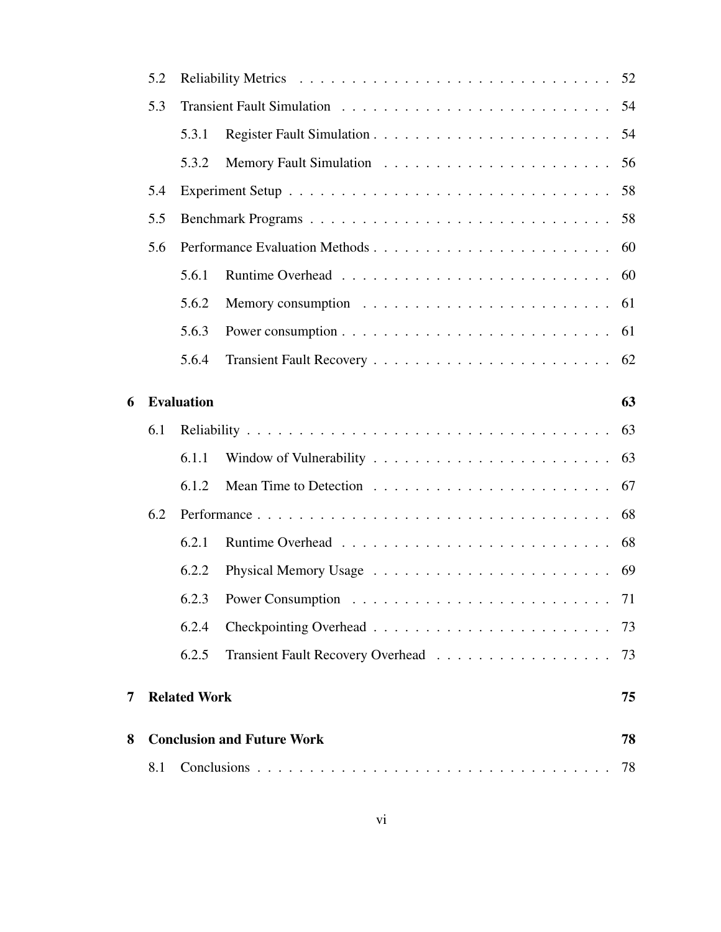|   | 5.2 |                     |                                                                                    | 52 |  |  |  |  |  |  |  |
|---|-----|---------------------|------------------------------------------------------------------------------------|----|--|--|--|--|--|--|--|
|   | 5.3 |                     |                                                                                    |    |  |  |  |  |  |  |  |
|   |     | 5.3.1               |                                                                                    |    |  |  |  |  |  |  |  |
|   |     | 5.3.2               |                                                                                    | 56 |  |  |  |  |  |  |  |
|   | 5.4 |                     |                                                                                    | 58 |  |  |  |  |  |  |  |
|   | 5.5 |                     |                                                                                    | 58 |  |  |  |  |  |  |  |
|   | 5.6 |                     |                                                                                    |    |  |  |  |  |  |  |  |
|   |     | 5.6.1               |                                                                                    | 60 |  |  |  |  |  |  |  |
|   |     | 5.6.2               |                                                                                    |    |  |  |  |  |  |  |  |
|   |     | 5.6.3               | Power consumption $\ldots \ldots \ldots \ldots \ldots \ldots \ldots \ldots \ldots$ | 61 |  |  |  |  |  |  |  |
|   |     | 5.6.4               |                                                                                    |    |  |  |  |  |  |  |  |
| 6 |     | <b>Evaluation</b>   |                                                                                    | 63 |  |  |  |  |  |  |  |
|   | 6.1 |                     |                                                                                    | 63 |  |  |  |  |  |  |  |
|   |     | 6.1.1               |                                                                                    |    |  |  |  |  |  |  |  |
|   |     | 6.1.2               |                                                                                    |    |  |  |  |  |  |  |  |
|   | 6.2 |                     |                                                                                    | 68 |  |  |  |  |  |  |  |
|   |     | 6.2.1               |                                                                                    | 68 |  |  |  |  |  |  |  |
|   |     | 6.2.2               |                                                                                    | 69 |  |  |  |  |  |  |  |
|   |     |                     |                                                                                    | 71 |  |  |  |  |  |  |  |
|   |     | 6.2.4               |                                                                                    | 73 |  |  |  |  |  |  |  |
|   |     | 6.2.5               |                                                                                    | 73 |  |  |  |  |  |  |  |
| 7 |     | <b>Related Work</b> |                                                                                    | 75 |  |  |  |  |  |  |  |
| 8 |     |                     | <b>Conclusion and Future Work</b>                                                  | 78 |  |  |  |  |  |  |  |
|   | 8.1 | 78                  |                                                                                    |    |  |  |  |  |  |  |  |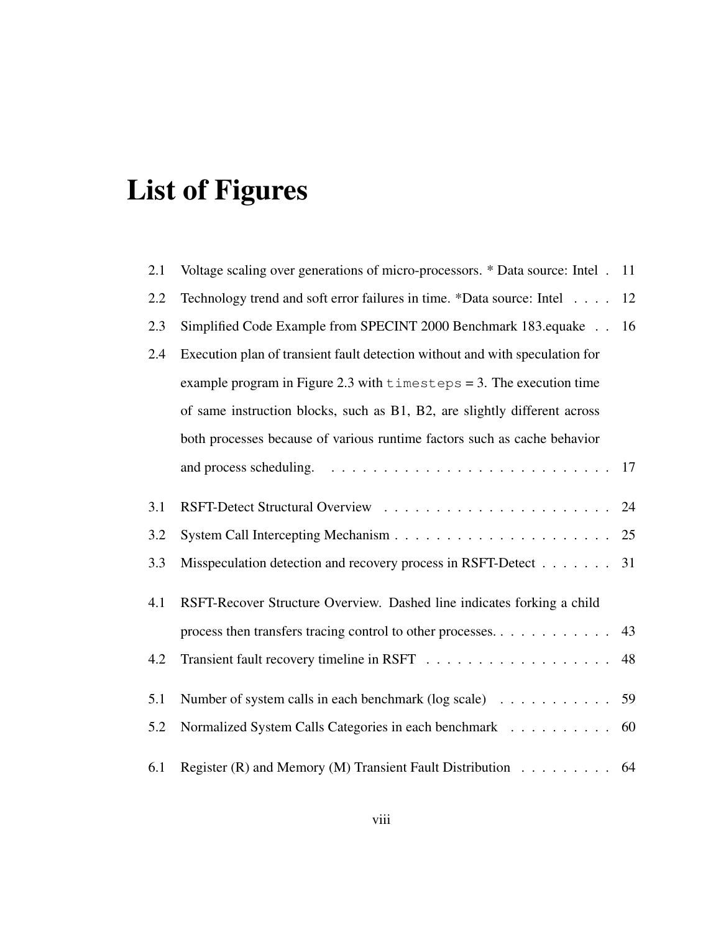# List of Figures

| 2.1 | Voltage scaling over generations of micro-processors. * Data source: Intel . 11    |    |
|-----|------------------------------------------------------------------------------------|----|
| 2.2 | Technology trend and soft error failures in time. *Data source: Intel              | 12 |
| 2.3 | Simplified Code Example from SPECINT 2000 Benchmark 183.equake                     | 16 |
| 2.4 | Execution plan of transient fault detection without and with speculation for       |    |
|     | example program in Figure 2.3 with $t$ imesteps = 3. The execution time            |    |
|     | of same instruction blocks, such as B1, B2, are slightly different across          |    |
|     | both processes because of various runtime factors such as cache behavior           |    |
|     |                                                                                    |    |
| 3.1 |                                                                                    | 24 |
| 3.2 |                                                                                    |    |
| 3.3 | Misspeculation detection and recovery process in RSFT-Detect 31                    |    |
| 4.1 | RSFT-Recover Structure Overview. Dashed line indicates forking a child             |    |
|     | process then transfers tracing control to other processes                          | 43 |
| 4.2 |                                                                                    | 48 |
| 5.1 | Number of system calls in each benchmark (log scale) $\ldots \ldots \ldots$ 59     |    |
| 5.2 | Normalized System Calls Categories in each benchmark                               | 60 |
| 6.1 | Register (R) and Memory (M) Transient Fault Distribution $\ldots \ldots \ldots$ 64 |    |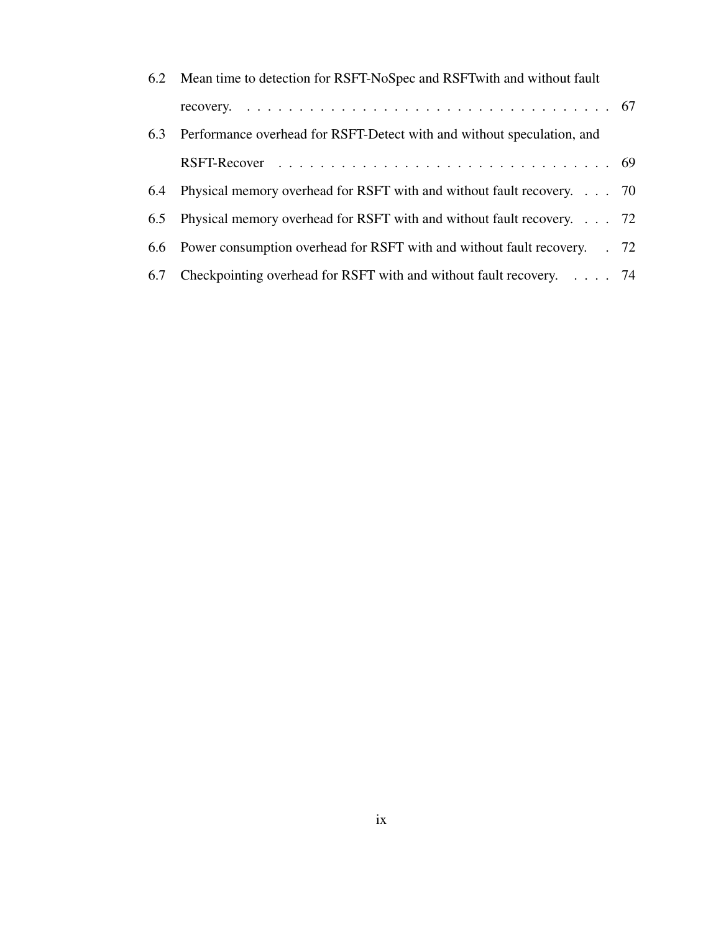|     | 6.2 Mean time to detection for RSFT-NoSpec and RSFT with and without fault    |  |
|-----|-------------------------------------------------------------------------------|--|
|     |                                                                               |  |
|     | 6.3 Performance overhead for RSFT-Detect with and without speculation, and    |  |
|     |                                                                               |  |
| 6.4 | Physical memory overhead for RSFT with and without fault recovery. 70         |  |
|     | 6.5 Physical memory overhead for RSFT with and without fault recovery 72      |  |
|     | 6.6 Power consumption overhead for RSFT with and without fault recovery. . 72 |  |
|     | 6.7 Checkpointing overhead for RSFT with and without fault recovery. 74       |  |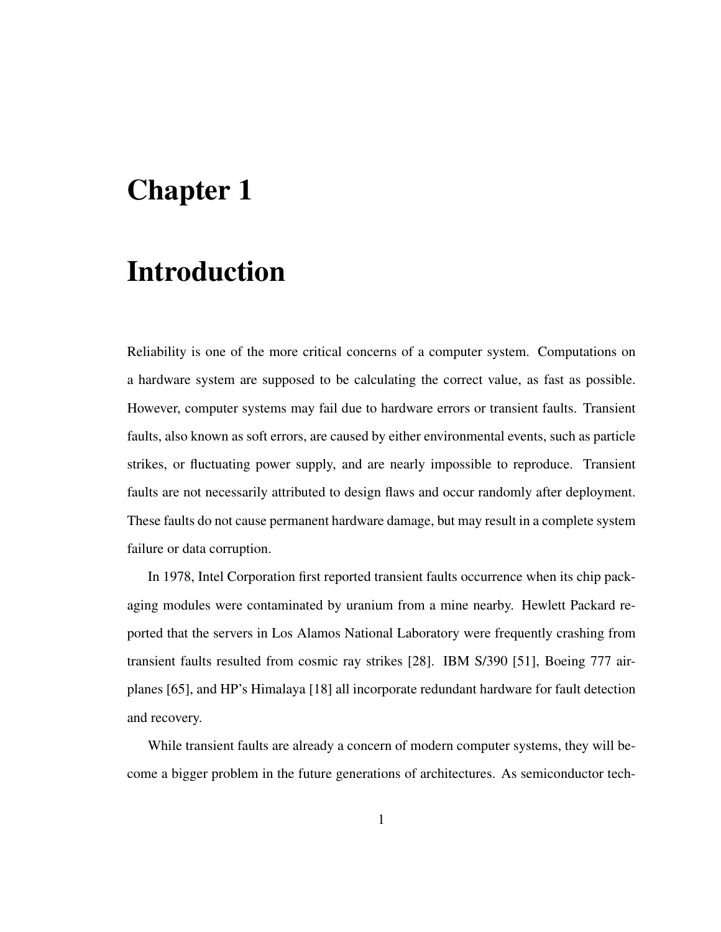### Chapter 1

### Introduction

Reliability is one of the more critical concerns of a computer system. Computations on a hardware system are supposed to be calculating the correct value, as fast as possible. However, computer systems may fail due to hardware errors or transient faults. Transient faults, also known as soft errors, are caused by either environmental events, such as particle strikes, or fluctuating power supply, and are nearly impossible to reproduce. Transient faults are not necessarily attributed to design flaws and occur randomly after deployment. These faults do not cause permanent hardware damage, but may result in a complete system failure or data corruption.

In 1978, Intel Corporation first reported transient faults occurrence when its chip packaging modules were contaminated by uranium from a mine nearby. Hewlett Packard reported that the servers in Los Alamos National Laboratory were frequently crashing from transient faults resulted from cosmic ray strikes [28]. IBM S/390 [51], Boeing 777 airplanes [65], and HP's Himalaya [18] all incorporate redundant hardware for fault detection and recovery.

While transient faults are already a concern of modern computer systems, they will become a bigger problem in the future generations of architectures. As semiconductor tech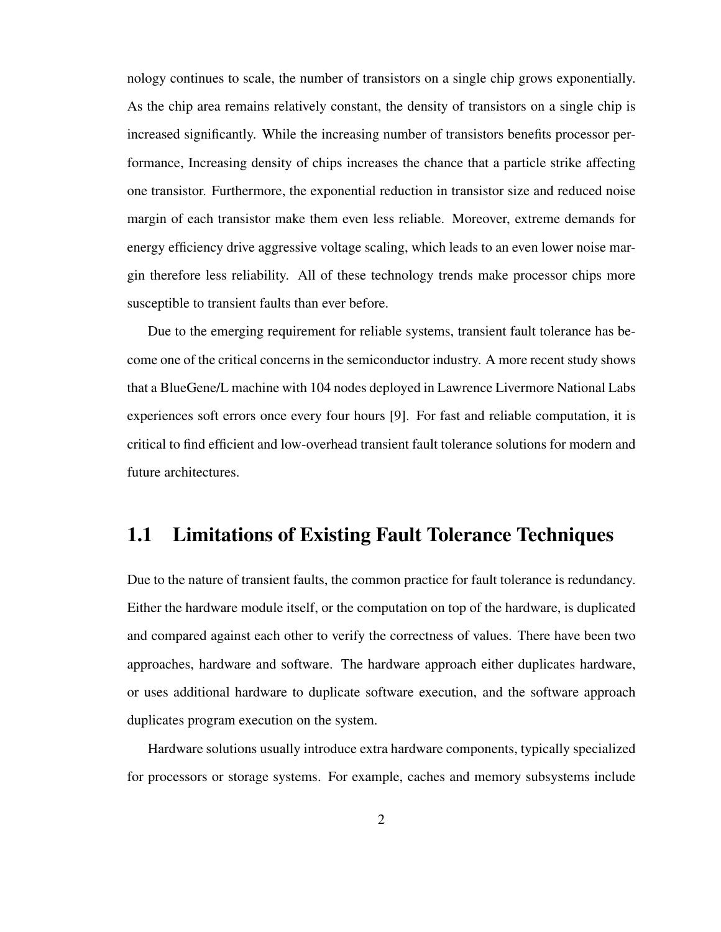nology continues to scale, the number of transistors on a single chip grows exponentially. As the chip area remains relatively constant, the density of transistors on a single chip is increased significantly. While the increasing number of transistors benefits processor performance, Increasing density of chips increases the chance that a particle strike affecting one transistor. Furthermore, the exponential reduction in transistor size and reduced noise margin of each transistor make them even less reliable. Moreover, extreme demands for energy efficiency drive aggressive voltage scaling, which leads to an even lower noise margin therefore less reliability. All of these technology trends make processor chips more susceptible to transient faults than ever before.

Due to the emerging requirement for reliable systems, transient fault tolerance has become one of the critical concerns in the semiconductor industry. A more recent study shows that a BlueGene/L machine with 104 nodes deployed in Lawrence Livermore National Labs experiences soft errors once every four hours [9]. For fast and reliable computation, it is critical to find efficient and low-overhead transient fault tolerance solutions for modern and future architectures.

### 1.1 Limitations of Existing Fault Tolerance Techniques

Due to the nature of transient faults, the common practice for fault tolerance is redundancy. Either the hardware module itself, or the computation on top of the hardware, is duplicated and compared against each other to verify the correctness of values. There have been two approaches, hardware and software. The hardware approach either duplicates hardware, or uses additional hardware to duplicate software execution, and the software approach duplicates program execution on the system.

Hardware solutions usually introduce extra hardware components, typically specialized for processors or storage systems. For example, caches and memory subsystems include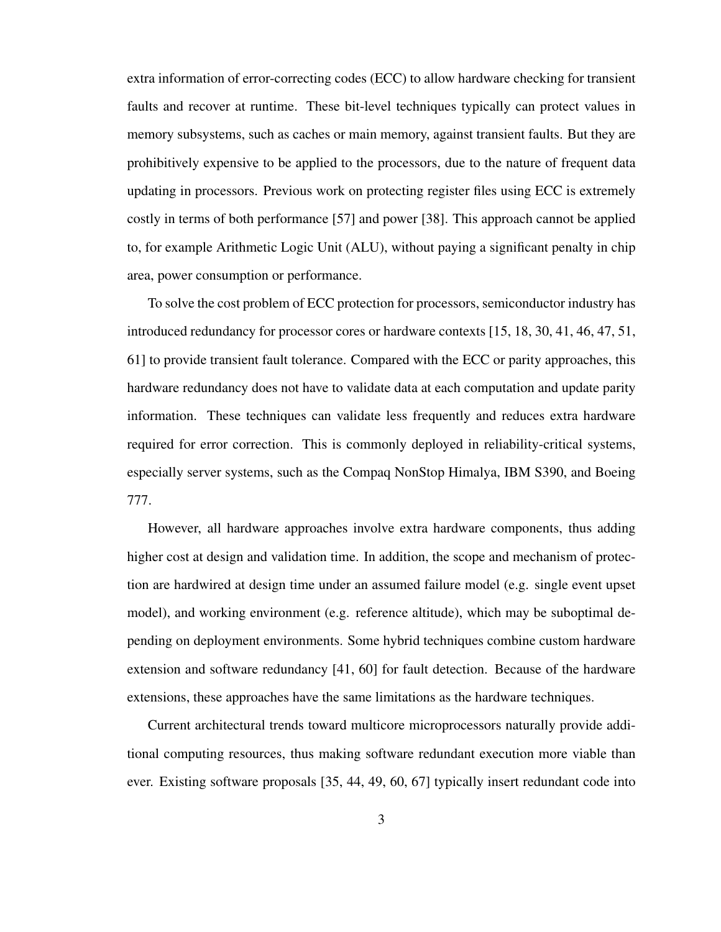extra information of error-correcting codes (ECC) to allow hardware checking for transient faults and recover at runtime. These bit-level techniques typically can protect values in memory subsystems, such as caches or main memory, against transient faults. But they are prohibitively expensive to be applied to the processors, due to the nature of frequent data updating in processors. Previous work on protecting register files using ECC is extremely costly in terms of both performance [57] and power [38]. This approach cannot be applied to, for example Arithmetic Logic Unit (ALU), without paying a significant penalty in chip area, power consumption or performance.

To solve the cost problem of ECC protection for processors, semiconductor industry has introduced redundancy for processor cores or hardware contexts [15, 18, 30, 41, 46, 47, 51, 61] to provide transient fault tolerance. Compared with the ECC or parity approaches, this hardware redundancy does not have to validate data at each computation and update parity information. These techniques can validate less frequently and reduces extra hardware required for error correction. This is commonly deployed in reliability-critical systems, especially server systems, such as the Compaq NonStop Himalya, IBM S390, and Boeing 777.

However, all hardware approaches involve extra hardware components, thus adding higher cost at design and validation time. In addition, the scope and mechanism of protection are hardwired at design time under an assumed failure model (e.g. single event upset model), and working environment (e.g. reference altitude), which may be suboptimal depending on deployment environments. Some hybrid techniques combine custom hardware extension and software redundancy [41, 60] for fault detection. Because of the hardware extensions, these approaches have the same limitations as the hardware techniques.

Current architectural trends toward multicore microprocessors naturally provide additional computing resources, thus making software redundant execution more viable than ever. Existing software proposals [35, 44, 49, 60, 67] typically insert redundant code into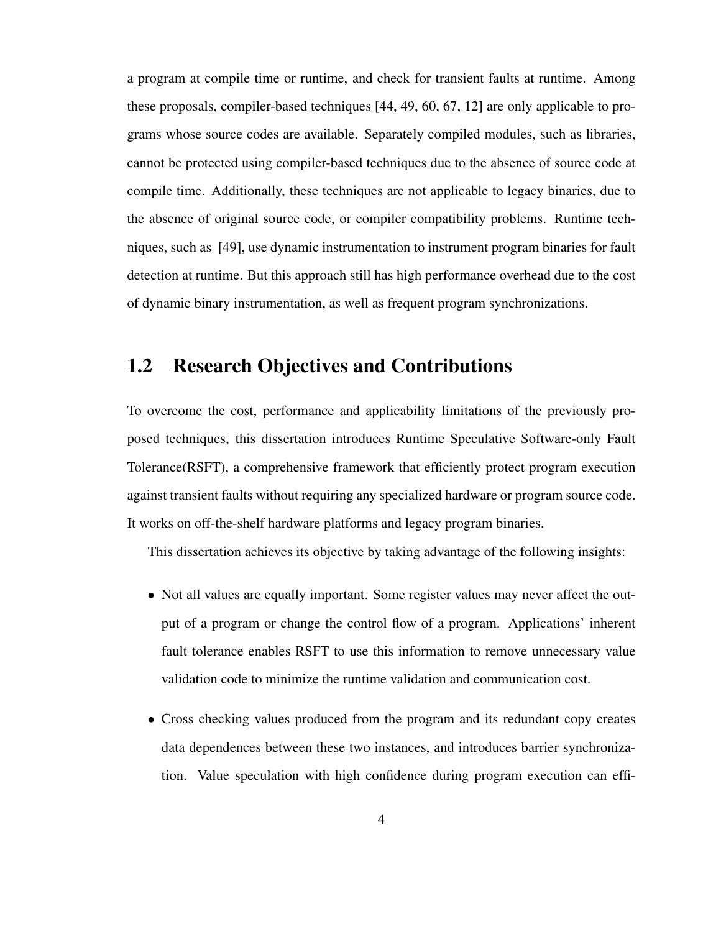a program at compile time or runtime, and check for transient faults at runtime. Among these proposals, compiler-based techniques [44, 49, 60, 67, 12] are only applicable to programs whose source codes are available. Separately compiled modules, such as libraries, cannot be protected using compiler-based techniques due to the absence of source code at compile time. Additionally, these techniques are not applicable to legacy binaries, due to the absence of original source code, or compiler compatibility problems. Runtime techniques, such as [49], use dynamic instrumentation to instrument program binaries for fault detection at runtime. But this approach still has high performance overhead due to the cost of dynamic binary instrumentation, as well as frequent program synchronizations.

### 1.2 Research Objectives and Contributions

To overcome the cost, performance and applicability limitations of the previously proposed techniques, this dissertation introduces Runtime Speculative Software-only Fault Tolerance(RSFT), a comprehensive framework that efficiently protect program execution against transient faults without requiring any specialized hardware or program source code. It works on off-the-shelf hardware platforms and legacy program binaries.

This dissertation achieves its objective by taking advantage of the following insights:

- Not all values are equally important. Some register values may never affect the output of a program or change the control flow of a program. Applications' inherent fault tolerance enables RSFT to use this information to remove unnecessary value validation code to minimize the runtime validation and communication cost.
- Cross checking values produced from the program and its redundant copy creates data dependences between these two instances, and introduces barrier synchronization. Value speculation with high confidence during program execution can effi-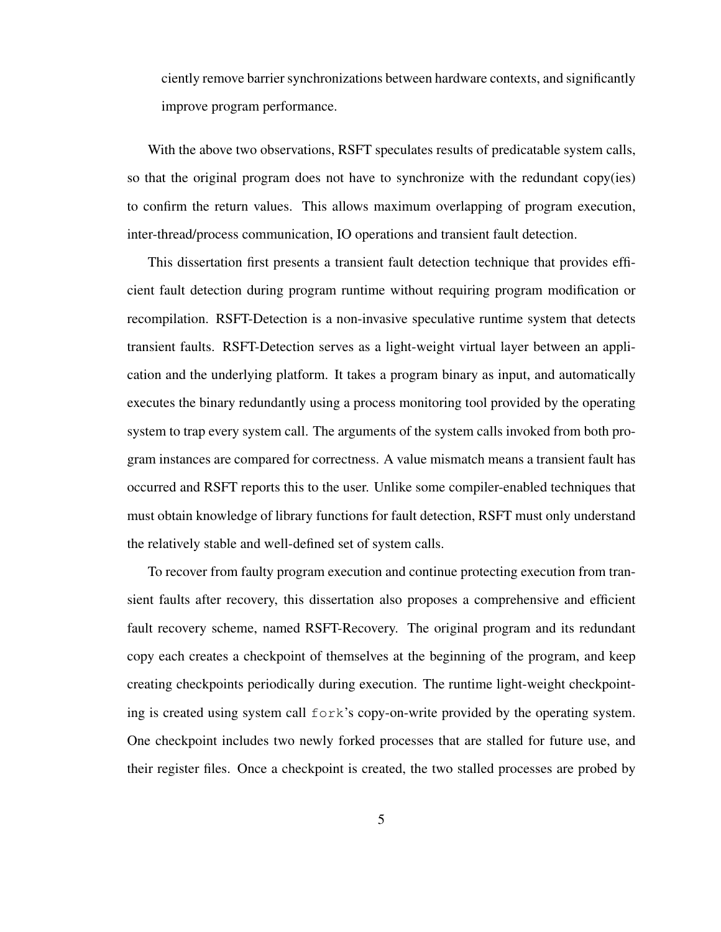ciently remove barrier synchronizations between hardware contexts, and significantly improve program performance.

With the above two observations, RSFT speculates results of predicatable system calls, so that the original program does not have to synchronize with the redundant copy(ies) to confirm the return values. This allows maximum overlapping of program execution, inter-thread/process communication, IO operations and transient fault detection.

This dissertation first presents a transient fault detection technique that provides efficient fault detection during program runtime without requiring program modification or recompilation. RSFT-Detection is a non-invasive speculative runtime system that detects transient faults. RSFT-Detection serves as a light-weight virtual layer between an application and the underlying platform. It takes a program binary as input, and automatically executes the binary redundantly using a process monitoring tool provided by the operating system to trap every system call. The arguments of the system calls invoked from both program instances are compared for correctness. A value mismatch means a transient fault has occurred and RSFT reports this to the user. Unlike some compiler-enabled techniques that must obtain knowledge of library functions for fault detection, RSFT must only understand the relatively stable and well-defined set of system calls.

To recover from faulty program execution and continue protecting execution from transient faults after recovery, this dissertation also proposes a comprehensive and efficient fault recovery scheme, named RSFT-Recovery. The original program and its redundant copy each creates a checkpoint of themselves at the beginning of the program, and keep creating checkpoints periodically during execution. The runtime light-weight checkpointing is created using system call fork's copy-on-write provided by the operating system. One checkpoint includes two newly forked processes that are stalled for future use, and their register files. Once a checkpoint is created, the two stalled processes are probed by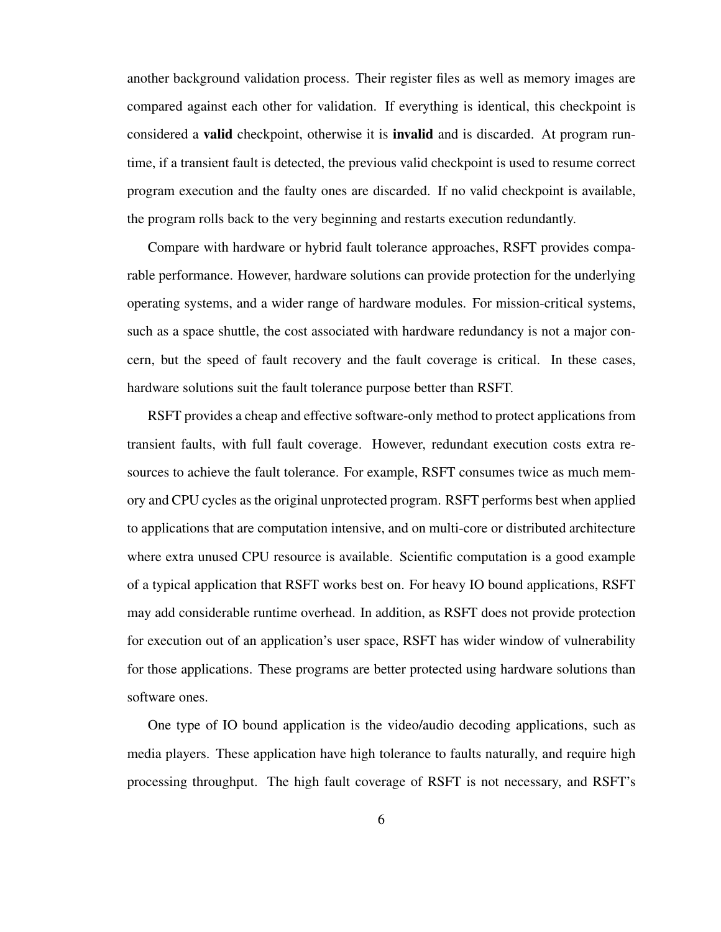another background validation process. Their register files as well as memory images are compared against each other for validation. If everything is identical, this checkpoint is considered a valid checkpoint, otherwise it is invalid and is discarded. At program runtime, if a transient fault is detected, the previous valid checkpoint is used to resume correct program execution and the faulty ones are discarded. If no valid checkpoint is available, the program rolls back to the very beginning and restarts execution redundantly.

Compare with hardware or hybrid fault tolerance approaches, RSFT provides comparable performance. However, hardware solutions can provide protection for the underlying operating systems, and a wider range of hardware modules. For mission-critical systems, such as a space shuttle, the cost associated with hardware redundancy is not a major concern, but the speed of fault recovery and the fault coverage is critical. In these cases, hardware solutions suit the fault tolerance purpose better than RSFT.

RSFT provides a cheap and effective software-only method to protect applications from transient faults, with full fault coverage. However, redundant execution costs extra resources to achieve the fault tolerance. For example, RSFT consumes twice as much memory and CPU cycles as the original unprotected program. RSFT performs best when applied to applications that are computation intensive, and on multi-core or distributed architecture where extra unused CPU resource is available. Scientific computation is a good example of a typical application that RSFT works best on. For heavy IO bound applications, RSFT may add considerable runtime overhead. In addition, as RSFT does not provide protection for execution out of an application's user space, RSFT has wider window of vulnerability for those applications. These programs are better protected using hardware solutions than software ones.

One type of IO bound application is the video/audio decoding applications, such as media players. These application have high tolerance to faults naturally, and require high processing throughput. The high fault coverage of RSFT is not necessary, and RSFT's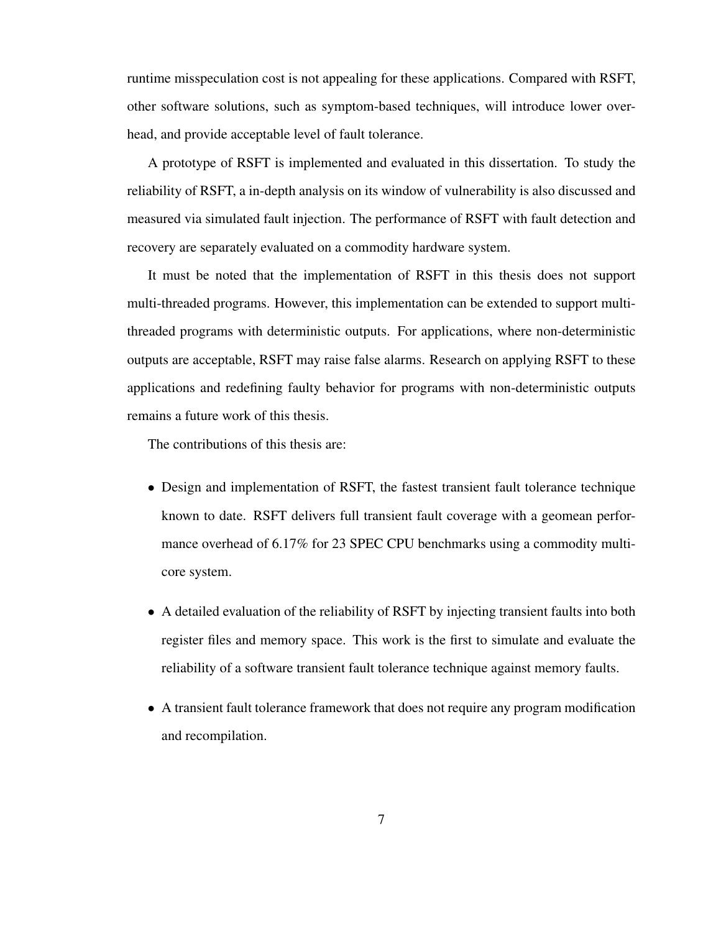runtime misspeculation cost is not appealing for these applications. Compared with RSFT, other software solutions, such as symptom-based techniques, will introduce lower overhead, and provide acceptable level of fault tolerance.

A prototype of RSFT is implemented and evaluated in this dissertation. To study the reliability of RSFT, a in-depth analysis on its window of vulnerability is also discussed and measured via simulated fault injection. The performance of RSFT with fault detection and recovery are separately evaluated on a commodity hardware system.

It must be noted that the implementation of RSFT in this thesis does not support multi-threaded programs. However, this implementation can be extended to support multithreaded programs with deterministic outputs. For applications, where non-deterministic outputs are acceptable, RSFT may raise false alarms. Research on applying RSFT to these applications and redefining faulty behavior for programs with non-deterministic outputs remains a future work of this thesis.

The contributions of this thesis are:

- Design and implementation of RSFT, the fastest transient fault tolerance technique known to date. RSFT delivers full transient fault coverage with a geomean performance overhead of 6.17% for 23 SPEC CPU benchmarks using a commodity multicore system.
- A detailed evaluation of the reliability of RSFT by injecting transient faults into both register files and memory space. This work is the first to simulate and evaluate the reliability of a software transient fault tolerance technique against memory faults.
- A transient fault tolerance framework that does not require any program modification and recompilation.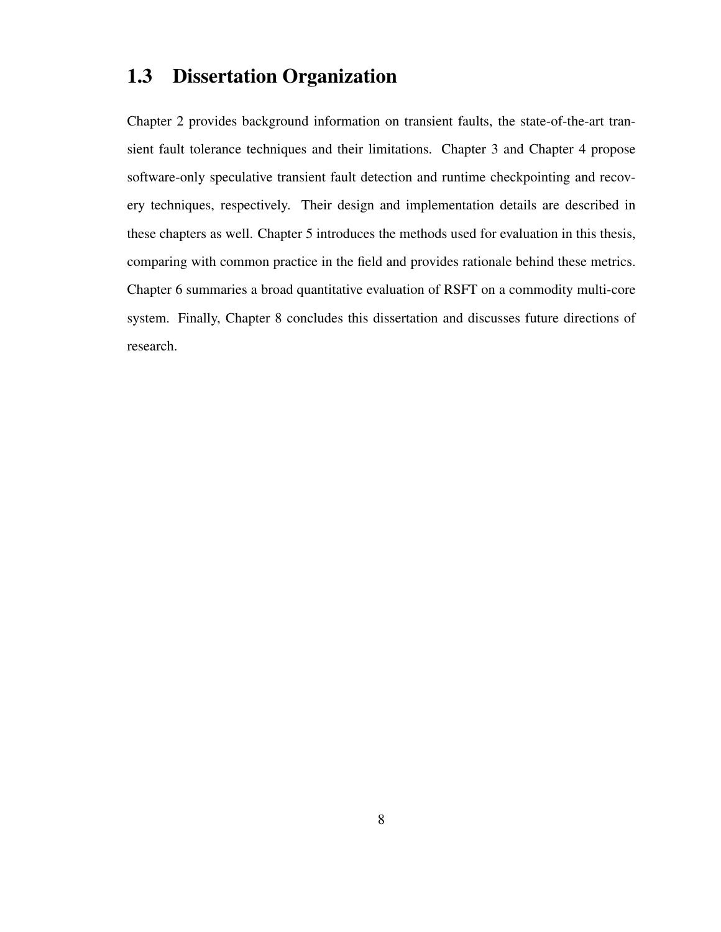### 1.3 Dissertation Organization

Chapter 2 provides background information on transient faults, the state-of-the-art transient fault tolerance techniques and their limitations. Chapter 3 and Chapter 4 propose software-only speculative transient fault detection and runtime checkpointing and recovery techniques, respectively. Their design and implementation details are described in these chapters as well. Chapter 5 introduces the methods used for evaluation in this thesis, comparing with common practice in the field and provides rationale behind these metrics. Chapter 6 summaries a broad quantitative evaluation of RSFT on a commodity multi-core system. Finally, Chapter 8 concludes this dissertation and discusses future directions of research.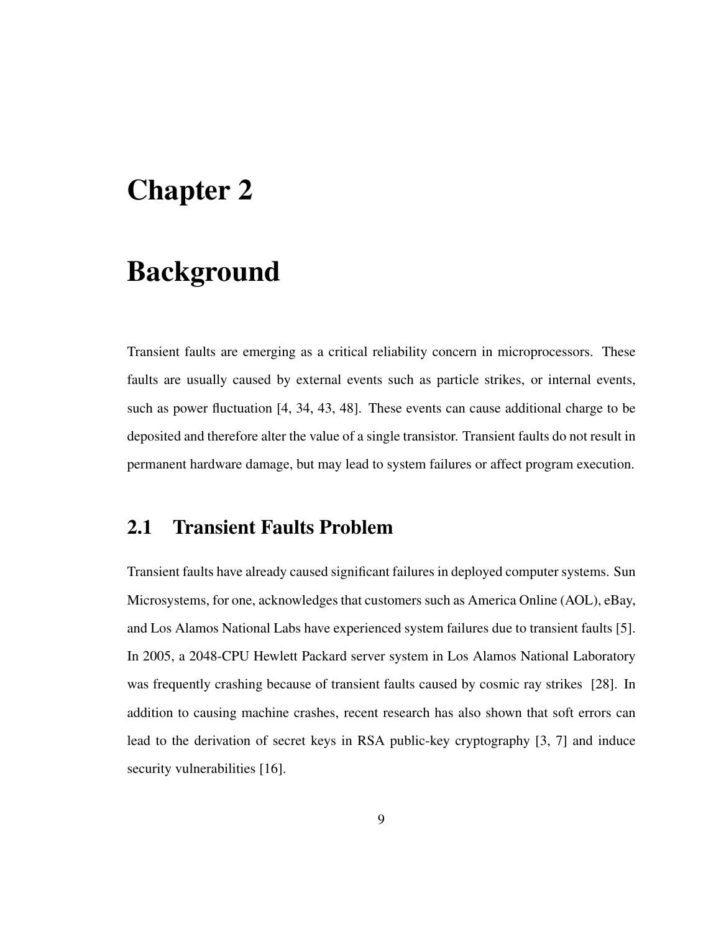### Chapter 2

### Background

Transient faults are emerging as a critical reliability concern in microprocessors. These faults are usually caused by external events such as particle strikes, or internal events, such as power fluctuation [4, 34, 43, 48]. These events can cause additional charge to be deposited and therefore alter the value of a single transistor. Transient faults do not result in permanent hardware damage, but may lead to system failures or affect program execution.

### 2.1 Transient Faults Problem

Transient faults have already caused significant failures in deployed computer systems. Sun Microsystems, for one, acknowledges that customers such as America Online (AOL), eBay, and Los Alamos National Labs have experienced system failures due to transient faults [5]. In 2005, a 2048-CPU Hewlett Packard server system in Los Alamos National Laboratory was frequently crashing because of transient faults caused by cosmic ray strikes [28]. In addition to causing machine crashes, recent research has also shown that soft errors can lead to the derivation of secret keys in RSA public-key cryptography [3, 7] and induce security vulnerabilities [16].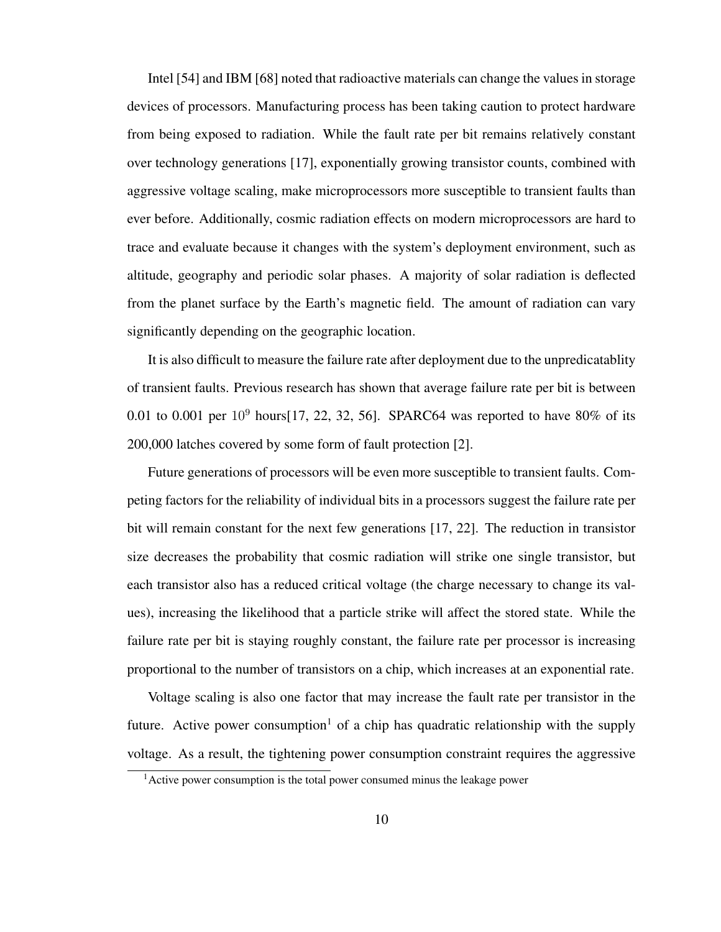Intel [54] and IBM [68] noted that radioactive materials can change the values in storage devices of processors. Manufacturing process has been taking caution to protect hardware from being exposed to radiation. While the fault rate per bit remains relatively constant over technology generations [17], exponentially growing transistor counts, combined with aggressive voltage scaling, make microprocessors more susceptible to transient faults than ever before. Additionally, cosmic radiation effects on modern microprocessors are hard to trace and evaluate because it changes with the system's deployment environment, such as altitude, geography and periodic solar phases. A majority of solar radiation is deflected from the planet surface by the Earth's magnetic field. The amount of radiation can vary significantly depending on the geographic location.

It is also difficult to measure the failure rate after deployment due to the unpredicatablity of transient faults. Previous research has shown that average failure rate per bit is between 0.01 to 0.001 per  $10^9$  hours[17, 22, 32, 56]. SPARC64 was reported to have 80% of its 200,000 latches covered by some form of fault protection [2].

Future generations of processors will be even more susceptible to transient faults. Competing factors for the reliability of individual bits in a processors suggest the failure rate per bit will remain constant for the next few generations [17, 22]. The reduction in transistor size decreases the probability that cosmic radiation will strike one single transistor, but each transistor also has a reduced critical voltage (the charge necessary to change its values), increasing the likelihood that a particle strike will affect the stored state. While the failure rate per bit is staying roughly constant, the failure rate per processor is increasing proportional to the number of transistors on a chip, which increases at an exponential rate.

Voltage scaling is also one factor that may increase the fault rate per transistor in the future. Active power consumption<sup>1</sup> of a chip has quadratic relationship with the supply voltage. As a result, the tightening power consumption constraint requires the aggressive

 $<sup>1</sup>$ Active power consumption is the total power consumed minus the leakage power</sup>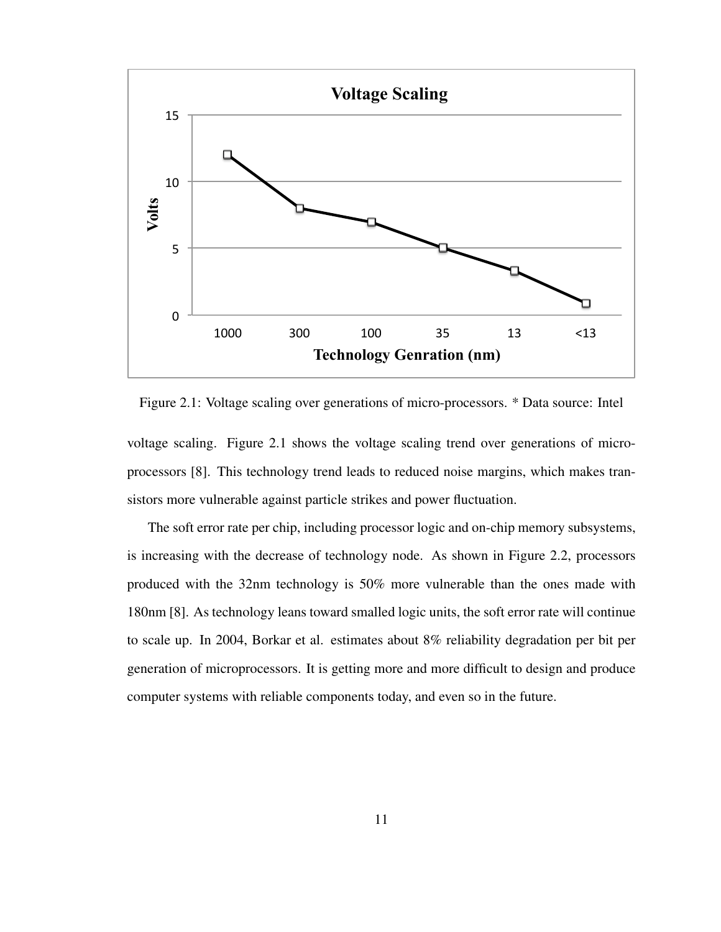

Figure 2.1: Voltage scaling over generations of micro-processors. \* Data source: Intel

voltage scaling. Figure 2.1 shows the voltage scaling trend over generations of microprocessors [8]. This technology trend leads to reduced noise margins, which makes transistors more vulnerable against particle strikes and power fluctuation.

The soft error rate per chip, including processor logic and on-chip memory subsystems, is increasing with the decrease of technology node. As shown in Figure 2.2, processors produced with the 32nm technology is 50% more vulnerable than the ones made with 180nm [8]. As technology leans toward smalled logic units, the soft error rate will continue to scale up. In 2004, Borkar et al. estimates about 8% reliability degradation per bit per generation of microprocessors. It is getting more and more difficult to design and produce computer systems with reliable components today, and even so in the future.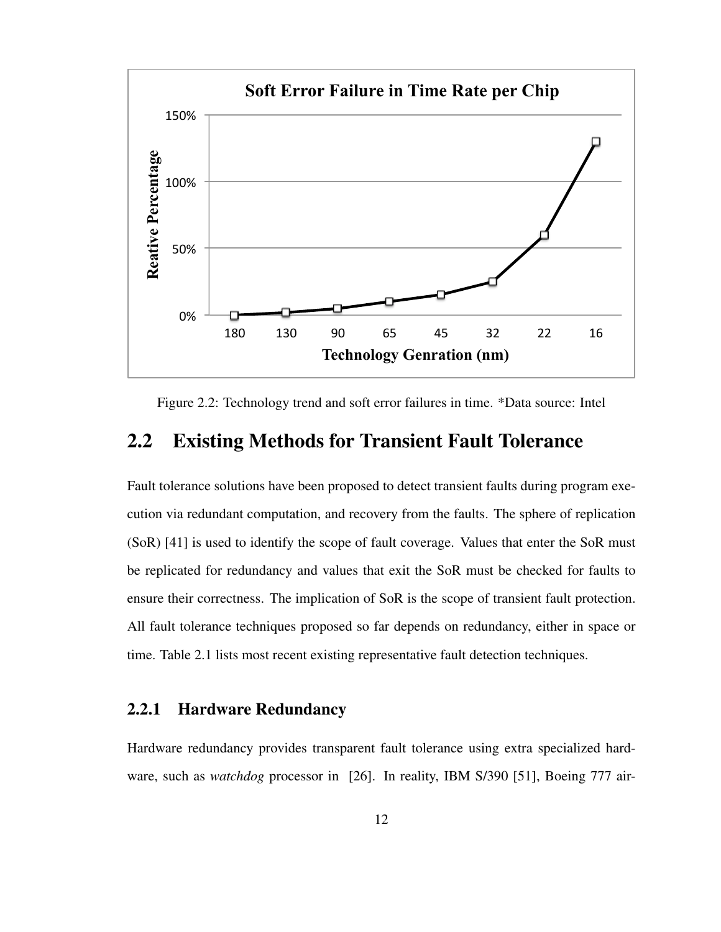

Figure 2.2: Technology trend and soft error failures in time. \*Data source: Intel

### 2.2 Existing Methods for Transient Fault Tolerance

Fault tolerance solutions have been proposed to detect transient faults during program execution via redundant computation, and recovery from the faults. The sphere of replication (SoR) [41] is used to identify the scope of fault coverage. Values that enter the SoR must be replicated for redundancy and values that exit the SoR must be checked for faults to ensure their correctness. The implication of SoR is the scope of transient fault protection. All fault tolerance techniques proposed so far depends on redundancy, either in space or time. Table 2.1 lists most recent existing representative fault detection techniques.

#### 2.2.1 Hardware Redundancy

Hardware redundancy provides transparent fault tolerance using extra specialized hardware, such as *watchdog* processor in [26]. In reality, IBM S/390 [51], Boeing 777 air-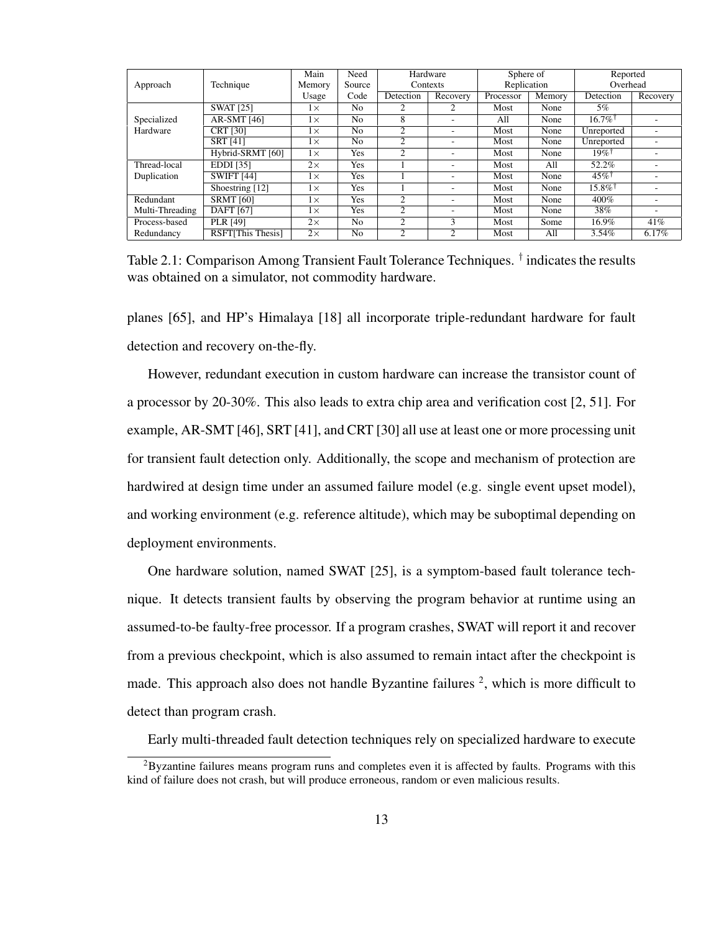|                 |                          | Main      | Need           |           | Hardware                 | Sphere of   |           | Reported              |                          |  |
|-----------------|--------------------------|-----------|----------------|-----------|--------------------------|-------------|-----------|-----------------------|--------------------------|--|
| Approach        | Technique                | Memory    | Source         |           | Contexts                 | Replication |           | Overhead              |                          |  |
|                 |                          | Usage     | Code           | Detection | Recovery                 | Processor   | $M$ emory | Detection             | Recovery                 |  |
|                 | <b>SWAT [25]</b>         | $1\times$ | No.            |           |                          | Most        | None      | 5%                    |                          |  |
| Specialized     | AR-SMT [46]              | $1\times$ | No.            | 8         | -                        | All         | None      | $16.7\%$ <sup>†</sup> |                          |  |
| Hardware        | <b>CRT [30]</b>          | $1\times$ | No.            | 2         | -                        | Most        | None      | Unreported            |                          |  |
|                 | <b>SRT [41]</b>          | $1\times$ | N <sub>0</sub> | 2         | ۰                        | Most        | None      | Unreported            | ۰                        |  |
|                 | Hybrid-SRMT [60]         | $1\times$ | Yes            | 2         | $\overline{\phantom{a}}$ | Most        | None      | $19%$ <sup>†</sup>    |                          |  |
| Thread-local    | EDDI [35]                | $2\times$ | Yes            |           | $\overline{\phantom{a}}$ | Most        | All       | 52.2%                 |                          |  |
| Duplication     | <b>SWIFT [44]</b>        | $1\times$ | Yes            |           | ۰                        | Most        | None      | $45\%$ <sup>†</sup>   |                          |  |
|                 | Shoestring [12]          | $1\times$ | <b>Yes</b>     |           | ۰                        | Most        | None      | $15.8\%$ <sup>†</sup> |                          |  |
| Redundant       | <b>SRMT</b> [60]         | $1\times$ | Yes            | 2         | ۰                        | Most        | None      | 400%                  |                          |  |
| Multi-Threading | <b>DAFT</b> [67]         | $1\times$ | Yes            | 2         | -                        | Most        | None      | 38%                   | $\overline{\phantom{a}}$ |  |
| Process-based   | PLR [49]                 | $2\times$ | N <sub>0</sub> | 2         | 3                        | Most        | Some      | 16.9%                 | 41%                      |  |
| Redundancy      | <b>RSFTIThis Thesis1</b> | $2\times$ | N <sub>0</sub> | 2         | 2                        | Most        | All       | $3.54\%$              | 6.17%                    |  |

Table 2.1: Comparison Among Transient Fault Tolerance Techniques. † indicates the results was obtained on a simulator, not commodity hardware.

planes [65], and HP's Himalaya [18] all incorporate triple-redundant hardware for fault detection and recovery on-the-fly.

However, redundant execution in custom hardware can increase the transistor count of a processor by 20-30%. This also leads to extra chip area and verification cost [2, 51]. For example, AR-SMT [46], SRT [41], and CRT [30] all use at least one or more processing unit for transient fault detection only. Additionally, the scope and mechanism of protection are hardwired at design time under an assumed failure model (e.g. single event upset model), and working environment (e.g. reference altitude), which may be suboptimal depending on deployment environments.

One hardware solution, named SWAT [25], is a symptom-based fault tolerance technique. It detects transient faults by observing the program behavior at runtime using an assumed-to-be faulty-free processor. If a program crashes, SWAT will report it and recover from a previous checkpoint, which is also assumed to remain intact after the checkpoint is made. This approach also does not handle Byzantine failures  $2$ , which is more difficult to detect than program crash.

Early multi-threaded fault detection techniques rely on specialized hardware to execute

 ${}^{2}$ Byzantine failures means program runs and completes even it is affected by faults. Programs with this kind of failure does not crash, but will produce erroneous, random or even malicious results.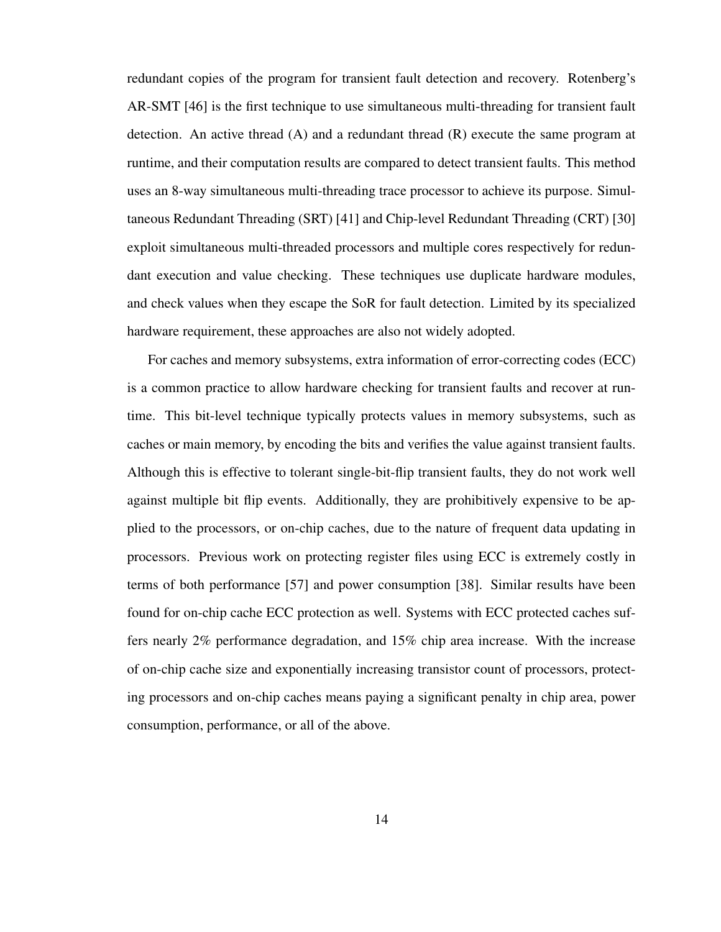redundant copies of the program for transient fault detection and recovery. Rotenberg's AR-SMT [46] is the first technique to use simultaneous multi-threading for transient fault detection. An active thread  $(A)$  and a redundant thread  $(R)$  execute the same program at runtime, and their computation results are compared to detect transient faults. This method uses an 8-way simultaneous multi-threading trace processor to achieve its purpose. Simultaneous Redundant Threading (SRT) [41] and Chip-level Redundant Threading (CRT) [30] exploit simultaneous multi-threaded processors and multiple cores respectively for redundant execution and value checking. These techniques use duplicate hardware modules, and check values when they escape the SoR for fault detection. Limited by its specialized hardware requirement, these approaches are also not widely adopted.

For caches and memory subsystems, extra information of error-correcting codes (ECC) is a common practice to allow hardware checking for transient faults and recover at runtime. This bit-level technique typically protects values in memory subsystems, such as caches or main memory, by encoding the bits and verifies the value against transient faults. Although this is effective to tolerant single-bit-flip transient faults, they do not work well against multiple bit flip events. Additionally, they are prohibitively expensive to be applied to the processors, or on-chip caches, due to the nature of frequent data updating in processors. Previous work on protecting register files using ECC is extremely costly in terms of both performance [57] and power consumption [38]. Similar results have been found for on-chip cache ECC protection as well. Systems with ECC protected caches suffers nearly 2% performance degradation, and 15% chip area increase. With the increase of on-chip cache size and exponentially increasing transistor count of processors, protecting processors and on-chip caches means paying a significant penalty in chip area, power consumption, performance, or all of the above.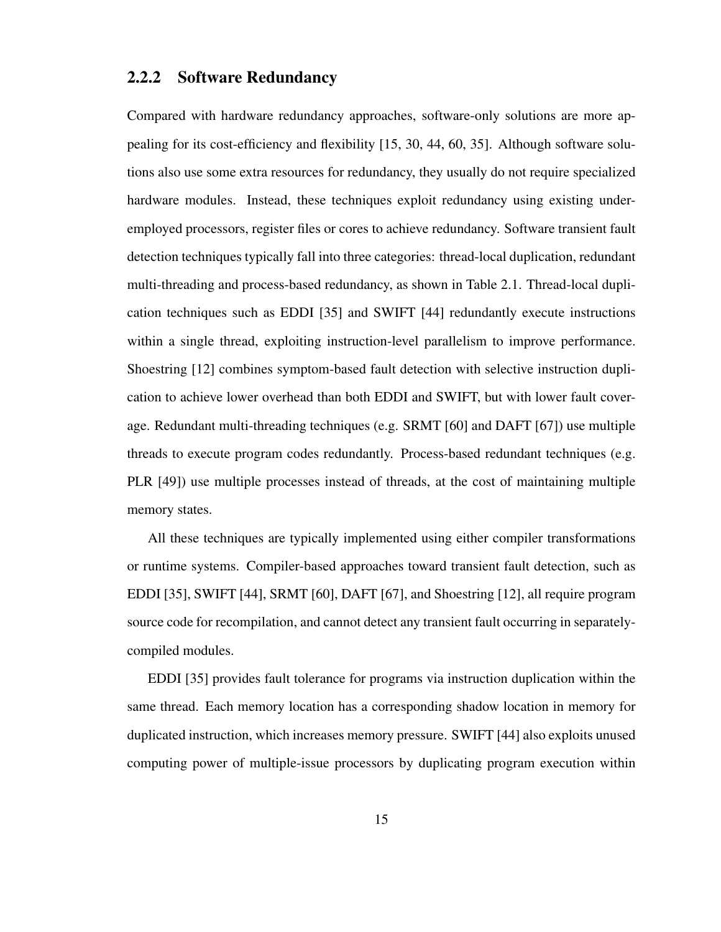#### 2.2.2 Software Redundancy

Compared with hardware redundancy approaches, software-only solutions are more appealing for its cost-efficiency and flexibility [15, 30, 44, 60, 35]. Although software solutions also use some extra resources for redundancy, they usually do not require specialized hardware modules. Instead, these techniques exploit redundancy using existing underemployed processors, register files or cores to achieve redundancy. Software transient fault detection techniques typically fall into three categories: thread-local duplication, redundant multi-threading and process-based redundancy, as shown in Table 2.1. Thread-local duplication techniques such as EDDI [35] and SWIFT [44] redundantly execute instructions within a single thread, exploiting instruction-level parallelism to improve performance. Shoestring [12] combines symptom-based fault detection with selective instruction duplication to achieve lower overhead than both EDDI and SWIFT, but with lower fault coverage. Redundant multi-threading techniques (e.g. SRMT [60] and DAFT [67]) use multiple threads to execute program codes redundantly. Process-based redundant techniques (e.g. PLR [49]) use multiple processes instead of threads, at the cost of maintaining multiple memory states.

All these techniques are typically implemented using either compiler transformations or runtime systems. Compiler-based approaches toward transient fault detection, such as EDDI [35], SWIFT [44], SRMT [60], DAFT [67], and Shoestring [12], all require program source code for recompilation, and cannot detect any transient fault occurring in separatelycompiled modules.

EDDI [35] provides fault tolerance for programs via instruction duplication within the same thread. Each memory location has a corresponding shadow location in memory for duplicated instruction, which increases memory pressure. SWIFT [44] also exploits unused computing power of multiple-issue processors by duplicating program execution within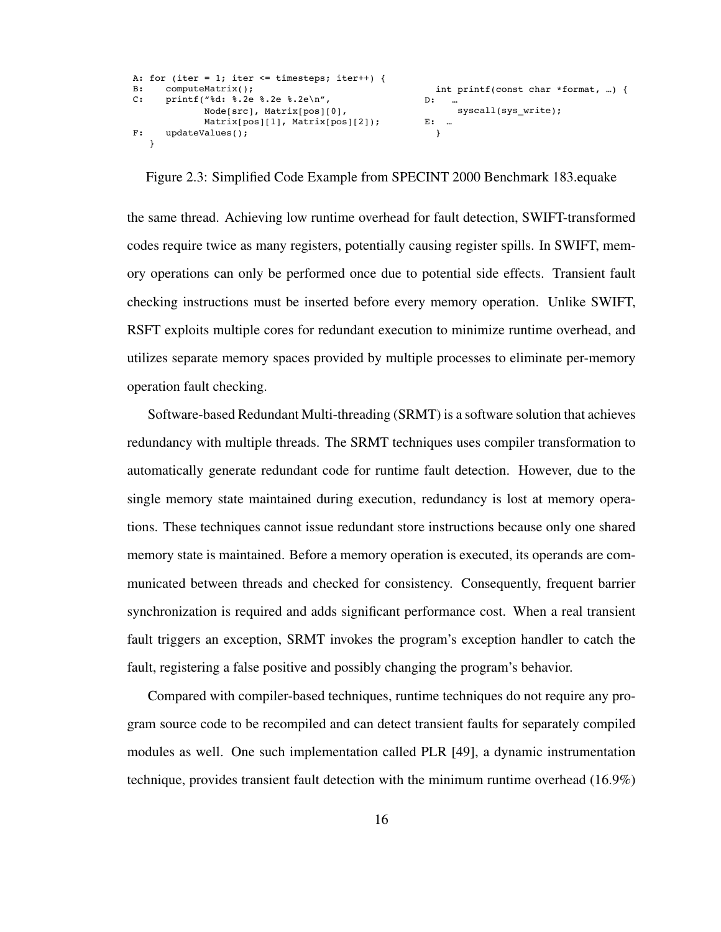```
A: for (iter = 1; iter \le timesteps; iter++) {
B: computeMatrix();
C: printf("%d: %.2e %.2e %.2e\n",
             Node[src], Matrix[pos][0], 
             Matrix[pos][1], Matrix[pos][2]);
F: updateValues();
   }
                                                       int printf(const char *format, …) {
                                                    D: …
                                                          syscall(sys_write);
                                                    E: …
                                                       }
```
Figure 2.3: Simplified Code Example from SPECINT 2000 Benchmark 183.equake

the same thread. Achieving low runtime overhead for fault detection, SWIFT-transformed codes require twice as many registers, potentially causing register spills. In SWIFT, memory operations can only be performed once due to potential side effects. Transient fault checking instructions must be inserted before every memory operation. Unlike SWIFT, RSFT exploits multiple cores for redundant execution to minimize runtime overhead, and utilizes separate memory spaces provided by multiple processes to eliminate per-memory operation fault checking.

Software-based Redundant Multi-threading (SRMT) is a software solution that achieves redundancy with multiple threads. The SRMT techniques uses compiler transformation to automatically generate redundant code for runtime fault detection. However, due to the single memory state maintained during execution, redundancy is lost at memory operations. These techniques cannot issue redundant store instructions because only one shared memory state is maintained. Before a memory operation is executed, its operands are communicated between threads and checked for consistency. Consequently, frequent barrier synchronization is required and adds significant performance cost. When a real transient fault triggers an exception, SRMT invokes the program's exception handler to catch the fault, registering a false positive and possibly changing the program's behavior.

Compared with compiler-based techniques, runtime techniques do not require any program source code to be recompiled and can detect transient faults for separately compiled modules as well. One such implementation called PLR [49], a dynamic instrumentation technique, provides transient fault detection with the minimum runtime overhead (16.9%)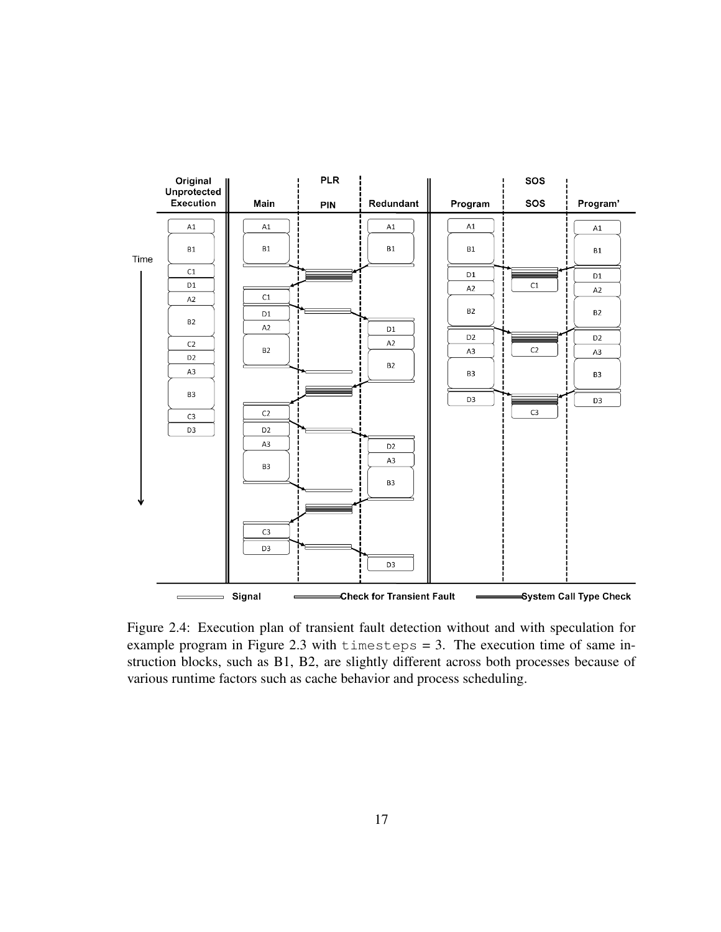

Figure 2.4: Execution plan of transient fault detection without and with speculation for example program in Figure 2.3 with  $t$  imesteps = 3. The execution time of same instruction blocks, such as B1, B2, are slightly different across both processes because of various runtime factors such as cache behavior and process scheduling.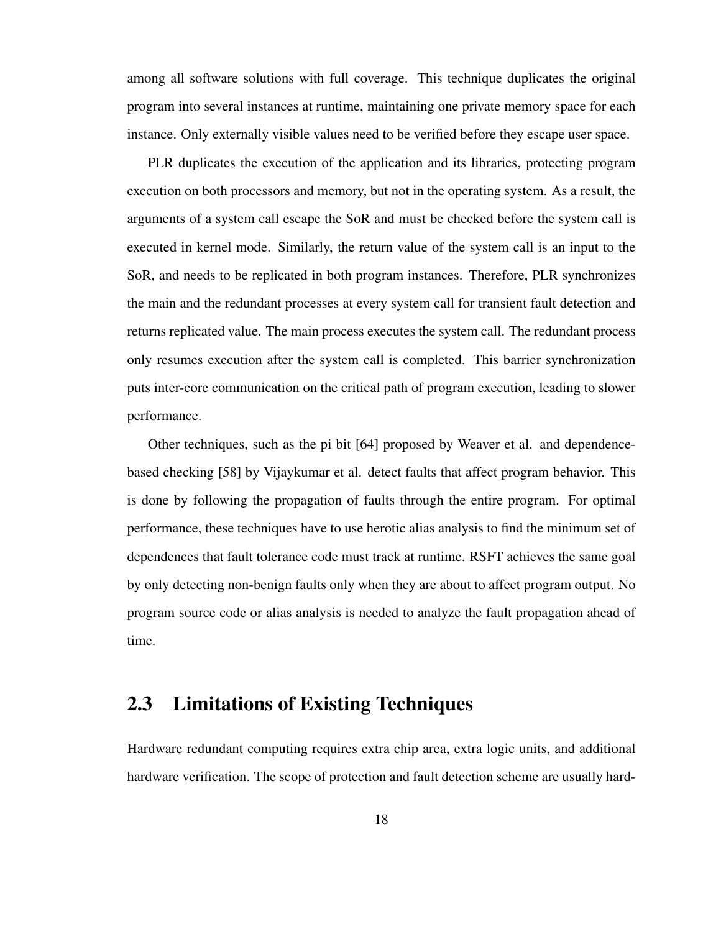among all software solutions with full coverage. This technique duplicates the original program into several instances at runtime, maintaining one private memory space for each instance. Only externally visible values need to be verified before they escape user space.

PLR duplicates the execution of the application and its libraries, protecting program execution on both processors and memory, but not in the operating system. As a result, the arguments of a system call escape the SoR and must be checked before the system call is executed in kernel mode. Similarly, the return value of the system call is an input to the SoR, and needs to be replicated in both program instances. Therefore, PLR synchronizes the main and the redundant processes at every system call for transient fault detection and returns replicated value. The main process executes the system call. The redundant process only resumes execution after the system call is completed. This barrier synchronization puts inter-core communication on the critical path of program execution, leading to slower performance.

Other techniques, such as the pi bit [64] proposed by Weaver et al. and dependencebased checking [58] by Vijaykumar et al. detect faults that affect program behavior. This is done by following the propagation of faults through the entire program. For optimal performance, these techniques have to use herotic alias analysis to find the minimum set of dependences that fault tolerance code must track at runtime. RSFT achieves the same goal by only detecting non-benign faults only when they are about to affect program output. No program source code or alias analysis is needed to analyze the fault propagation ahead of time.

### 2.3 Limitations of Existing Techniques

Hardware redundant computing requires extra chip area, extra logic units, and additional hardware verification. The scope of protection and fault detection scheme are usually hard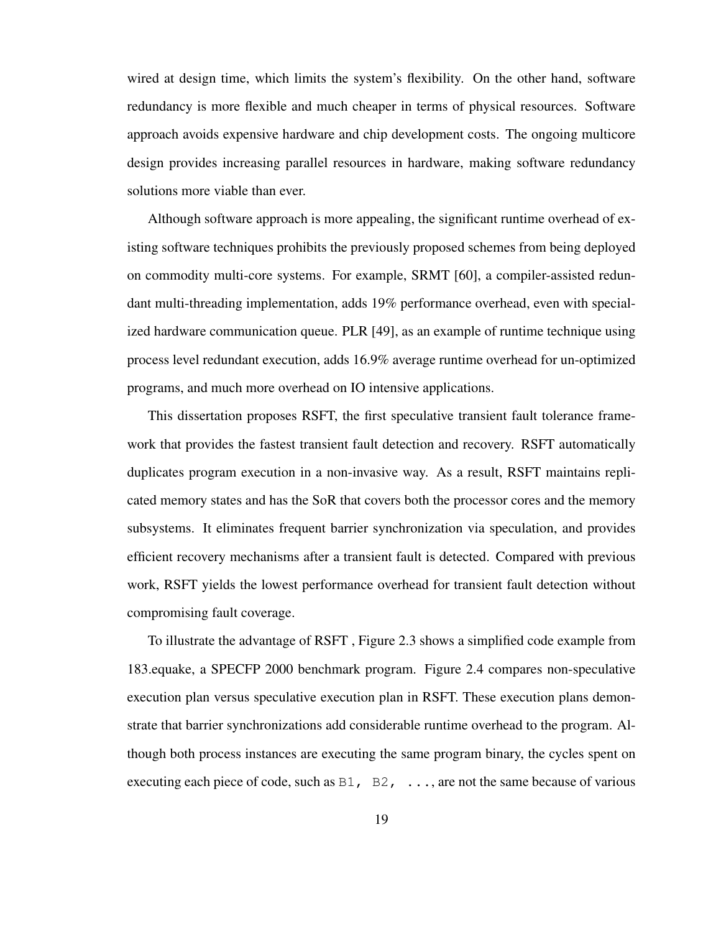wired at design time, which limits the system's flexibility. On the other hand, software redundancy is more flexible and much cheaper in terms of physical resources. Software approach avoids expensive hardware and chip development costs. The ongoing multicore design provides increasing parallel resources in hardware, making software redundancy solutions more viable than ever.

Although software approach is more appealing, the significant runtime overhead of existing software techniques prohibits the previously proposed schemes from being deployed on commodity multi-core systems. For example, SRMT [60], a compiler-assisted redundant multi-threading implementation, adds 19% performance overhead, even with specialized hardware communication queue. PLR [49], as an example of runtime technique using process level redundant execution, adds 16.9% average runtime overhead for un-optimized programs, and much more overhead on IO intensive applications.

This dissertation proposes RSFT, the first speculative transient fault tolerance framework that provides the fastest transient fault detection and recovery. RSFT automatically duplicates program execution in a non-invasive way. As a result, RSFT maintains replicated memory states and has the SoR that covers both the processor cores and the memory subsystems. It eliminates frequent barrier synchronization via speculation, and provides efficient recovery mechanisms after a transient fault is detected. Compared with previous work, RSFT yields the lowest performance overhead for transient fault detection without compromising fault coverage.

To illustrate the advantage of RSFT , Figure 2.3 shows a simplified code example from 183.equake, a SPECFP 2000 benchmark program. Figure 2.4 compares non-speculative execution plan versus speculative execution plan in RSFT. These execution plans demonstrate that barrier synchronizations add considerable runtime overhead to the program. Although both process instances are executing the same program binary, the cycles spent on executing each piece of code, such as  $B1$ ,  $B2$ ,  $\ldots$ , are not the same because of various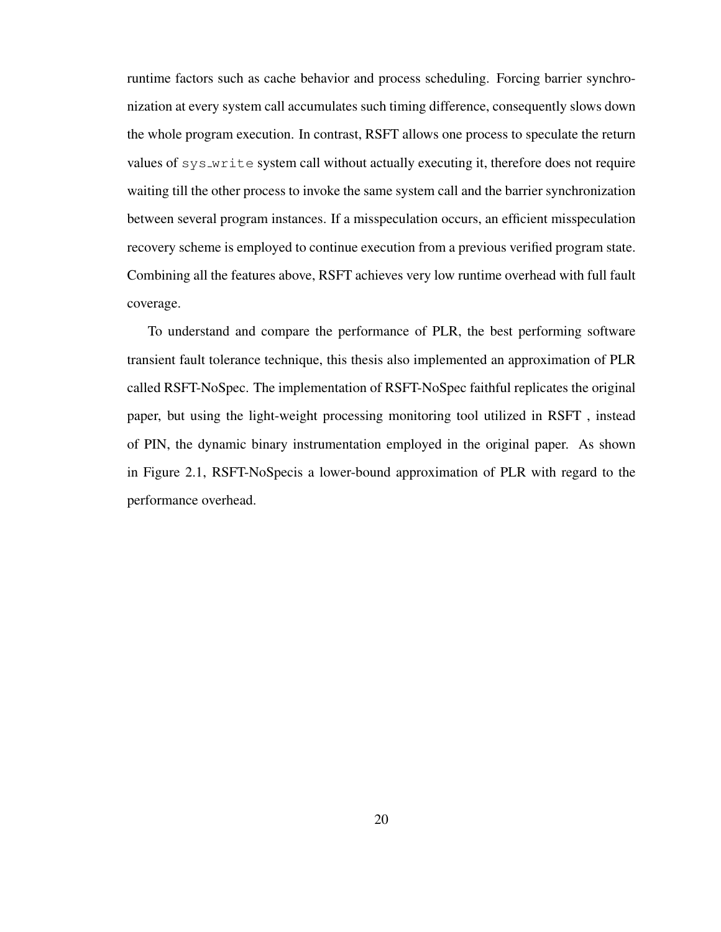runtime factors such as cache behavior and process scheduling. Forcing barrier synchronization at every system call accumulates such timing difference, consequently slows down the whole program execution. In contrast, RSFT allows one process to speculate the return values of sys write system call without actually executing it, therefore does not require waiting till the other process to invoke the same system call and the barrier synchronization between several program instances. If a misspeculation occurs, an efficient misspeculation recovery scheme is employed to continue execution from a previous verified program state. Combining all the features above, RSFT achieves very low runtime overhead with full fault coverage.

To understand and compare the performance of PLR, the best performing software transient fault tolerance technique, this thesis also implemented an approximation of PLR called RSFT-NoSpec. The implementation of RSFT-NoSpec faithful replicates the original paper, but using the light-weight processing monitoring tool utilized in RSFT , instead of PIN, the dynamic binary instrumentation employed in the original paper. As shown in Figure 2.1, RSFT-NoSpecis a lower-bound approximation of PLR with regard to the performance overhead.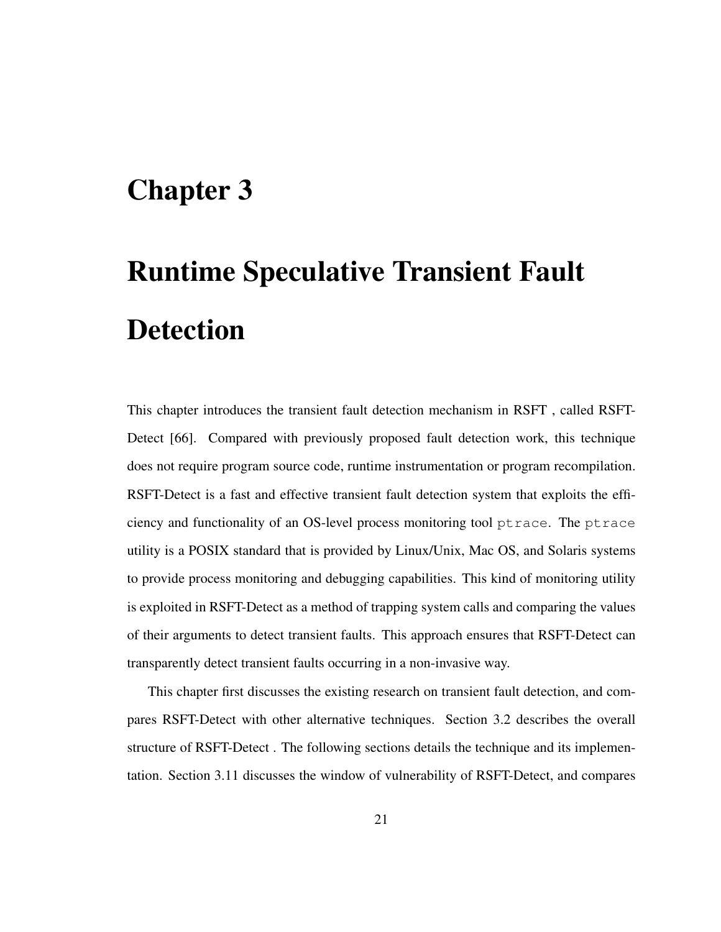### Chapter 3

# Runtime Speculative Transient Fault Detection

This chapter introduces the transient fault detection mechanism in RSFT , called RSFT-Detect [66]. Compared with previously proposed fault detection work, this technique does not require program source code, runtime instrumentation or program recompilation. RSFT-Detect is a fast and effective transient fault detection system that exploits the efficiency and functionality of an OS-level process monitoring tool ptrace. The ptrace utility is a POSIX standard that is provided by Linux/Unix, Mac OS, and Solaris systems to provide process monitoring and debugging capabilities. This kind of monitoring utility is exploited in RSFT-Detect as a method of trapping system calls and comparing the values of their arguments to detect transient faults. This approach ensures that RSFT-Detect can transparently detect transient faults occurring in a non-invasive way.

This chapter first discusses the existing research on transient fault detection, and compares RSFT-Detect with other alternative techniques. Section 3.2 describes the overall structure of RSFT-Detect . The following sections details the technique and its implementation. Section 3.11 discusses the window of vulnerability of RSFT-Detect, and compares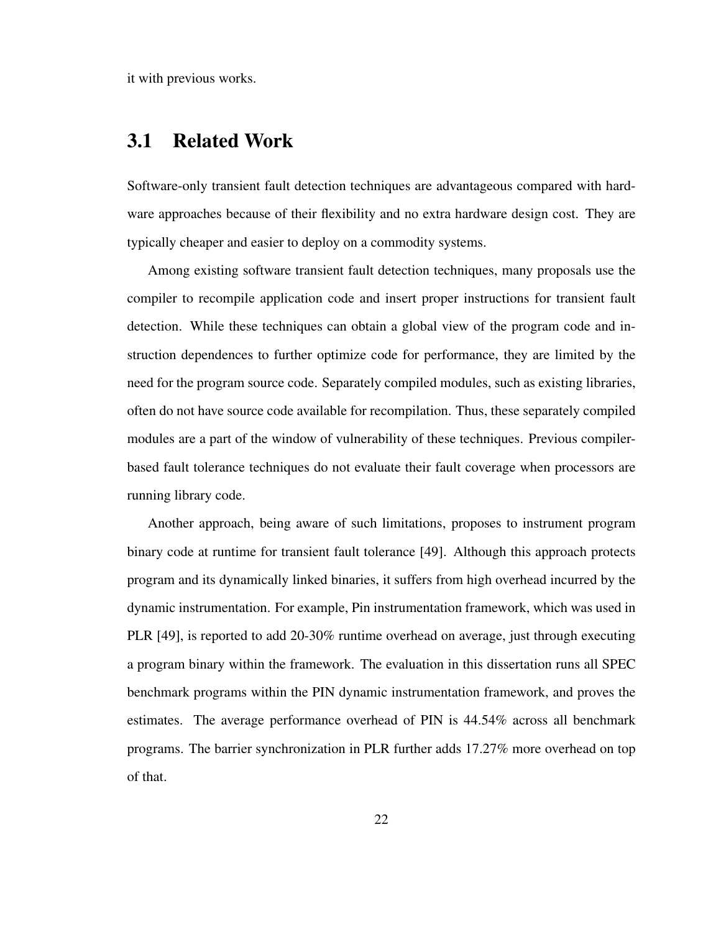it with previous works.

### 3.1 Related Work

Software-only transient fault detection techniques are advantageous compared with hardware approaches because of their flexibility and no extra hardware design cost. They are typically cheaper and easier to deploy on a commodity systems.

Among existing software transient fault detection techniques, many proposals use the compiler to recompile application code and insert proper instructions for transient fault detection. While these techniques can obtain a global view of the program code and instruction dependences to further optimize code for performance, they are limited by the need for the program source code. Separately compiled modules, such as existing libraries, often do not have source code available for recompilation. Thus, these separately compiled modules are a part of the window of vulnerability of these techniques. Previous compilerbased fault tolerance techniques do not evaluate their fault coverage when processors are running library code.

Another approach, being aware of such limitations, proposes to instrument program binary code at runtime for transient fault tolerance [49]. Although this approach protects program and its dynamically linked binaries, it suffers from high overhead incurred by the dynamic instrumentation. For example, Pin instrumentation framework, which was used in PLR [49], is reported to add 20-30% runtime overhead on average, just through executing a program binary within the framework. The evaluation in this dissertation runs all SPEC benchmark programs within the PIN dynamic instrumentation framework, and proves the estimates. The average performance overhead of PIN is 44.54% across all benchmark programs. The barrier synchronization in PLR further adds 17.27% more overhead on top of that.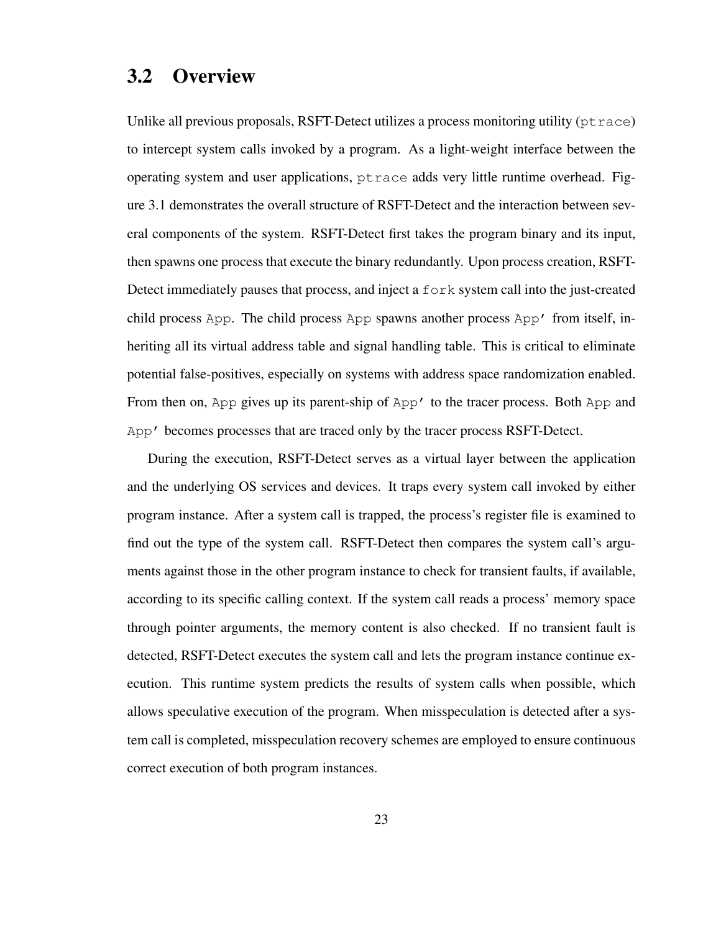### 3.2 Overview

Unlike all previous proposals, RSFT-Detect utilizes a process monitoring utility ( $ptrac{e}{r}$ ) to intercept system calls invoked by a program. As a light-weight interface between the operating system and user applications, ptrace adds very little runtime overhead. Figure 3.1 demonstrates the overall structure of RSFT-Detect and the interaction between several components of the system. RSFT-Detect first takes the program binary and its input, then spawns one process that execute the binary redundantly. Upon process creation, RSFT-Detect immediately pauses that process, and inject a fork system call into the just-created child process App. The child process App spawns another process App' from itself, inheriting all its virtual address table and signal handling table. This is critical to eliminate potential false-positives, especially on systems with address space randomization enabled. From then on, App gives up its parent-ship of App' to the tracer process. Both App and App' becomes processes that are traced only by the tracer process RSFT-Detect.

During the execution, RSFT-Detect serves as a virtual layer between the application and the underlying OS services and devices. It traps every system call invoked by either program instance. After a system call is trapped, the process's register file is examined to find out the type of the system call. RSFT-Detect then compares the system call's arguments against those in the other program instance to check for transient faults, if available, according to its specific calling context. If the system call reads a process' memory space through pointer arguments, the memory content is also checked. If no transient fault is detected, RSFT-Detect executes the system call and lets the program instance continue execution. This runtime system predicts the results of system calls when possible, which allows speculative execution of the program. When misspeculation is detected after a system call is completed, misspeculation recovery schemes are employed to ensure continuous correct execution of both program instances.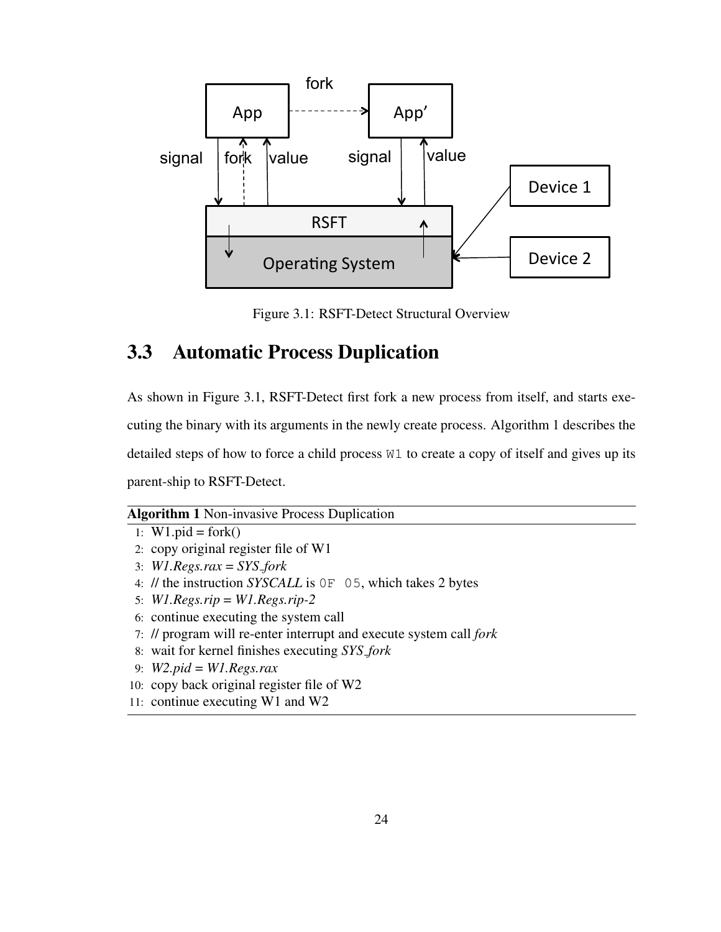

Figure 3.1: RSFT-Detect Structural Overview

### 3.3 Automatic Process Duplication

As shown in Figure 3.1, RSFT-Detect first fork a new process from itself, and starts executing the binary with its arguments in the newly create process. Algorithm 1 describes the detailed steps of how to force a child process W1 to create a copy of itself and gives up its parent-ship to RSFT-Detect.

#### Algorithm 1 Non-invasive Process Duplication

```
1: W1.pid = fork()
```
- 2: copy original register file of W1
- 3: *W1.Regs.rax* = *SYS fork*
- 4: // the instruction *SYSCALL* is 0F 05, which takes 2 bytes
- 5: *W1.Regs.rip* = *W1.Regs.rip-2*
- 6: continue executing the system call
- 7: // program will re-enter interrupt and execute system call *fork*
- 8: wait for kernel finishes executing *SYS fork*
- 9: *W2.pid* = *W1.Regs.rax*
- 10: copy back original register file of W2
- 11: continue executing W1 and W2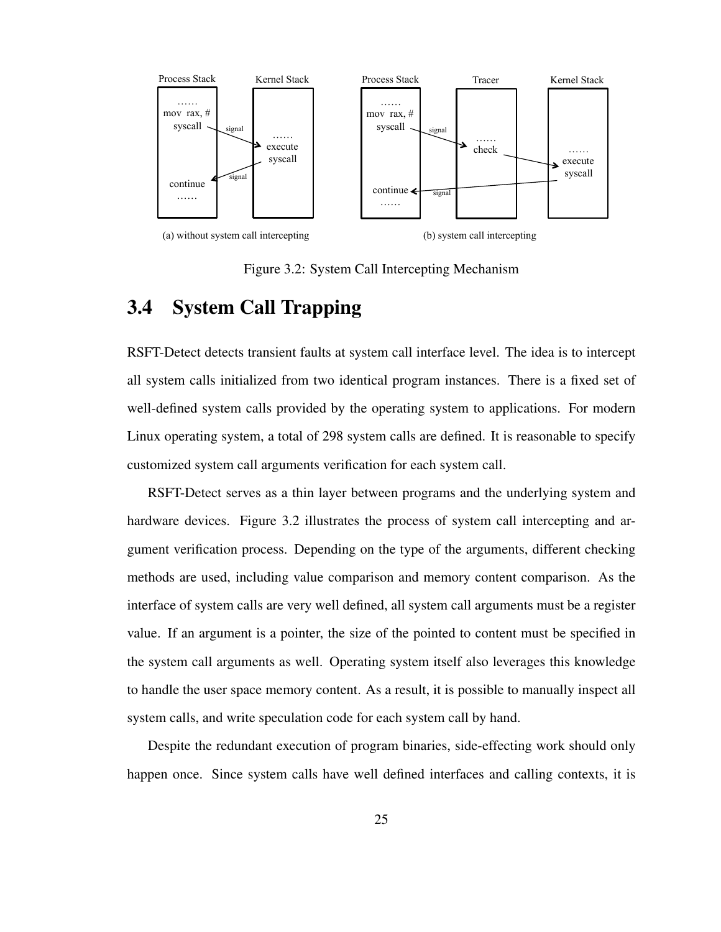

Figure 3.2: System Call Intercepting Mechanism

### 3.4 System Call Trapping

RSFT-Detect detects transient faults at system call interface level. The idea is to intercept all system calls initialized from two identical program instances. There is a fixed set of well-defined system calls provided by the operating system to applications. For modern Linux operating system, a total of 298 system calls are defined. It is reasonable to specify customized system call arguments verification for each system call.

RSFT-Detect serves as a thin layer between programs and the underlying system and hardware devices. Figure 3.2 illustrates the process of system call intercepting and argument verification process. Depending on the type of the arguments, different checking methods are used, including value comparison and memory content comparison. As the interface of system calls are very well defined, all system call arguments must be a register value. If an argument is a pointer, the size of the pointed to content must be specified in the system call arguments as well. Operating system itself also leverages this knowledge to handle the user space memory content. As a result, it is possible to manually inspect all system calls, and write speculation code for each system call by hand.

Despite the redundant execution of program binaries, side-effecting work should only happen once. Since system calls have well defined interfaces and calling contexts, it is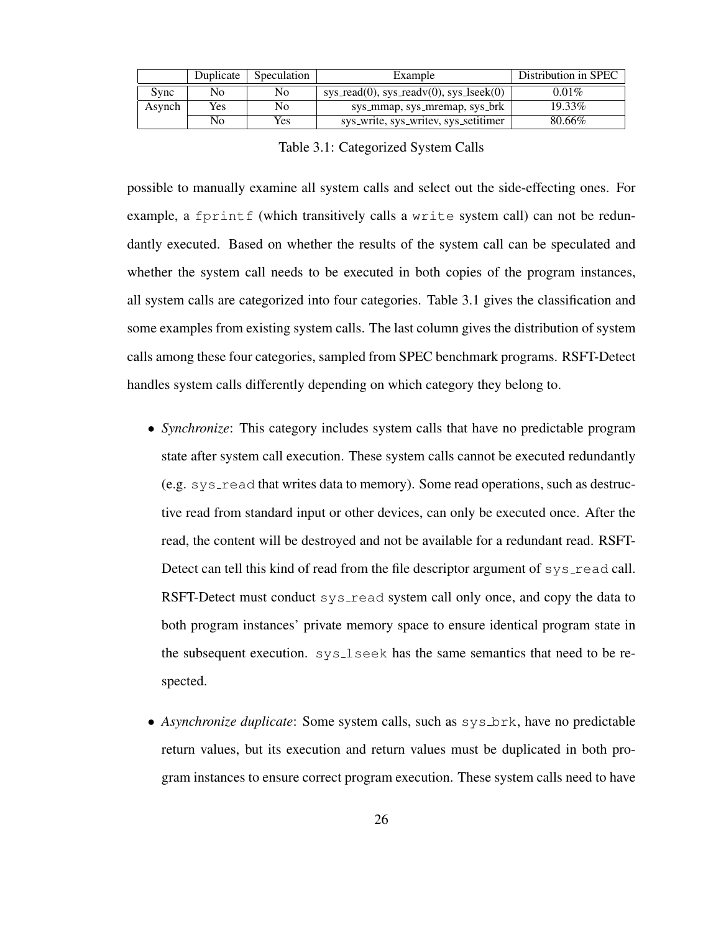|        | Duplicate | Speculation | Example                                            | Distribution in SPEC |
|--------|-----------|-------------|----------------------------------------------------|----------------------|
| Sync   | No        | No          | $sys\_read(0)$ , $sys\_readv(0)$ , $sys\_lseek(0)$ | $0.01\%$             |
| Asynch | Yes<br>No |             | sys_mmap, sys_mremap, sys_brk                      | 19.33%               |
|        | No        | Yes         | sys_write, sys_writev, sys_setitimer               | 80.66%               |

Table 3.1: Categorized System Calls

possible to manually examine all system calls and select out the side-effecting ones. For example, a fprintf (which transitively calls a write system call) can not be redundantly executed. Based on whether the results of the system call can be speculated and whether the system call needs to be executed in both copies of the program instances, all system calls are categorized into four categories. Table 3.1 gives the classification and some examples from existing system calls. The last column gives the distribution of system calls among these four categories, sampled from SPEC benchmark programs. RSFT-Detect handles system calls differently depending on which category they belong to.

- *Synchronize*: This category includes system calls that have no predictable program state after system call execution. These system calls cannot be executed redundantly  $(e.g.  $sys\_read$  that writes data to memory). Some read operations, such as  $destruc$$ tive read from standard input or other devices, can only be executed once. After the read, the content will be destroyed and not be available for a redundant read. RSFT-Detect can tell this kind of read from the file descriptor argument of sys\_read call. RSFT-Detect must conduct sys-read system call only once, and copy the data to both program instances' private memory space to ensure identical program state in the subsequent execution. sys\_lseek has the same semantics that need to be respected.
- *Asynchronize duplicate*: Some system calls, such as  $sysbrk$ , have no predictable return values, but its execution and return values must be duplicated in both program instances to ensure correct program execution. These system calls need to have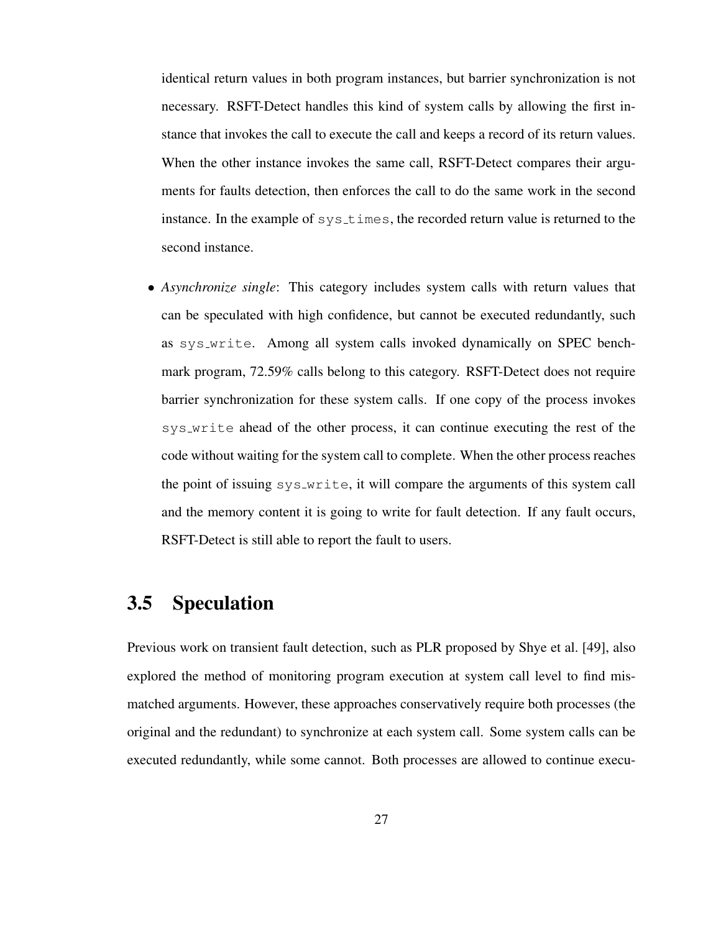identical return values in both program instances, but barrier synchronization is not necessary. RSFT-Detect handles this kind of system calls by allowing the first instance that invokes the call to execute the call and keeps a record of its return values. When the other instance invokes the same call, RSFT-Detect compares their arguments for faults detection, then enforces the call to do the same work in the second instance. In the example of systimes, the recorded return value is returned to the second instance.

• *Asynchronize single*: This category includes system calls with return values that can be speculated with high confidence, but cannot be executed redundantly, such as sys write. Among all system calls invoked dynamically on SPEC benchmark program, 72.59% calls belong to this category. RSFT-Detect does not require barrier synchronization for these system calls. If one copy of the process invokes sys write ahead of the other process, it can continue executing the rest of the code without waiting for the system call to complete. When the other process reaches the point of issuing sys write, it will compare the arguments of this system call and the memory content it is going to write for fault detection. If any fault occurs, RSFT-Detect is still able to report the fault to users.

### 3.5 Speculation

Previous work on transient fault detection, such as PLR proposed by Shye et al. [49], also explored the method of monitoring program execution at system call level to find mismatched arguments. However, these approaches conservatively require both processes (the original and the redundant) to synchronize at each system call. Some system calls can be executed redundantly, while some cannot. Both processes are allowed to continue execu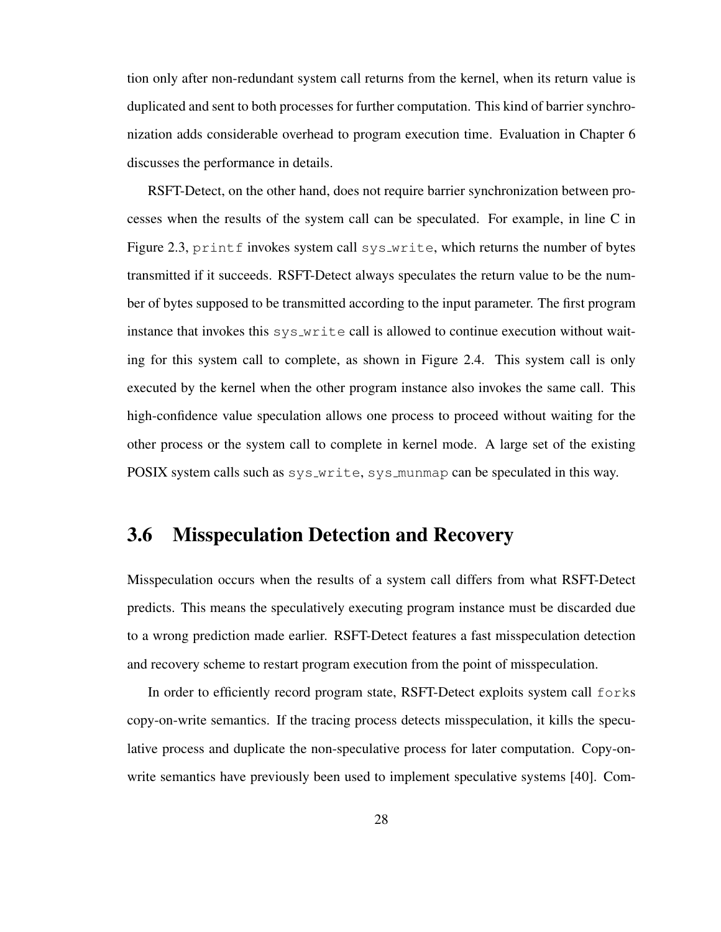tion only after non-redundant system call returns from the kernel, when its return value is duplicated and sent to both processes for further computation. This kind of barrier synchronization adds considerable overhead to program execution time. Evaluation in Chapter 6 discusses the performance in details.

RSFT-Detect, on the other hand, does not require barrier synchronization between processes when the results of the system call can be speculated. For example, in line C in Figure 2.3, printf invokes system call sys\_write, which returns the number of bytes transmitted if it succeeds. RSFT-Detect always speculates the return value to be the number of bytes supposed to be transmitted according to the input parameter. The first program instance that invokes this  $sys_w$  is call is allowed to continue execution without waiting for this system call to complete, as shown in Figure 2.4. This system call is only executed by the kernel when the other program instance also invokes the same call. This high-confidence value speculation allows one process to proceed without waiting for the other process or the system call to complete in kernel mode. A large set of the existing POSIX system calls such as sys\_write, sys\_munmap can be speculated in this way.

### 3.6 Misspeculation Detection and Recovery

Misspeculation occurs when the results of a system call differs from what RSFT-Detect predicts. This means the speculatively executing program instance must be discarded due to a wrong prediction made earlier. RSFT-Detect features a fast misspeculation detection and recovery scheme to restart program execution from the point of misspeculation.

In order to efficiently record program state, RSFT-Detect exploits system call forks copy-on-write semantics. If the tracing process detects misspeculation, it kills the speculative process and duplicate the non-speculative process for later computation. Copy-onwrite semantics have previously been used to implement speculative systems [40]. Com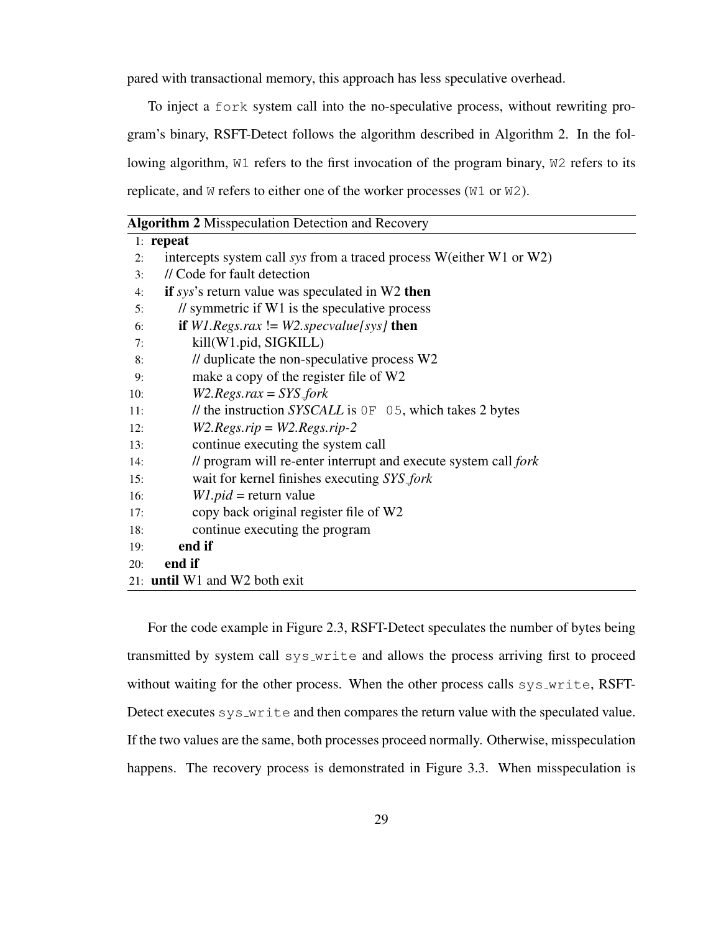pared with transactional memory, this approach has less speculative overhead.

To inject a fork system call into the no-speculative process, without rewriting program's binary, RSFT-Detect follows the algorithm described in Algorithm 2. In the following algorithm, W1 refers to the first invocation of the program binary, W2 refers to its replicate, and W refers to either one of the worker processes (W1 or W2).

|     | <b>Algorithm 2 Misspeculation Detection and Recovery</b>            |  |  |
|-----|---------------------------------------------------------------------|--|--|
|     | $1:$ repeat                                                         |  |  |
| 2:  | intercepts system call sys from a traced process W(either W1 or W2) |  |  |
| 3:  | // Code for fault detection                                         |  |  |
| 4:  | if $sys$ 's return value was speculated in W2 then                  |  |  |
| 5:  | $\frac{1}{2}$ symmetric if W1 is the speculative process            |  |  |
| 6:  | if $W1. Regs.rax := W2. specvalue[sys]$ then                        |  |  |
| 7:  | kill(W1.pid, SIGKILL)                                               |  |  |
| 8:  | // duplicate the non-speculative process W2                         |  |  |
| 9:  | make a copy of the register file of W2                              |  |  |
| 10: | $W2. Regs.rax = SYS_fork$                                           |  |  |
| 11: | // the instruction SYSCALL is $OF$ 05, which takes 2 bytes          |  |  |
| 12: | $W2. Regs.rip = W2. Regs.rip-2$                                     |  |  |
| 13: | continue executing the system call                                  |  |  |
| 14: | // program will re-enter interrupt and execute system call fork     |  |  |
| 15: | wait for kernel finishes executing SYS_fork                         |  |  |
| 16: | $W1$ . <i>pid</i> = return value                                    |  |  |
| 17: | copy back original register file of W2                              |  |  |
| 18: | continue executing the program                                      |  |  |
| 19: | end if                                                              |  |  |
| 20: | end if                                                              |  |  |
|     | 21: <b>until</b> W1 and W2 both exit                                |  |  |
|     |                                                                     |  |  |

For the code example in Figure 2.3, RSFT-Detect speculates the number of bytes being transmitted by system call sys write and allows the process arriving first to proceed without waiting for the other process. When the other process calls sys\_write, RSFT-Detect executes sys\_write and then compares the return value with the speculated value. If the two values are the same, both processes proceed normally. Otherwise, misspeculation happens. The recovery process is demonstrated in Figure 3.3. When misspeculation is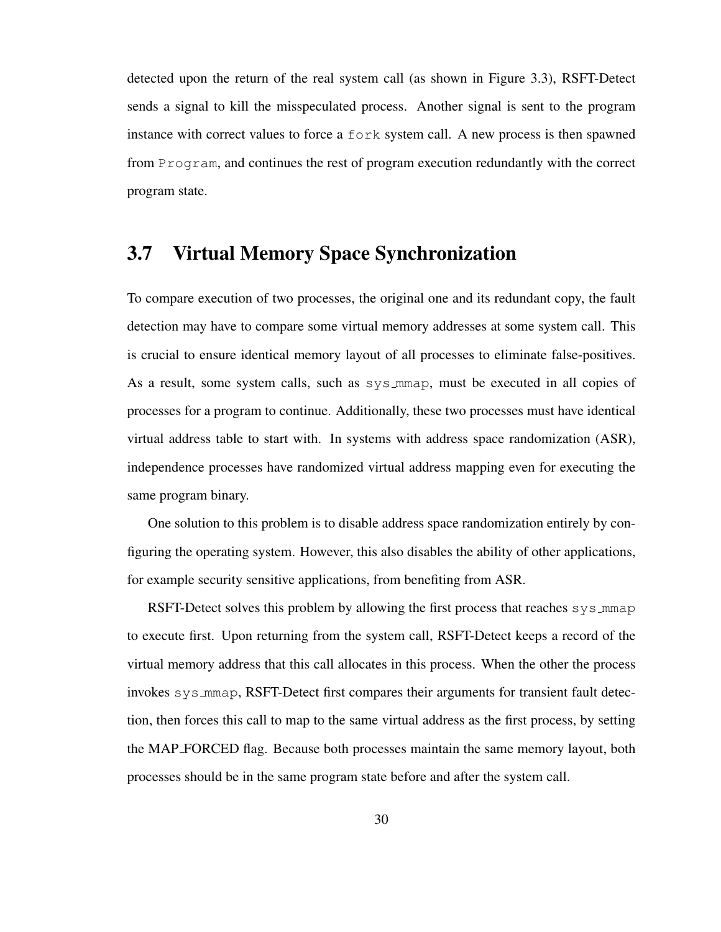detected upon the return of the real system call (as shown in Figure 3.3), RSFT-Detect sends a signal to kill the misspeculated process. Another signal is sent to the program instance with correct values to force a fork system call. A new process is then spawned from Program, and continues the rest of program execution redundantly with the correct program state.

### 3.7 Virtual Memory Space Synchronization

To compare execution of two processes, the original one and its redundant copy, the fault detection may have to compare some virtual memory addresses at some system call. This is crucial to ensure identical memory layout of all processes to eliminate false-positives. As a result, some system calls, such as sys mmap, must be executed in all copies of processes for a program to continue. Additionally, these two processes must have identical virtual address table to start with. In systems with address space randomization (ASR), independence processes have randomized virtual address mapping even for executing the same program binary.

One solution to this problem is to disable address space randomization entirely by configuring the operating system. However, this also disables the ability of other applications, for example security sensitive applications, from benefiting from ASR.

RSFT-Detect solves this problem by allowing the first process that reaches sys\_mmap to execute first. Upon returning from the system call, RSFT-Detect keeps a record of the virtual memory address that this call allocates in this process. When the other the process invokes sys mmap, RSFT-Detect first compares their arguments for transient fault detection, then forces this call to map to the same virtual address as the first process, by setting the MAP FORCED flag. Because both processes maintain the same memory layout, both processes should be in the same program state before and after the system call.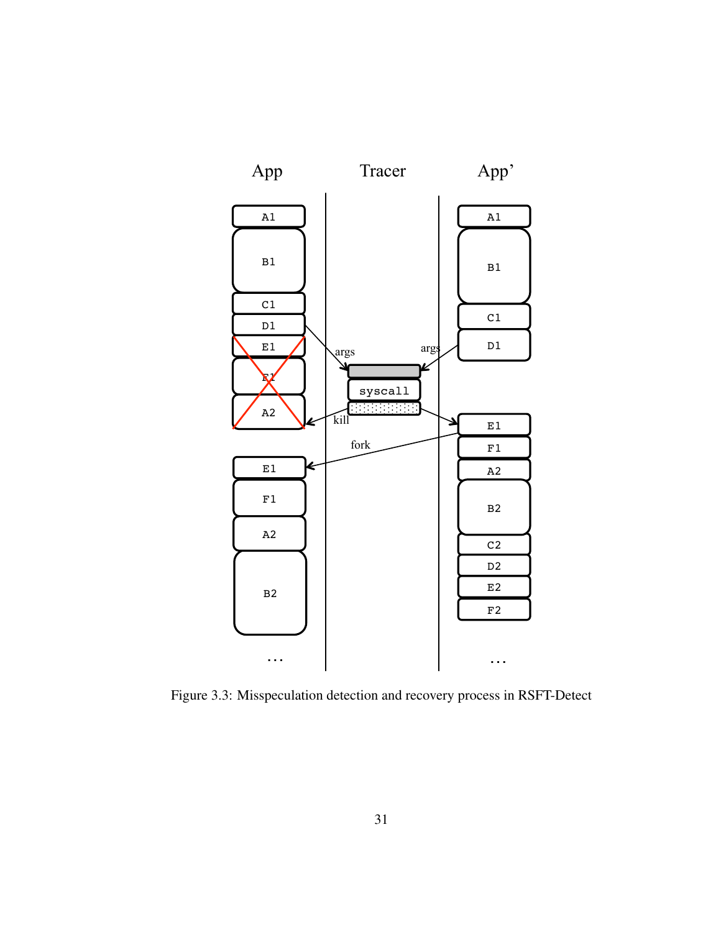

Figure 3.3: Misspeculation detection and recovery process in RSFT-Detect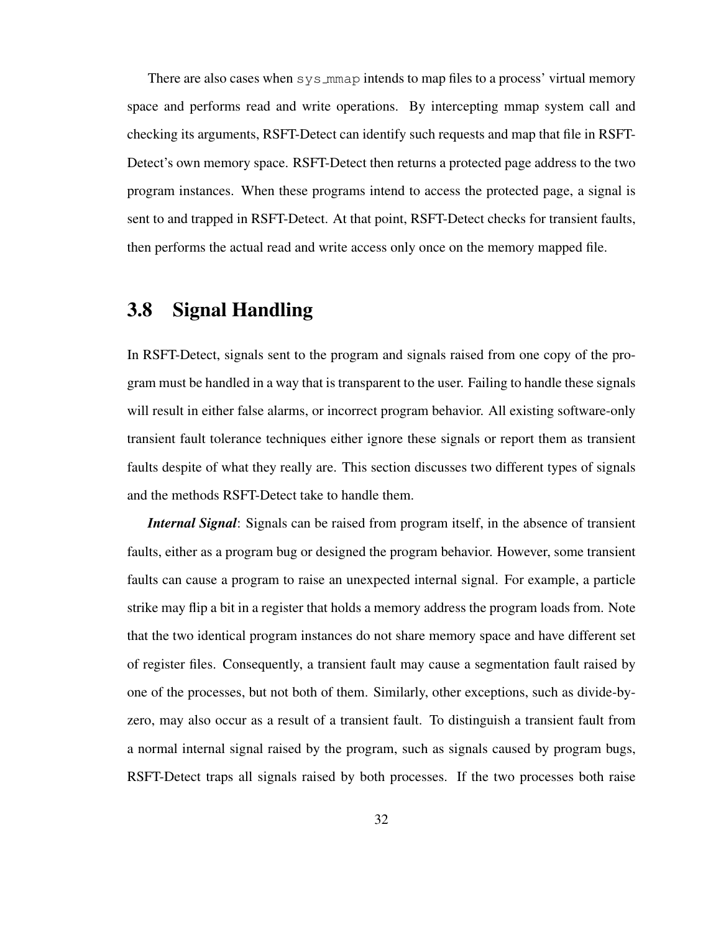There are also cases when sys\_mmap intends to map files to a process' virtual memory space and performs read and write operations. By intercepting mmap system call and checking its arguments, RSFT-Detect can identify such requests and map that file in RSFT-Detect's own memory space. RSFT-Detect then returns a protected page address to the two program instances. When these programs intend to access the protected page, a signal is sent to and trapped in RSFT-Detect. At that point, RSFT-Detect checks for transient faults, then performs the actual read and write access only once on the memory mapped file.

### 3.8 Signal Handling

In RSFT-Detect, signals sent to the program and signals raised from one copy of the program must be handled in a way that is transparent to the user. Failing to handle these signals will result in either false alarms, or incorrect program behavior. All existing software-only transient fault tolerance techniques either ignore these signals or report them as transient faults despite of what they really are. This section discusses two different types of signals and the methods RSFT-Detect take to handle them.

*Internal Signal*: Signals can be raised from program itself, in the absence of transient faults, either as a program bug or designed the program behavior. However, some transient faults can cause a program to raise an unexpected internal signal. For example, a particle strike may flip a bit in a register that holds a memory address the program loads from. Note that the two identical program instances do not share memory space and have different set of register files. Consequently, a transient fault may cause a segmentation fault raised by one of the processes, but not both of them. Similarly, other exceptions, such as divide-byzero, may also occur as a result of a transient fault. To distinguish a transient fault from a normal internal signal raised by the program, such as signals caused by program bugs, RSFT-Detect traps all signals raised by both processes. If the two processes both raise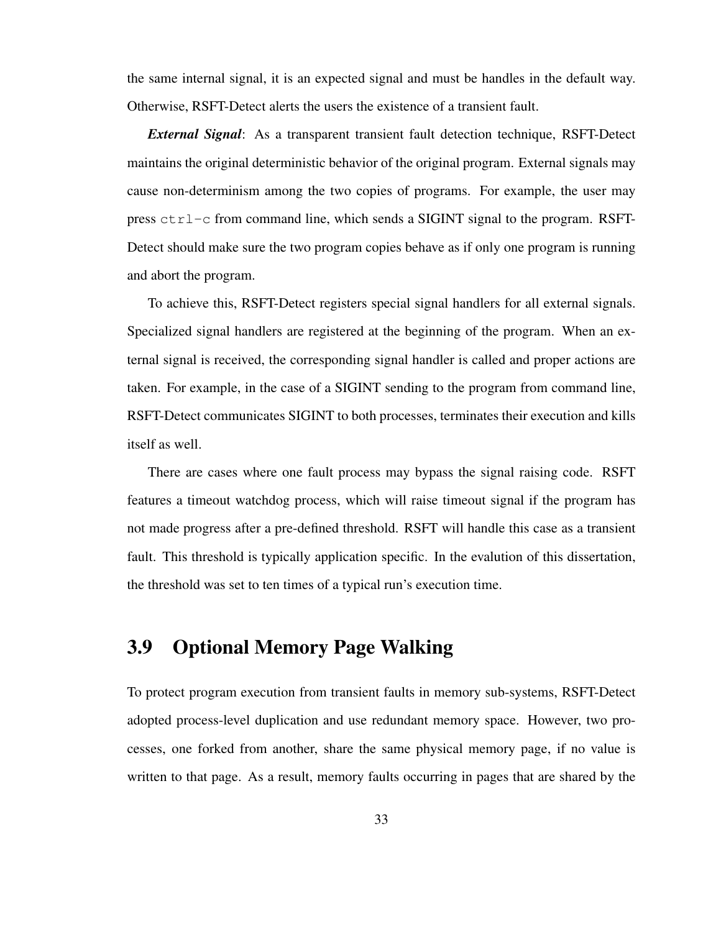the same internal signal, it is an expected signal and must be handles in the default way. Otherwise, RSFT-Detect alerts the users the existence of a transient fault.

*External Signal*: As a transparent transient fault detection technique, RSFT-Detect maintains the original deterministic behavior of the original program. External signals may cause non-determinism among the two copies of programs. For example, the user may press  $ctrl$ -c from command line, which sends a SIGINT signal to the program. RSFT-Detect should make sure the two program copies behave as if only one program is running and abort the program.

To achieve this, RSFT-Detect registers special signal handlers for all external signals. Specialized signal handlers are registered at the beginning of the program. When an external signal is received, the corresponding signal handler is called and proper actions are taken. For example, in the case of a SIGINT sending to the program from command line, RSFT-Detect communicates SIGINT to both processes, terminates their execution and kills itself as well.

There are cases where one fault process may bypass the signal raising code. RSFT features a timeout watchdog process, which will raise timeout signal if the program has not made progress after a pre-defined threshold. RSFT will handle this case as a transient fault. This threshold is typically application specific. In the evalution of this dissertation, the threshold was set to ten times of a typical run's execution time.

### 3.9 Optional Memory Page Walking

To protect program execution from transient faults in memory sub-systems, RSFT-Detect adopted process-level duplication and use redundant memory space. However, two processes, one forked from another, share the same physical memory page, if no value is written to that page. As a result, memory faults occurring in pages that are shared by the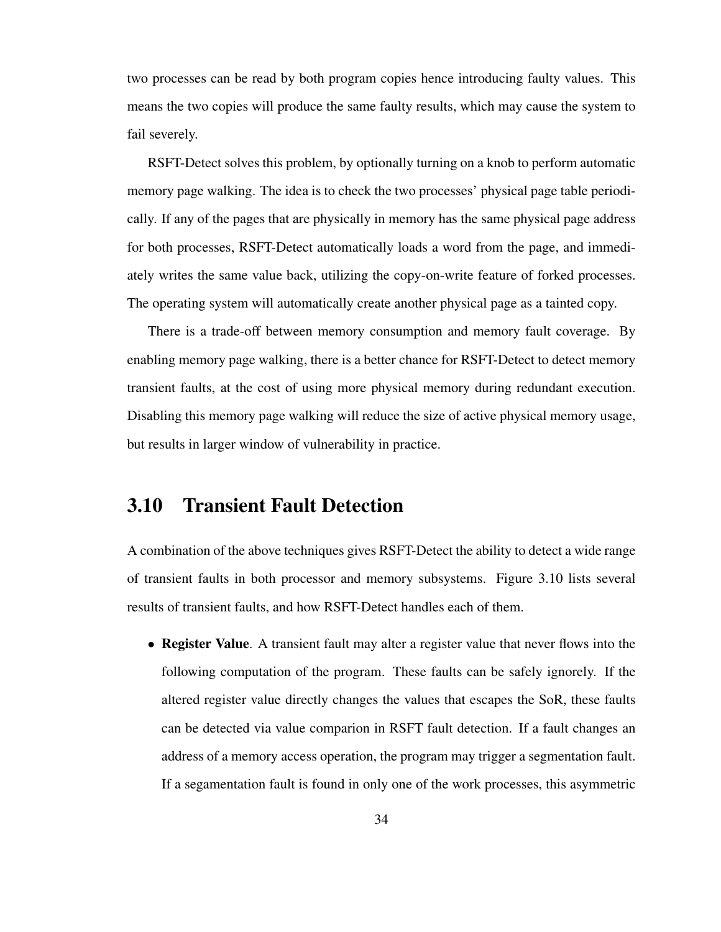two processes can be read by both program copies hence introducing faulty values. This means the two copies will produce the same faulty results, which may cause the system to fail severely.

RSFT-Detect solves this problem, by optionally turning on a knob to perform automatic memory page walking. The idea is to check the two processes' physical page table periodically. If any of the pages that are physically in memory has the same physical page address for both processes, RSFT-Detect automatically loads a word from the page, and immediately writes the same value back, utilizing the copy-on-write feature of forked processes. The operating system will automatically create another physical page as a tainted copy.

There is a trade-off between memory consumption and memory fault coverage. By enabling memory page walking, there is a better chance for RSFT-Detect to detect memory transient faults, at the cost of using more physical memory during redundant execution. Disabling this memory page walking will reduce the size of active physical memory usage, but results in larger window of vulnerability in practice.

### 3.10 Transient Fault Detection

A combination of the above techniques gives RSFT-Detect the ability to detect a wide range of transient faults in both processor and memory subsystems. Figure 3.10 lists several results of transient faults, and how RSFT-Detect handles each of them.

• Register Value. A transient fault may alter a register value that never flows into the following computation of the program. These faults can be safely ignorely. If the altered register value directly changes the values that escapes the SoR, these faults can be detected via value comparion in RSFT fault detection. If a fault changes an address of a memory access operation, the program may trigger a segmentation fault. If a segamentation fault is found in only one of the work processes, this asymmetric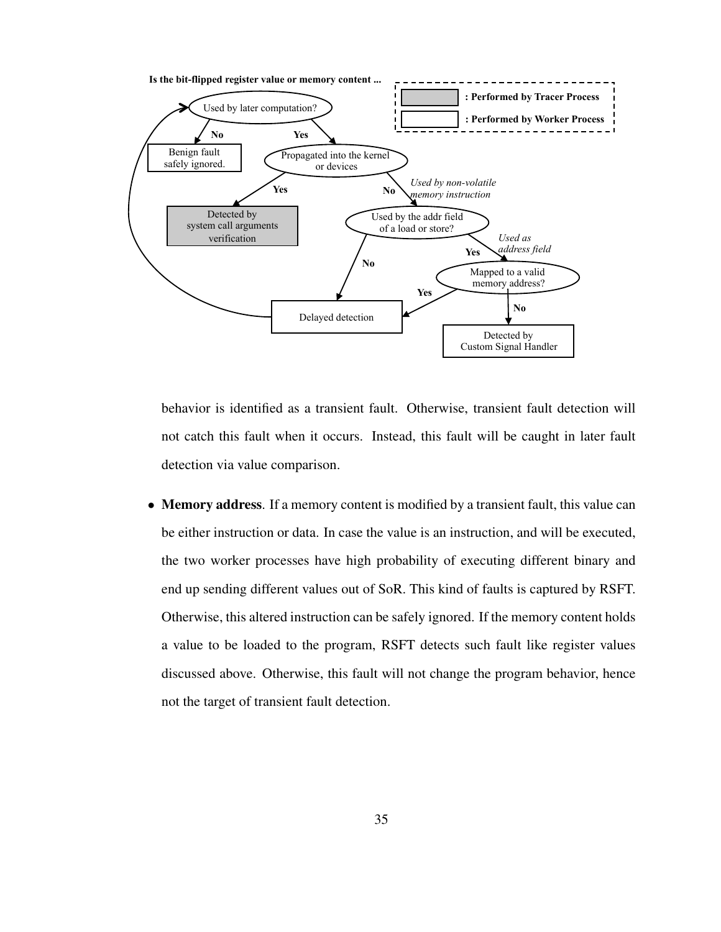

behavior is identified as a transient fault. Otherwise, transient fault detection will not catch this fault when it occurs. Instead, this fault will be caught in later fault detection via value comparison.

• Memory address. If a memory content is modified by a transient fault, this value can be either instruction or data. In case the value is an instruction, and will be executed, the two worker processes have high probability of executing different binary and end up sending different values out of SoR. This kind of faults is captured by RSFT. Otherwise, this altered instruction can be safely ignored. If the memory content holds a value to be loaded to the program, RSFT detects such fault like register values discussed above. Otherwise, this fault will not change the program behavior, hence not the target of transient fault detection.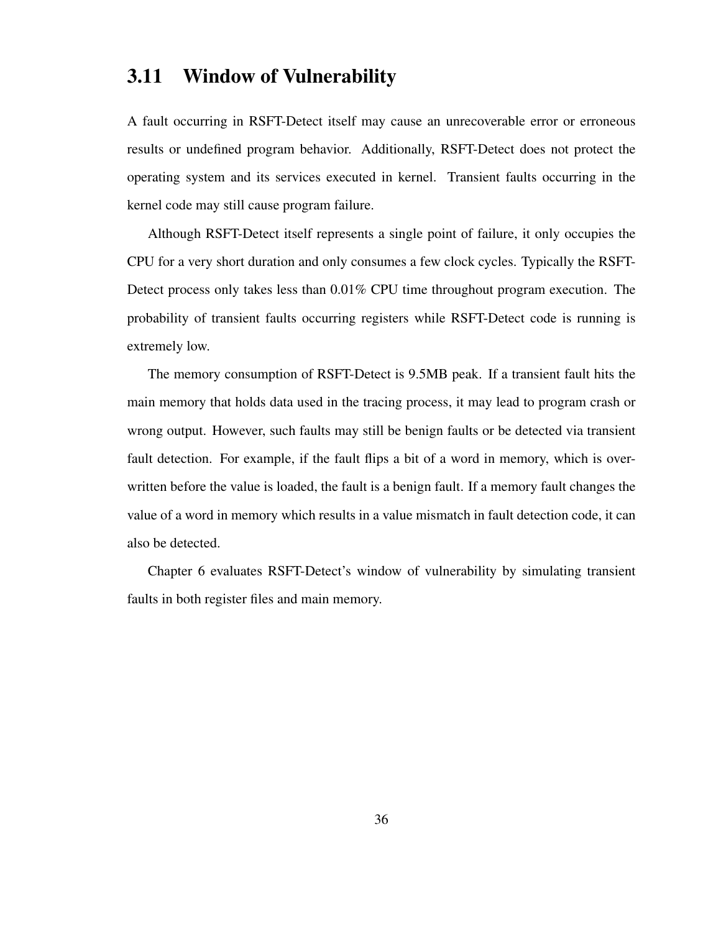### 3.11 Window of Vulnerability

A fault occurring in RSFT-Detect itself may cause an unrecoverable error or erroneous results or undefined program behavior. Additionally, RSFT-Detect does not protect the operating system and its services executed in kernel. Transient faults occurring in the kernel code may still cause program failure.

Although RSFT-Detect itself represents a single point of failure, it only occupies the CPU for a very short duration and only consumes a few clock cycles. Typically the RSFT-Detect process only takes less than 0.01% CPU time throughout program execution. The probability of transient faults occurring registers while RSFT-Detect code is running is extremely low.

The memory consumption of RSFT-Detect is 9.5MB peak. If a transient fault hits the main memory that holds data used in the tracing process, it may lead to program crash or wrong output. However, such faults may still be benign faults or be detected via transient fault detection. For example, if the fault flips a bit of a word in memory, which is overwritten before the value is loaded, the fault is a benign fault. If a memory fault changes the value of a word in memory which results in a value mismatch in fault detection code, it can also be detected.

Chapter 6 evaluates RSFT-Detect's window of vulnerability by simulating transient faults in both register files and main memory.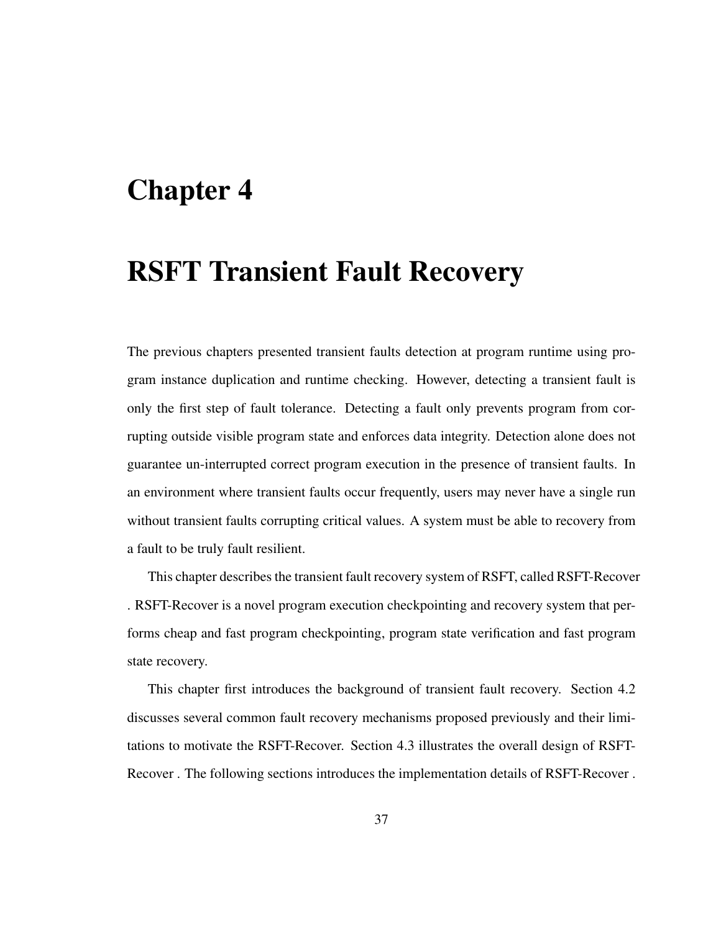# Chapter 4

# RSFT Transient Fault Recovery

The previous chapters presented transient faults detection at program runtime using program instance duplication and runtime checking. However, detecting a transient fault is only the first step of fault tolerance. Detecting a fault only prevents program from corrupting outside visible program state and enforces data integrity. Detection alone does not guarantee un-interrupted correct program execution in the presence of transient faults. In an environment where transient faults occur frequently, users may never have a single run without transient faults corrupting critical values. A system must be able to recovery from a fault to be truly fault resilient.

This chapter describes the transient fault recovery system of RSFT, called RSFT-Recover . RSFT-Recover is a novel program execution checkpointing and recovery system that performs cheap and fast program checkpointing, program state verification and fast program state recovery.

This chapter first introduces the background of transient fault recovery. Section 4.2 discusses several common fault recovery mechanisms proposed previously and their limitations to motivate the RSFT-Recover. Section 4.3 illustrates the overall design of RSFT-Recover . The following sections introduces the implementation details of RSFT-Recover .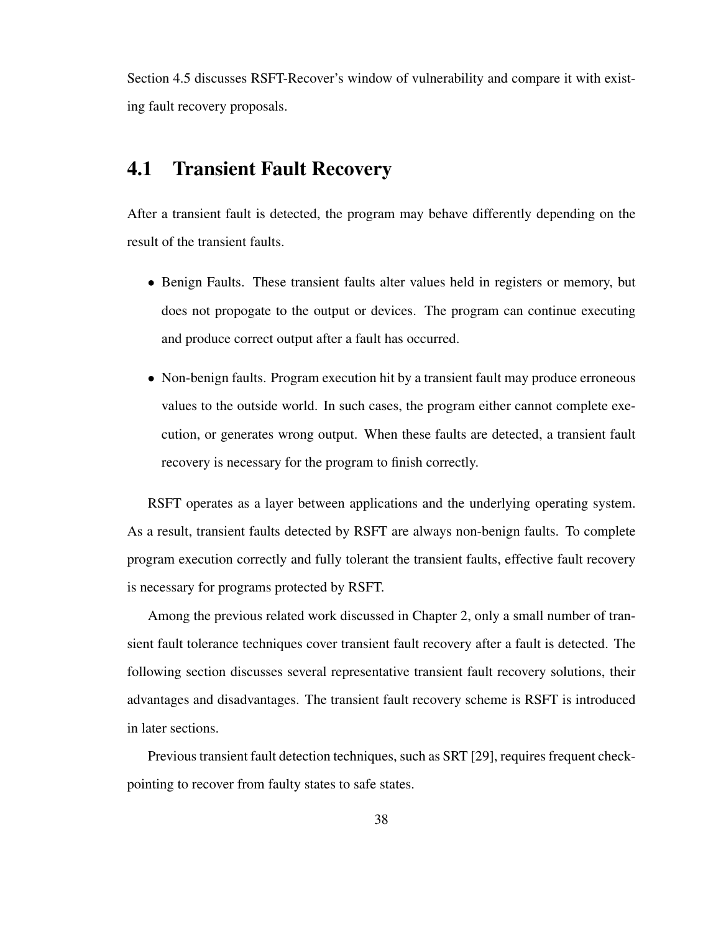Section 4.5 discusses RSFT-Recover's window of vulnerability and compare it with existing fault recovery proposals.

### 4.1 Transient Fault Recovery

After a transient fault is detected, the program may behave differently depending on the result of the transient faults.

- Benign Faults. These transient faults alter values held in registers or memory, but does not propogate to the output or devices. The program can continue executing and produce correct output after a fault has occurred.
- Non-benign faults. Program execution hit by a transient fault may produce erroneous values to the outside world. In such cases, the program either cannot complete execution, or generates wrong output. When these faults are detected, a transient fault recovery is necessary for the program to finish correctly.

RSFT operates as a layer between applications and the underlying operating system. As a result, transient faults detected by RSFT are always non-benign faults. To complete program execution correctly and fully tolerant the transient faults, effective fault recovery is necessary for programs protected by RSFT.

Among the previous related work discussed in Chapter 2, only a small number of transient fault tolerance techniques cover transient fault recovery after a fault is detected. The following section discusses several representative transient fault recovery solutions, their advantages and disadvantages. The transient fault recovery scheme is RSFT is introduced in later sections.

Previous transient fault detection techniques, such as SRT [29], requires frequent checkpointing to recover from faulty states to safe states.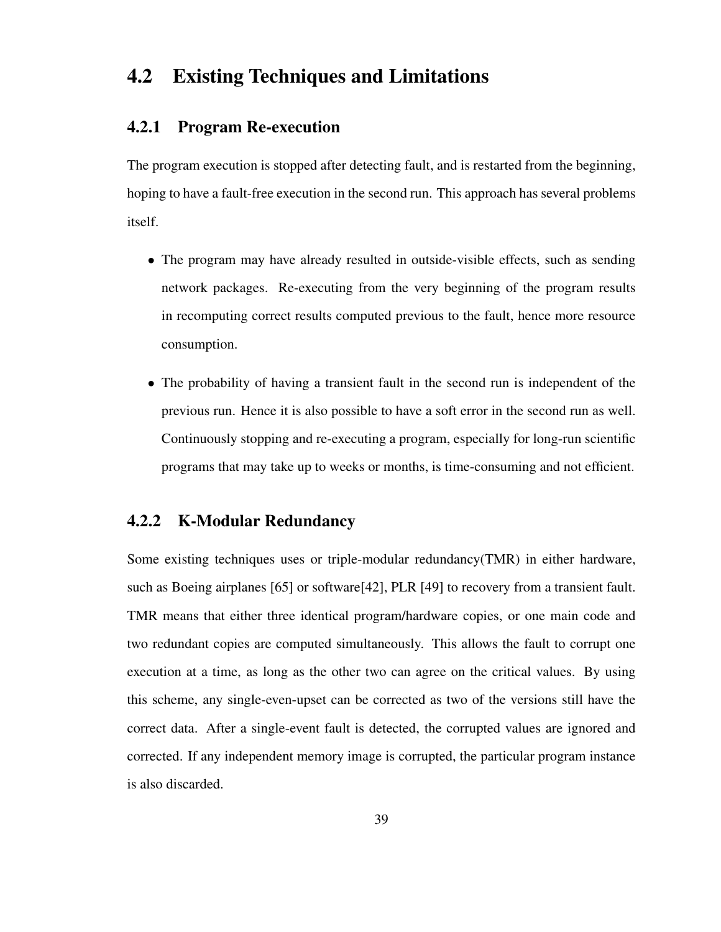### 4.2 Existing Techniques and Limitations

#### 4.2.1 Program Re-execution

The program execution is stopped after detecting fault, and is restarted from the beginning, hoping to have a fault-free execution in the second run. This approach has several problems itself.

- The program may have already resulted in outside-visible effects, such as sending network packages. Re-executing from the very beginning of the program results in recomputing correct results computed previous to the fault, hence more resource consumption.
- The probability of having a transient fault in the second run is independent of the previous run. Hence it is also possible to have a soft error in the second run as well. Continuously stopping and re-executing a program, especially for long-run scientific programs that may take up to weeks or months, is time-consuming and not efficient.

### 4.2.2 K-Modular Redundancy

Some existing techniques uses or triple-modular redundancy(TMR) in either hardware, such as Boeing airplanes [65] or software[42], PLR [49] to recovery from a transient fault. TMR means that either three identical program/hardware copies, or one main code and two redundant copies are computed simultaneously. This allows the fault to corrupt one execution at a time, as long as the other two can agree on the critical values. By using this scheme, any single-even-upset can be corrected as two of the versions still have the correct data. After a single-event fault is detected, the corrupted values are ignored and corrected. If any independent memory image is corrupted, the particular program instance is also discarded.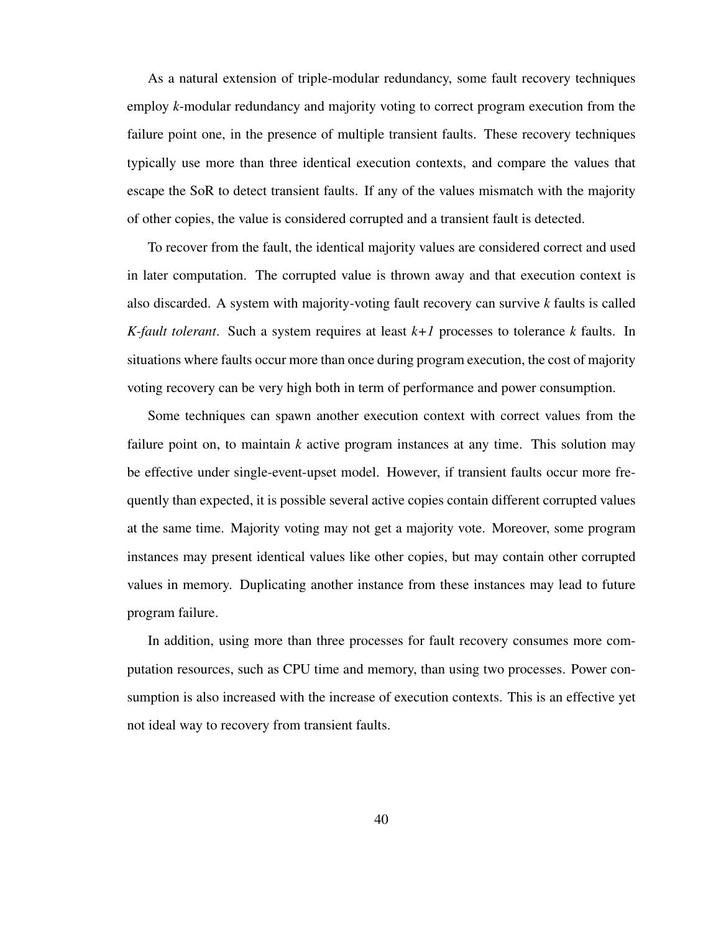As a natural extension of triple-modular redundancy, some fault recovery techniques employ *k*-modular redundancy and majority voting to correct program execution from the failure point one, in the presence of multiple transient faults. These recovery techniques typically use more than three identical execution contexts, and compare the values that escape the SoR to detect transient faults. If any of the values mismatch with the majority of other copies, the value is considered corrupted and a transient fault is detected.

To recover from the fault, the identical majority values are considered correct and used in later computation. The corrupted value is thrown away and that execution context is also discarded. A system with majority-voting fault recovery can survive *k* faults is called *K-fault tolerant*. Such a system requires at least *k+1* processes to tolerance *k* faults. In situations where faults occur more than once during program execution, the cost of majority voting recovery can be very high both in term of performance and power consumption.

Some techniques can spawn another execution context with correct values from the failure point on, to maintain *k* active program instances at any time. This solution may be effective under single-event-upset model. However, if transient faults occur more frequently than expected, it is possible several active copies contain different corrupted values at the same time. Majority voting may not get a majority vote. Moreover, some program instances may present identical values like other copies, but may contain other corrupted values in memory. Duplicating another instance from these instances may lead to future program failure.

In addition, using more than three processes for fault recovery consumes more computation resources, such as CPU time and memory, than using two processes. Power consumption is also increased with the increase of execution contexts. This is an effective yet not ideal way to recovery from transient faults.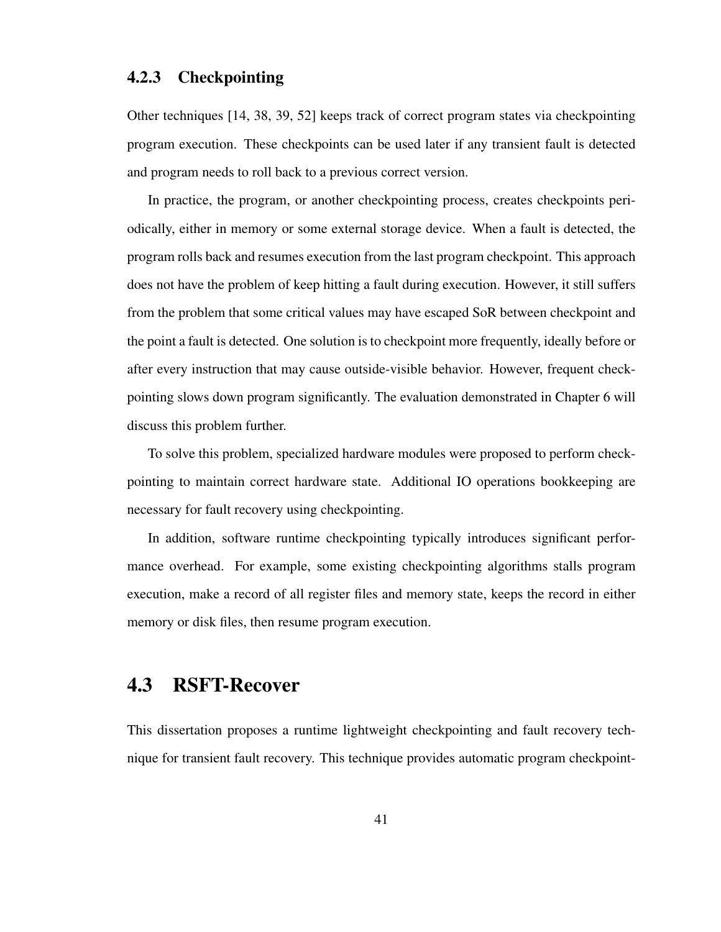#### 4.2.3 Checkpointing

Other techniques [14, 38, 39, 52] keeps track of correct program states via checkpointing program execution. These checkpoints can be used later if any transient fault is detected and program needs to roll back to a previous correct version.

In practice, the program, or another checkpointing process, creates checkpoints periodically, either in memory or some external storage device. When a fault is detected, the program rolls back and resumes execution from the last program checkpoint. This approach does not have the problem of keep hitting a fault during execution. However, it still suffers from the problem that some critical values may have escaped SoR between checkpoint and the point a fault is detected. One solution is to checkpoint more frequently, ideally before or after every instruction that may cause outside-visible behavior. However, frequent checkpointing slows down program significantly. The evaluation demonstrated in Chapter 6 will discuss this problem further.

To solve this problem, specialized hardware modules were proposed to perform checkpointing to maintain correct hardware state. Additional IO operations bookkeeping are necessary for fault recovery using checkpointing.

In addition, software runtime checkpointing typically introduces significant performance overhead. For example, some existing checkpointing algorithms stalls program execution, make a record of all register files and memory state, keeps the record in either memory or disk files, then resume program execution.

### 4.3 RSFT-Recover

This dissertation proposes a runtime lightweight checkpointing and fault recovery technique for transient fault recovery. This technique provides automatic program checkpoint-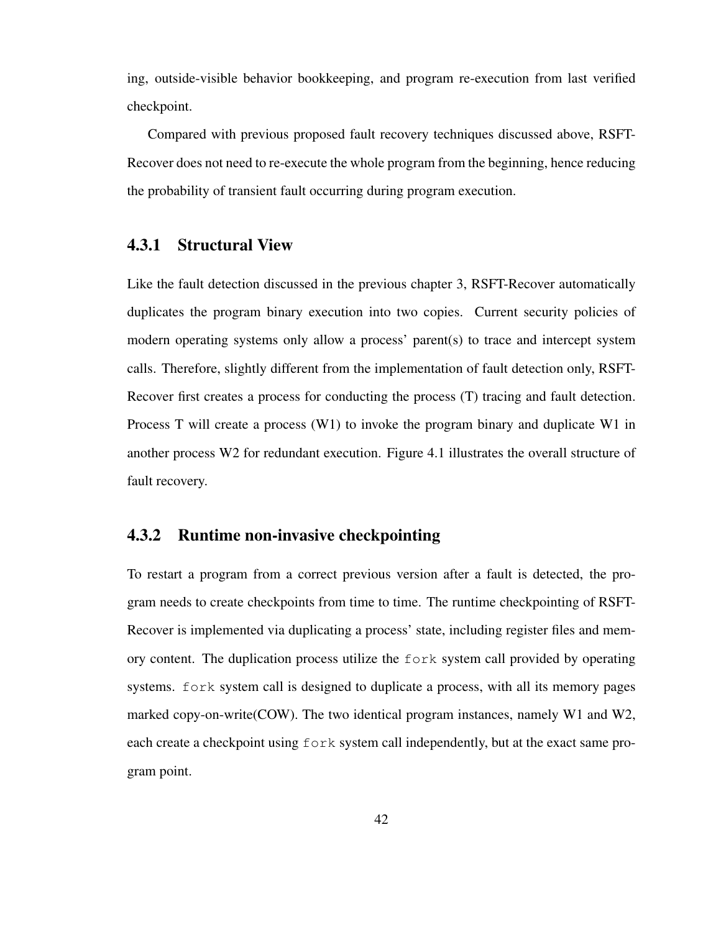ing, outside-visible behavior bookkeeping, and program re-execution from last verified checkpoint.

Compared with previous proposed fault recovery techniques discussed above, RSFT-Recover does not need to re-execute the whole program from the beginning, hence reducing the probability of transient fault occurring during program execution.

#### 4.3.1 Structural View

Like the fault detection discussed in the previous chapter 3, RSFT-Recover automatically duplicates the program binary execution into two copies. Current security policies of modern operating systems only allow a process' parent(s) to trace and intercept system calls. Therefore, slightly different from the implementation of fault detection only, RSFT-Recover first creates a process for conducting the process (T) tracing and fault detection. Process T will create a process (W1) to invoke the program binary and duplicate W1 in another process W2 for redundant execution. Figure 4.1 illustrates the overall structure of fault recovery.

#### 4.3.2 Runtime non-invasive checkpointing

To restart a program from a correct previous version after a fault is detected, the program needs to create checkpoints from time to time. The runtime checkpointing of RSFT-Recover is implemented via duplicating a process' state, including register files and memory content. The duplication process utilize the fork system call provided by operating systems. fork system call is designed to duplicate a process, with all its memory pages marked copy-on-write(COW). The two identical program instances, namely W1 and W2, each create a checkpoint using fork system call independently, but at the exact same program point.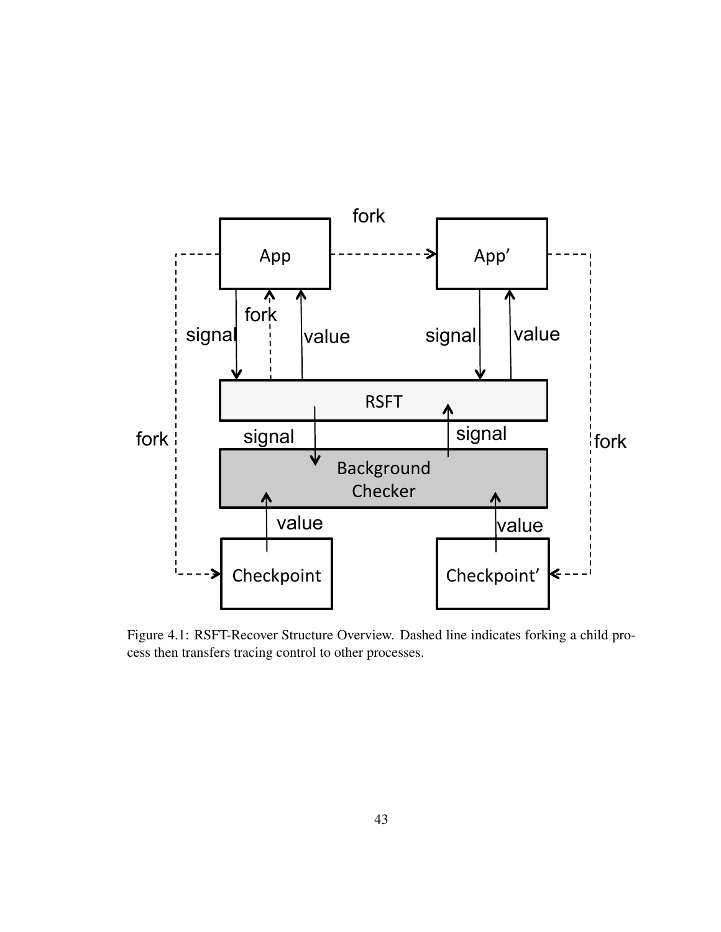

Figure 4.1: RSFT-Recover Structure Overview. Dashed line indicates forking a child process then transfers tracing control to other processes.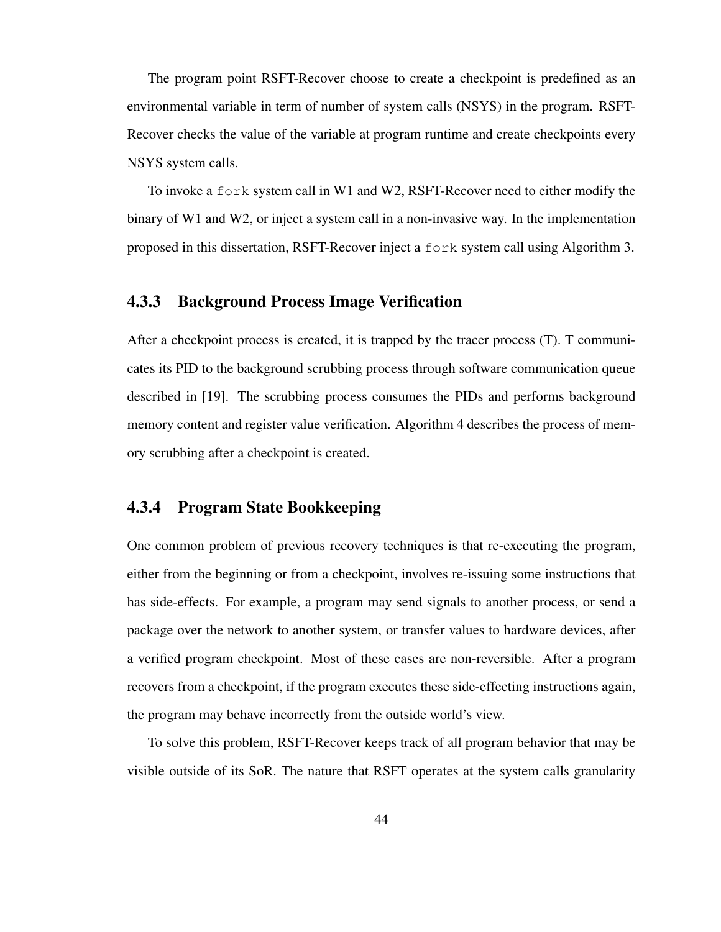The program point RSFT-Recover choose to create a checkpoint is predefined as an environmental variable in term of number of system calls (NSYS) in the program. RSFT-Recover checks the value of the variable at program runtime and create checkpoints every NSYS system calls.

To invoke a fork system call in W1 and W2, RSFT-Recover need to either modify the binary of W1 and W2, or inject a system call in a non-invasive way. In the implementation proposed in this dissertation, RSFT-Recover inject a fork system call using Algorithm 3.

#### 4.3.3 Background Process Image Verification

After a checkpoint process is created, it is trapped by the tracer process (T). T communicates its PID to the background scrubbing process through software communication queue described in [19]. The scrubbing process consumes the PIDs and performs background memory content and register value verification. Algorithm 4 describes the process of memory scrubbing after a checkpoint is created.

#### 4.3.4 Program State Bookkeeping

One common problem of previous recovery techniques is that re-executing the program, either from the beginning or from a checkpoint, involves re-issuing some instructions that has side-effects. For example, a program may send signals to another process, or send a package over the network to another system, or transfer values to hardware devices, after a verified program checkpoint. Most of these cases are non-reversible. After a program recovers from a checkpoint, if the program executes these side-effecting instructions again, the program may behave incorrectly from the outside world's view.

To solve this problem, RSFT-Recover keeps track of all program behavior that may be visible outside of its SoR. The nature that RSFT operates at the system calls granularity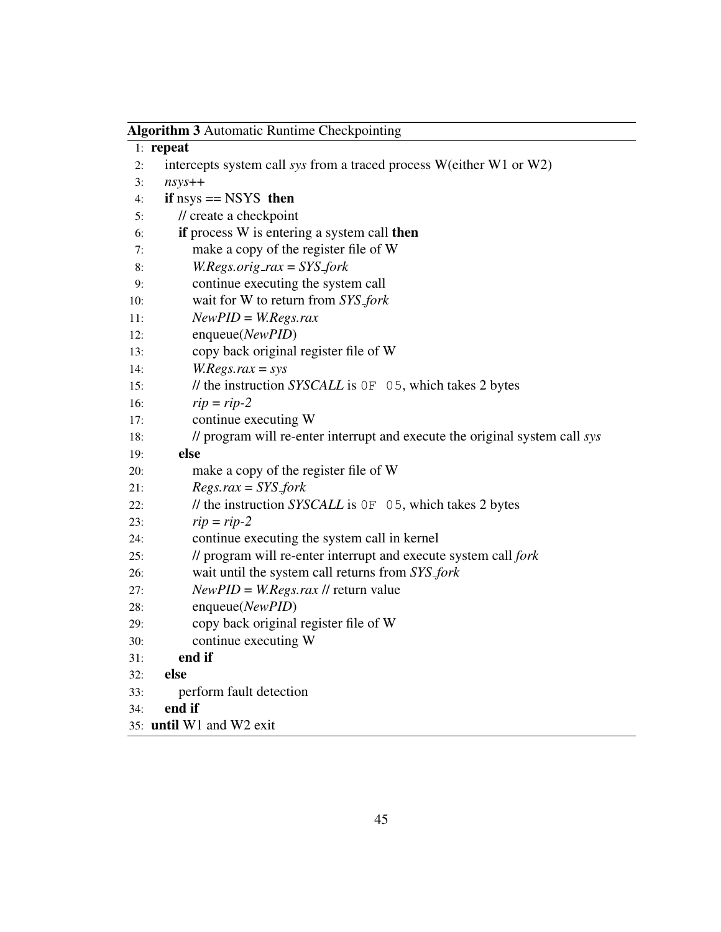|     | <b>Algorithm 3 Automatic Runtime Checkpointing</b>                          |  |  |  |
|-----|-----------------------------------------------------------------------------|--|--|--|
|     | $1:$ repeat                                                                 |  |  |  |
| 2:  | intercepts system call sys from a traced process W(either W1 or W2)         |  |  |  |
| 3:  | $n$ sys++                                                                   |  |  |  |
| 4:  | if $nsys == NSYS$ then                                                      |  |  |  |
| 5:  | // create a checkpoint                                                      |  |  |  |
| 6:  | if process W is entering a system call then                                 |  |  |  |
| 7:  | make a copy of the register file of W                                       |  |  |  |
| 8:  | $W. Regs. orig\_rax = SYSTEM$                                               |  |  |  |
| 9:  | continue executing the system call                                          |  |  |  |
| 10: | wait for W to return from SYS_fork                                          |  |  |  |
| 11: | $NewPID = W. Regs.rax$                                                      |  |  |  |
| 12: | enqueue(NewPID)                                                             |  |  |  |
| 13: | copy back original register file of W                                       |  |  |  |
| 14: | $W. Regs.rax = sys$                                                         |  |  |  |
| 15: | // the instruction SYSCALL is 0F 05, which takes 2 bytes                    |  |  |  |
| 16: | $rip = rip-2$                                                               |  |  |  |
| 17: | continue executing W                                                        |  |  |  |
| 18: | // program will re-enter interrupt and execute the original system call sys |  |  |  |
| 19: | else                                                                        |  |  |  |
| 20: | make a copy of the register file of W                                       |  |  |  |
| 21: | $Regs.rax = SYS_fork$                                                       |  |  |  |
| 22: | // the instruction SYSCALL is 0F 05, which takes 2 bytes                    |  |  |  |
| 23: | $rip = rip-2$                                                               |  |  |  |
| 24: | continue executing the system call in kernel                                |  |  |  |
| 25: | // program will re-enter interrupt and execute system call fork             |  |  |  |
| 26: | wait until the system call returns from SYS_fork                            |  |  |  |
| 27: | $NewPID = W. Regs. raz$ // return value                                     |  |  |  |
| 28: | enqueue(NewPID)                                                             |  |  |  |
| 29: | copy back original register file of W                                       |  |  |  |
| 30: | continue executing W                                                        |  |  |  |
| 31: | end if                                                                      |  |  |  |
| 32: | else                                                                        |  |  |  |
| 33: | perform fault detection                                                     |  |  |  |
| 34: | end if                                                                      |  |  |  |
|     | 35: until W1 and W2 exit                                                    |  |  |  |

 $\overline{\phantom{0}}$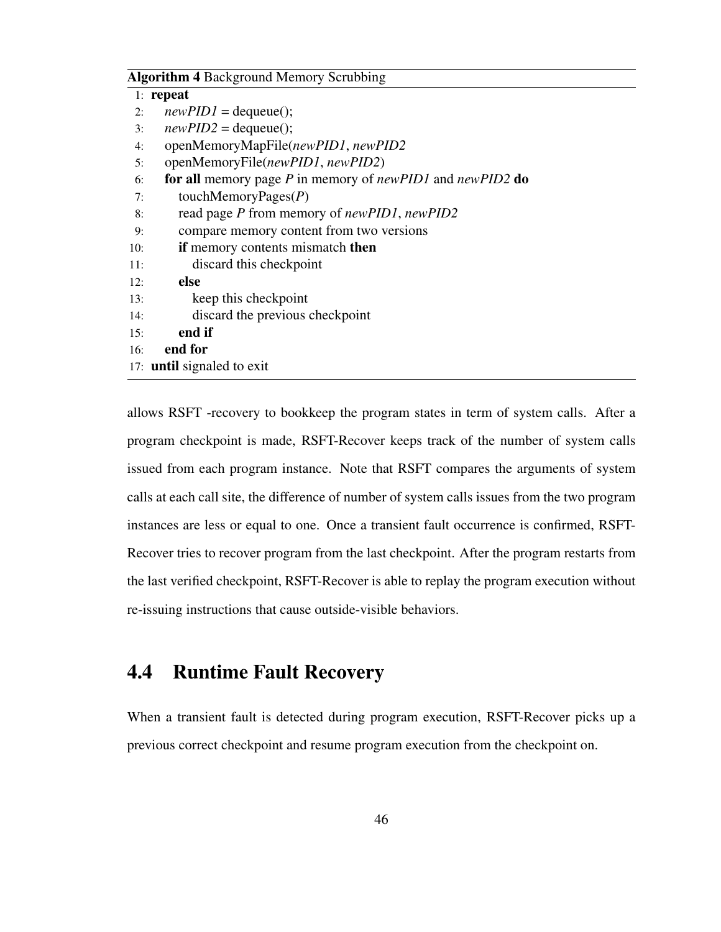#### Algorithm 4 Background Memory Scrubbing

|     | $1:$ repeat                                               |
|-----|-----------------------------------------------------------|
| 2:  | $newPID1 = \text{dequeue}$ ;                              |
| 3:  | $newPID2 = \text{dequeue}$ ;                              |
| 4:  | openMemoryMapFile(newPID1, newPID2                        |
| 5:  | openMemoryFile( <i>newPID1</i> , <i>newPID2</i> )         |
| 6:  | for all memory page P in memory of newPID1 and newPID2 do |
| 7:  | touchMemoryPages $(P)$                                    |
| 8:  | read page P from memory of newPID1, newPID2               |
| 9:  | compare memory content from two versions                  |
| 10: | if memory contents mismatch then                          |
| 11: | discard this checkpoint                                   |
| 12: | else                                                      |
| 13: | keep this checkpoint                                      |
| 14: | discard the previous checkpoint                           |
| 15: | end if                                                    |
| 16: | end for                                                   |
|     | 17: <b>until</b> signaled to exit                         |

allows RSFT -recovery to bookkeep the program states in term of system calls. After a program checkpoint is made, RSFT-Recover keeps track of the number of system calls issued from each program instance. Note that RSFT compares the arguments of system calls at each call site, the difference of number of system calls issues from the two program instances are less or equal to one. Once a transient fault occurrence is confirmed, RSFT-Recover tries to recover program from the last checkpoint. After the program restarts from the last verified checkpoint, RSFT-Recover is able to replay the program execution without re-issuing instructions that cause outside-visible behaviors.

### 4.4 Runtime Fault Recovery

When a transient fault is detected during program execution, RSFT-Recover picks up a previous correct checkpoint and resume program execution from the checkpoint on.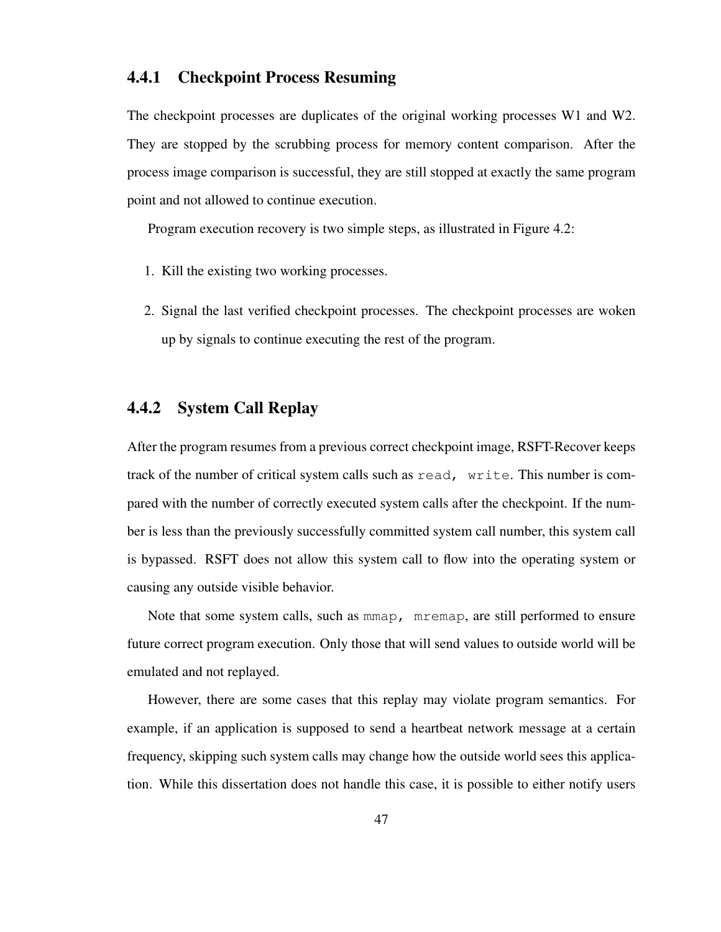#### 4.4.1 Checkpoint Process Resuming

The checkpoint processes are duplicates of the original working processes W1 and W2. They are stopped by the scrubbing process for memory content comparison. After the process image comparison is successful, they are still stopped at exactly the same program point and not allowed to continue execution.

Program execution recovery is two simple steps, as illustrated in Figure 4.2:

- 1. Kill the existing two working processes.
- 2. Signal the last verified checkpoint processes. The checkpoint processes are woken up by signals to continue executing the rest of the program.

### 4.4.2 System Call Replay

After the program resumes from a previous correct checkpoint image, RSFT-Recover keeps track of the number of critical system calls such as read, write. This number is compared with the number of correctly executed system calls after the checkpoint. If the number is less than the previously successfully committed system call number, this system call is bypassed. RSFT does not allow this system call to flow into the operating system or causing any outside visible behavior.

Note that some system calls, such as mmap, mremap, are still performed to ensure future correct program execution. Only those that will send values to outside world will be emulated and not replayed.

However, there are some cases that this replay may violate program semantics. For example, if an application is supposed to send a heartbeat network message at a certain frequency, skipping such system calls may change how the outside world sees this application. While this dissertation does not handle this case, it is possible to either notify users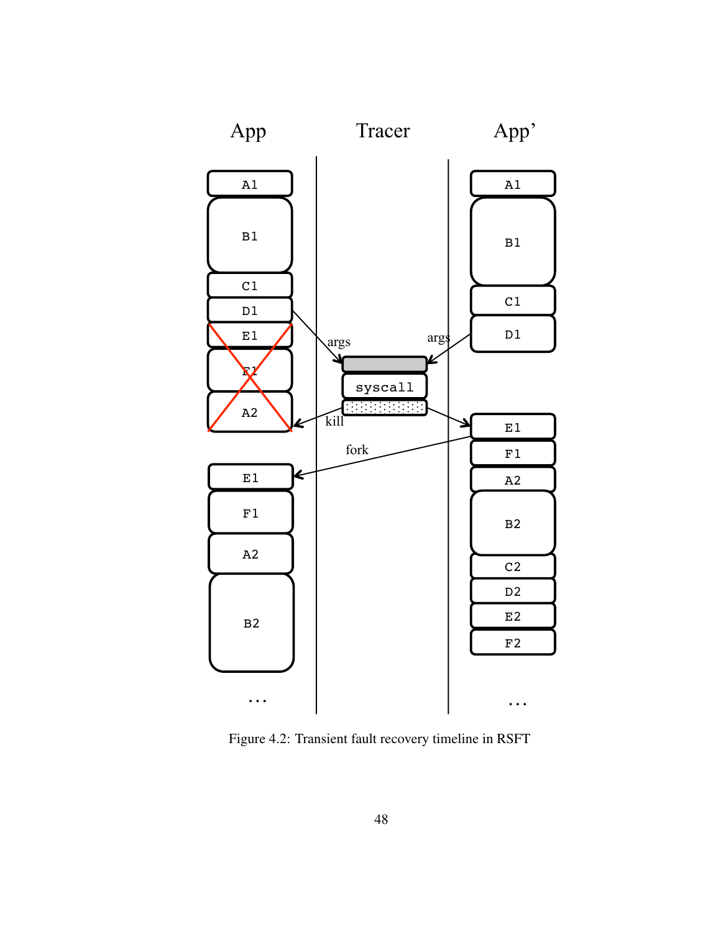

Figure 4.2: Transient fault recovery timeline in RSFT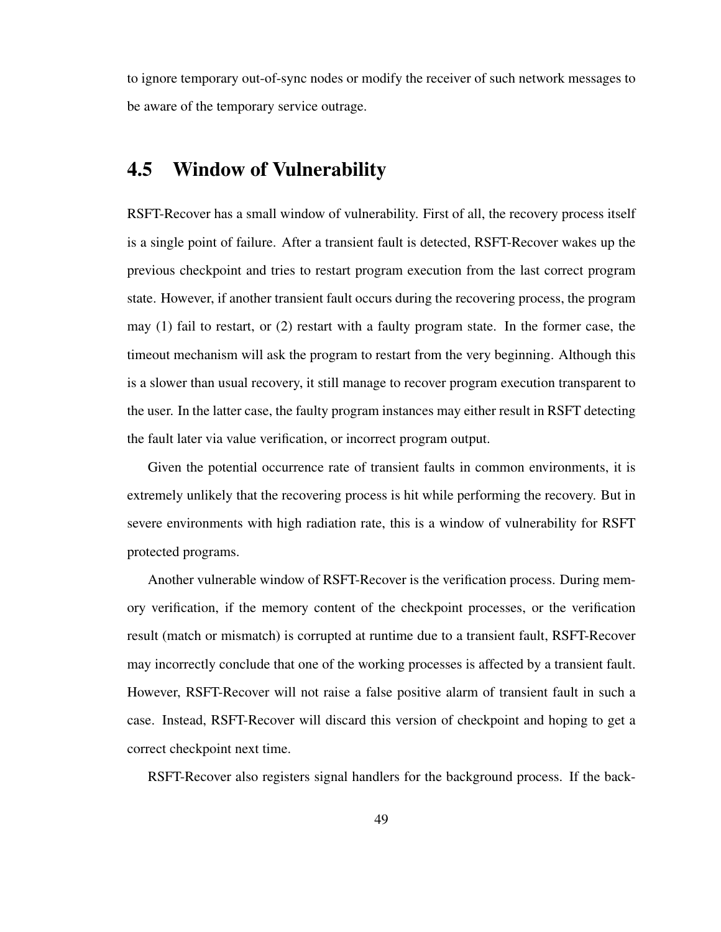to ignore temporary out-of-sync nodes or modify the receiver of such network messages to be aware of the temporary service outrage.

### 4.5 Window of Vulnerability

RSFT-Recover has a small window of vulnerability. First of all, the recovery process itself is a single point of failure. After a transient fault is detected, RSFT-Recover wakes up the previous checkpoint and tries to restart program execution from the last correct program state. However, if another transient fault occurs during the recovering process, the program may (1) fail to restart, or (2) restart with a faulty program state. In the former case, the timeout mechanism will ask the program to restart from the very beginning. Although this is a slower than usual recovery, it still manage to recover program execution transparent to the user. In the latter case, the faulty program instances may either result in RSFT detecting the fault later via value verification, or incorrect program output.

Given the potential occurrence rate of transient faults in common environments, it is extremely unlikely that the recovering process is hit while performing the recovery. But in severe environments with high radiation rate, this is a window of vulnerability for RSFT protected programs.

Another vulnerable window of RSFT-Recover is the verification process. During memory verification, if the memory content of the checkpoint processes, or the verification result (match or mismatch) is corrupted at runtime due to a transient fault, RSFT-Recover may incorrectly conclude that one of the working processes is affected by a transient fault. However, RSFT-Recover will not raise a false positive alarm of transient fault in such a case. Instead, RSFT-Recover will discard this version of checkpoint and hoping to get a correct checkpoint next time.

RSFT-Recover also registers signal handlers for the background process. If the back-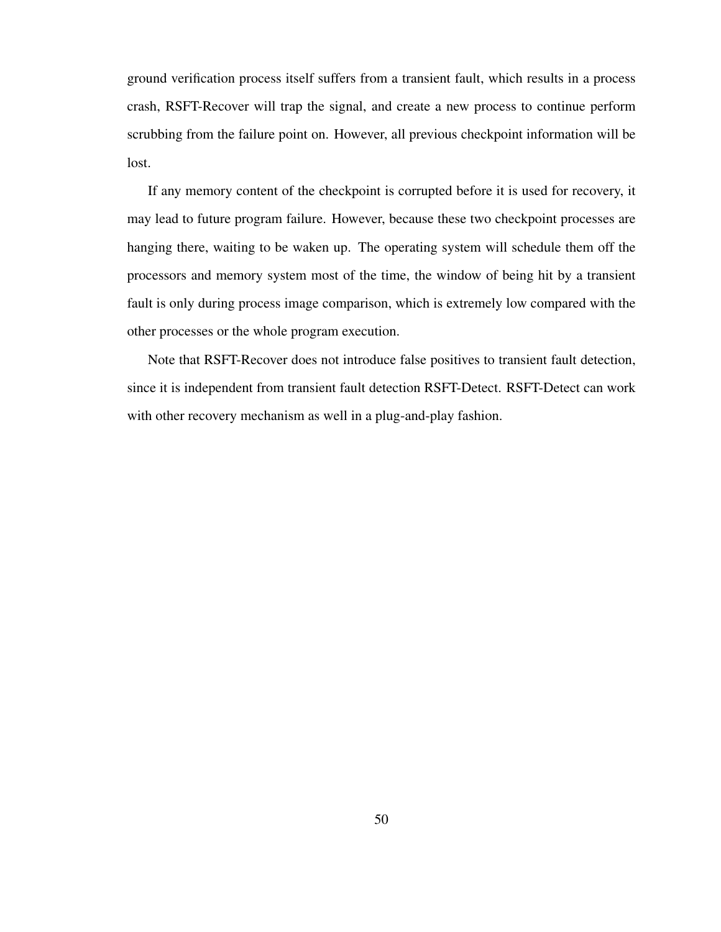ground verification process itself suffers from a transient fault, which results in a process crash, RSFT-Recover will trap the signal, and create a new process to continue perform scrubbing from the failure point on. However, all previous checkpoint information will be lost.

If any memory content of the checkpoint is corrupted before it is used for recovery, it may lead to future program failure. However, because these two checkpoint processes are hanging there, waiting to be waken up. The operating system will schedule them off the processors and memory system most of the time, the window of being hit by a transient fault is only during process image comparison, which is extremely low compared with the other processes or the whole program execution.

Note that RSFT-Recover does not introduce false positives to transient fault detection, since it is independent from transient fault detection RSFT-Detect. RSFT-Detect can work with other recovery mechanism as well in a plug-and-play fashion.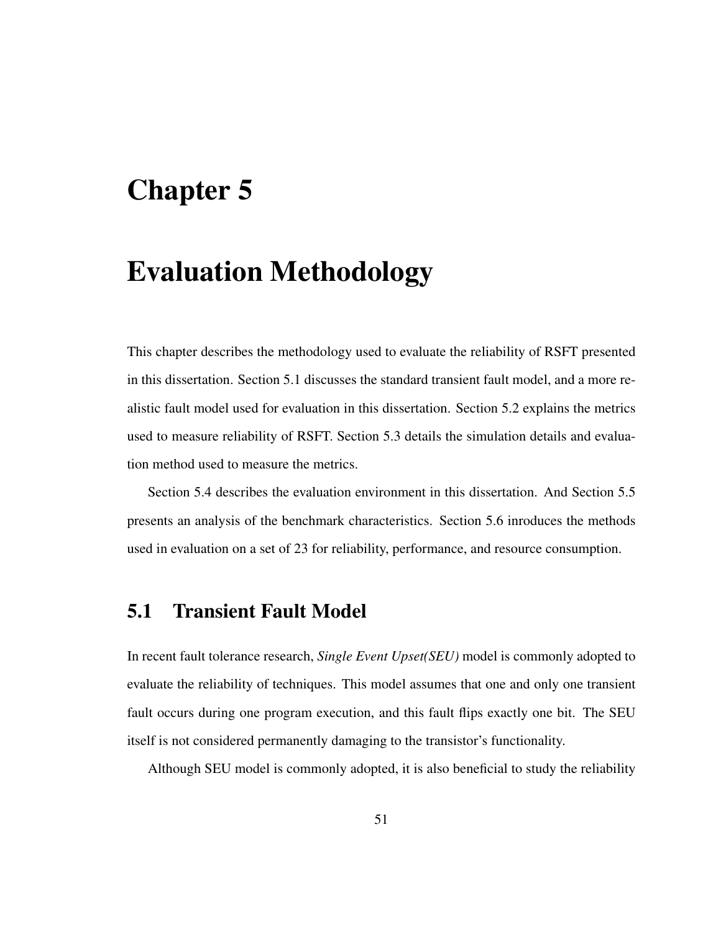# Chapter 5

# Evaluation Methodology

This chapter describes the methodology used to evaluate the reliability of RSFT presented in this dissertation. Section 5.1 discusses the standard transient fault model, and a more realistic fault model used for evaluation in this dissertation. Section 5.2 explains the metrics used to measure reliability of RSFT. Section 5.3 details the simulation details and evaluation method used to measure the metrics.

Section 5.4 describes the evaluation environment in this dissertation. And Section 5.5 presents an analysis of the benchmark characteristics. Section 5.6 inroduces the methods used in evaluation on a set of 23 for reliability, performance, and resource consumption.

### 5.1 Transient Fault Model

In recent fault tolerance research, *Single Event Upset(SEU)* model is commonly adopted to evaluate the reliability of techniques. This model assumes that one and only one transient fault occurs during one program execution, and this fault flips exactly one bit. The SEU itself is not considered permanently damaging to the transistor's functionality.

Although SEU model is commonly adopted, it is also beneficial to study the reliability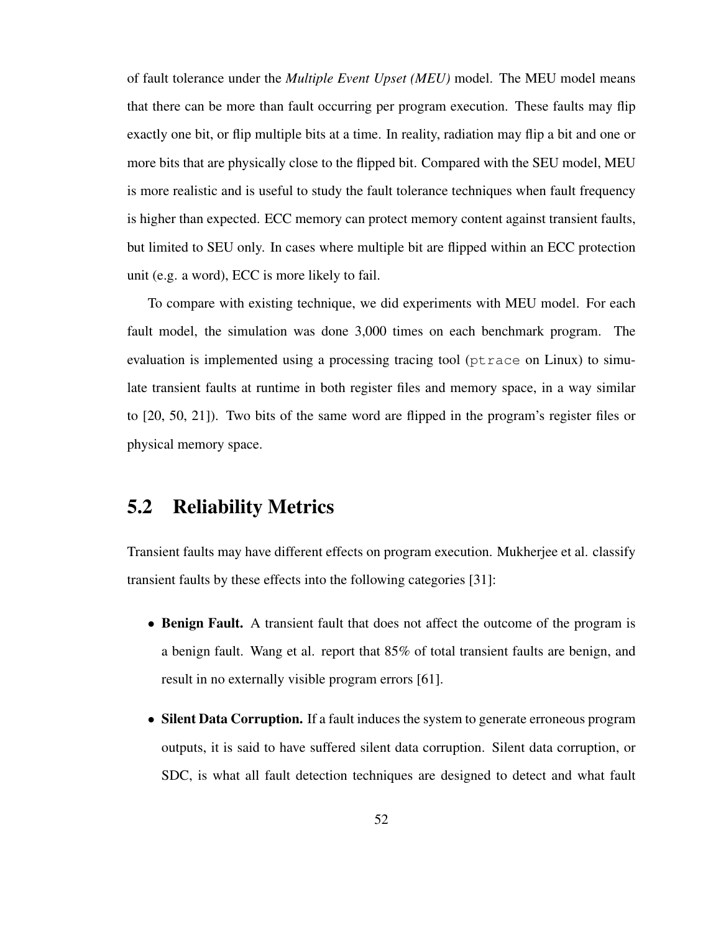of fault tolerance under the *Multiple Event Upset (MEU)* model. The MEU model means that there can be more than fault occurring per program execution. These faults may flip exactly one bit, or flip multiple bits at a time. In reality, radiation may flip a bit and one or more bits that are physically close to the flipped bit. Compared with the SEU model, MEU is more realistic and is useful to study the fault tolerance techniques when fault frequency is higher than expected. ECC memory can protect memory content against transient faults, but limited to SEU only. In cases where multiple bit are flipped within an ECC protection unit (e.g. a word), ECC is more likely to fail.

To compare with existing technique, we did experiments with MEU model. For each fault model, the simulation was done 3,000 times on each benchmark program. The evaluation is implemented using a processing tracing tool (ptrace on Linux) to simulate transient faults at runtime in both register files and memory space, in a way similar to [20, 50, 21]). Two bits of the same word are flipped in the program's register files or physical memory space.

### 5.2 Reliability Metrics

Transient faults may have different effects on program execution. Mukherjee et al. classify transient faults by these effects into the following categories [31]:

- Benign Fault. A transient fault that does not affect the outcome of the program is a benign fault. Wang et al. report that 85% of total transient faults are benign, and result in no externally visible program errors [61].
- Silent Data Corruption. If a fault induces the system to generate erroneous program outputs, it is said to have suffered silent data corruption. Silent data corruption, or SDC, is what all fault detection techniques are designed to detect and what fault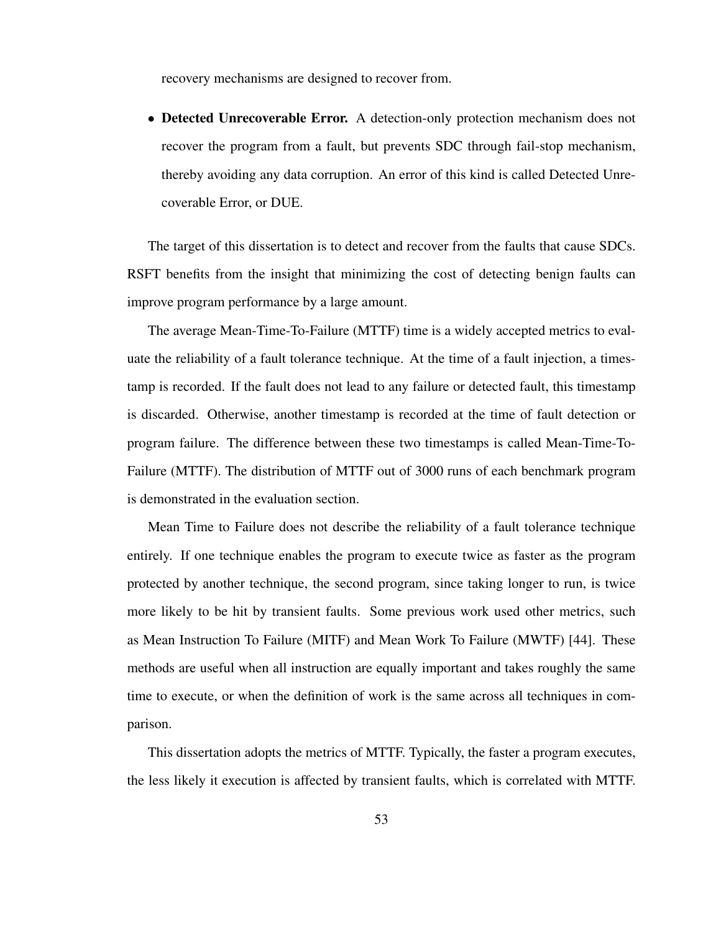recovery mechanisms are designed to recover from.

• Detected Unrecoverable Error. A detection-only protection mechanism does not recover the program from a fault, but prevents SDC through fail-stop mechanism, thereby avoiding any data corruption. An error of this kind is called Detected Unrecoverable Error, or DUE.

The target of this dissertation is to detect and recover from the faults that cause SDCs. RSFT benefits from the insight that minimizing the cost of detecting benign faults can improve program performance by a large amount.

The average Mean-Time-To-Failure (MTTF) time is a widely accepted metrics to evaluate the reliability of a fault tolerance technique. At the time of a fault injection, a timestamp is recorded. If the fault does not lead to any failure or detected fault, this timestamp is discarded. Otherwise, another timestamp is recorded at the time of fault detection or program failure. The difference between these two timestamps is called Mean-Time-To-Failure (MTTF). The distribution of MTTF out of 3000 runs of each benchmark program is demonstrated in the evaluation section.

Mean Time to Failure does not describe the reliability of a fault tolerance technique entirely. If one technique enables the program to execute twice as faster as the program protected by another technique, the second program, since taking longer to run, is twice more likely to be hit by transient faults. Some previous work used other metrics, such as Mean Instruction To Failure (MITF) and Mean Work To Failure (MWTF) [44]. These methods are useful when all instruction are equally important and takes roughly the same time to execute, or when the definition of work is the same across all techniques in comparison.

This dissertation adopts the metrics of MTTF. Typically, the faster a program executes, the less likely it execution is affected by transient faults, which is correlated with MTTF.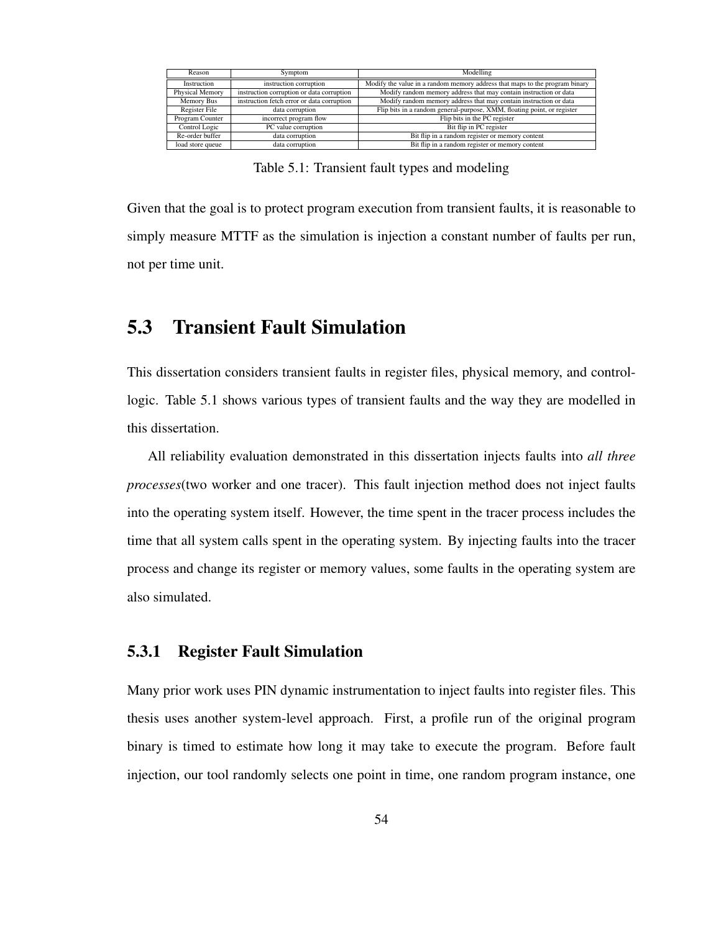| Reason                                                              | Symptom                | Modelling                                                                   |
|---------------------------------------------------------------------|------------------------|-----------------------------------------------------------------------------|
| Instruction                                                         | instruction corruption | Modify the value in a random memory address that maps to the program binary |
| instruction corruption or data corruption<br><b>Physical Memory</b> |                        | Modify random memory address that may contain instruction or data           |
| instruction fetch error or data corruption<br>Memory Bus            |                        | Modify random memory address that may contain instruction or data           |
| Register File<br>data corruption                                    |                        | Flip bits in a random general-purpose, XMM, floating point, or register     |
| Program Counter<br>incorrect program flow                           |                        | Flip bits in the PC register                                                |
| PC value corruption<br>Control Logic                                |                        | Bit flip in PC register                                                     |
| Re-order buffer<br>data corruption                                  |                        | Bit flip in a random register or memory content                             |
| data corruption<br>load store queue                                 |                        | Bit flip in a random register or memory content                             |

Table 5.1: Transient fault types and modeling

Given that the goal is to protect program execution from transient faults, it is reasonable to simply measure MTTF as the simulation is injection a constant number of faults per run, not per time unit.

## 5.3 Transient Fault Simulation

This dissertation considers transient faults in register files, physical memory, and controllogic. Table 5.1 shows various types of transient faults and the way they are modelled in this dissertation.

All reliability evaluation demonstrated in this dissertation injects faults into *all three processes*(two worker and one tracer). This fault injection method does not inject faults into the operating system itself. However, the time spent in the tracer process includes the time that all system calls spent in the operating system. By injecting faults into the tracer process and change its register or memory values, some faults in the operating system are also simulated.

#### 5.3.1 Register Fault Simulation

Many prior work uses PIN dynamic instrumentation to inject faults into register files. This thesis uses another system-level approach. First, a profile run of the original program binary is timed to estimate how long it may take to execute the program. Before fault injection, our tool randomly selects one point in time, one random program instance, one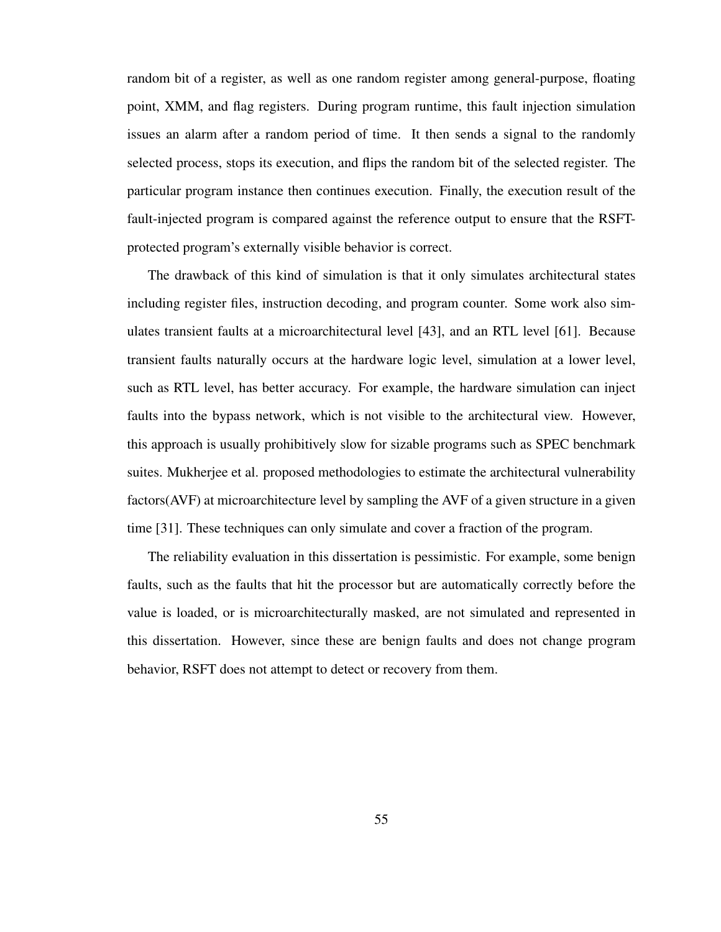random bit of a register, as well as one random register among general-purpose, floating point, XMM, and flag registers. During program runtime, this fault injection simulation issues an alarm after a random period of time. It then sends a signal to the randomly selected process, stops its execution, and flips the random bit of the selected register. The particular program instance then continues execution. Finally, the execution result of the fault-injected program is compared against the reference output to ensure that the RSFTprotected program's externally visible behavior is correct.

The drawback of this kind of simulation is that it only simulates architectural states including register files, instruction decoding, and program counter. Some work also simulates transient faults at a microarchitectural level [43], and an RTL level [61]. Because transient faults naturally occurs at the hardware logic level, simulation at a lower level, such as RTL level, has better accuracy. For example, the hardware simulation can inject faults into the bypass network, which is not visible to the architectural view. However, this approach is usually prohibitively slow for sizable programs such as SPEC benchmark suites. Mukherjee et al. proposed methodologies to estimate the architectural vulnerability factors(AVF) at microarchitecture level by sampling the AVF of a given structure in a given time [31]. These techniques can only simulate and cover a fraction of the program.

The reliability evaluation in this dissertation is pessimistic. For example, some benign faults, such as the faults that hit the processor but are automatically correctly before the value is loaded, or is microarchitecturally masked, are not simulated and represented in this dissertation. However, since these are benign faults and does not change program behavior, RSFT does not attempt to detect or recovery from them.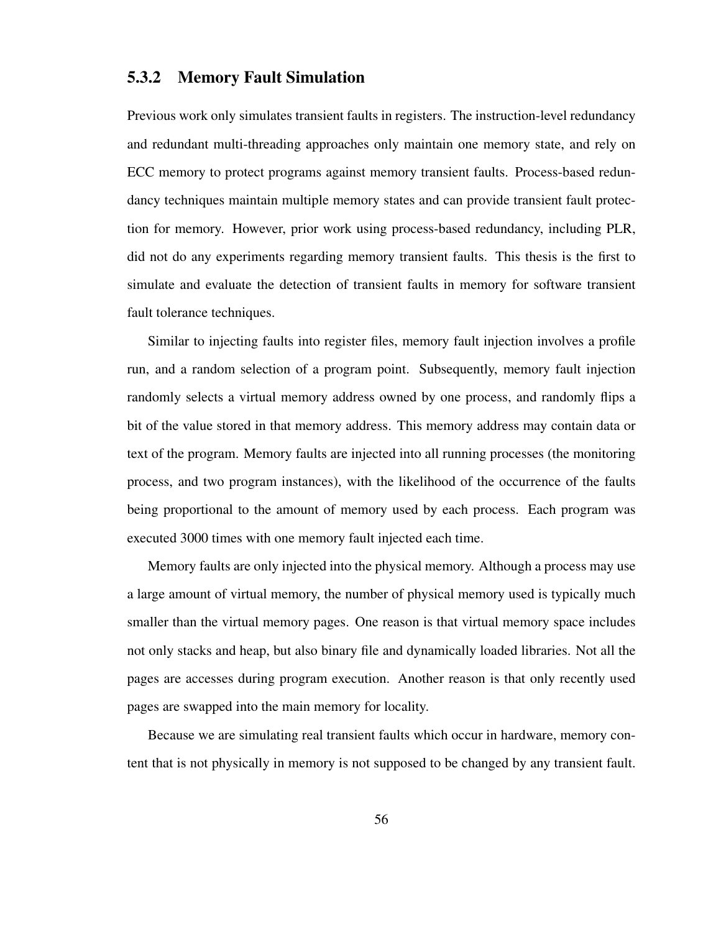### 5.3.2 Memory Fault Simulation

Previous work only simulates transient faults in registers. The instruction-level redundancy and redundant multi-threading approaches only maintain one memory state, and rely on ECC memory to protect programs against memory transient faults. Process-based redundancy techniques maintain multiple memory states and can provide transient fault protection for memory. However, prior work using process-based redundancy, including PLR, did not do any experiments regarding memory transient faults. This thesis is the first to simulate and evaluate the detection of transient faults in memory for software transient fault tolerance techniques.

Similar to injecting faults into register files, memory fault injection involves a profile run, and a random selection of a program point. Subsequently, memory fault injection randomly selects a virtual memory address owned by one process, and randomly flips a bit of the value stored in that memory address. This memory address may contain data or text of the program. Memory faults are injected into all running processes (the monitoring process, and two program instances), with the likelihood of the occurrence of the faults being proportional to the amount of memory used by each process. Each program was executed 3000 times with one memory fault injected each time.

Memory faults are only injected into the physical memory. Although a process may use a large amount of virtual memory, the number of physical memory used is typically much smaller than the virtual memory pages. One reason is that virtual memory space includes not only stacks and heap, but also binary file and dynamically loaded libraries. Not all the pages are accesses during program execution. Another reason is that only recently used pages are swapped into the main memory for locality.

Because we are simulating real transient faults which occur in hardware, memory content that is not physically in memory is not supposed to be changed by any transient fault.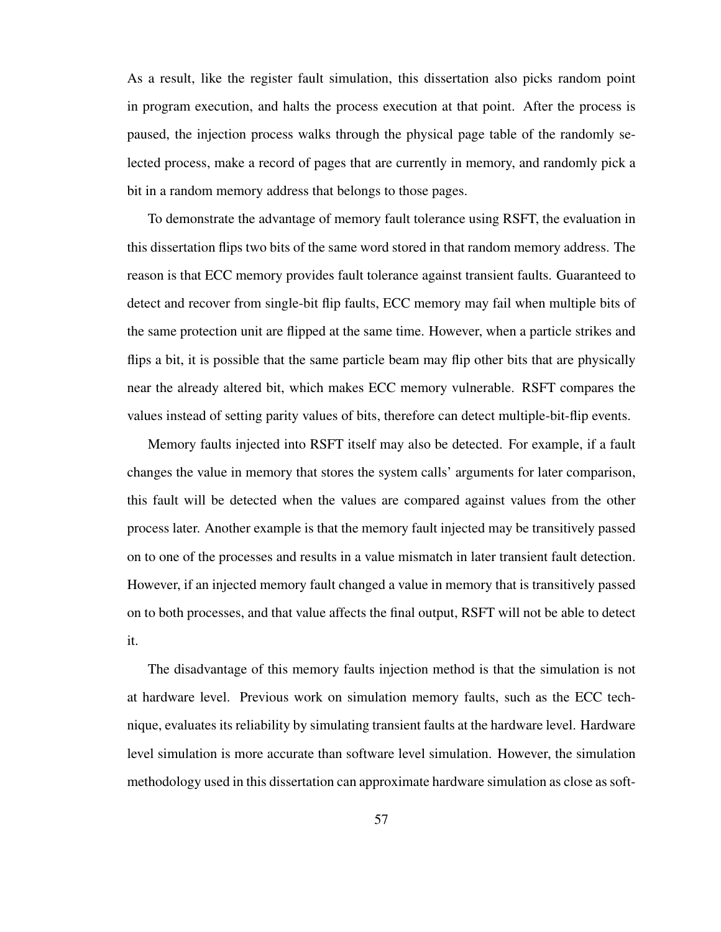As a result, like the register fault simulation, this dissertation also picks random point in program execution, and halts the process execution at that point. After the process is paused, the injection process walks through the physical page table of the randomly selected process, make a record of pages that are currently in memory, and randomly pick a bit in a random memory address that belongs to those pages.

To demonstrate the advantage of memory fault tolerance using RSFT, the evaluation in this dissertation flips two bits of the same word stored in that random memory address. The reason is that ECC memory provides fault tolerance against transient faults. Guaranteed to detect and recover from single-bit flip faults, ECC memory may fail when multiple bits of the same protection unit are flipped at the same time. However, when a particle strikes and flips a bit, it is possible that the same particle beam may flip other bits that are physically near the already altered bit, which makes ECC memory vulnerable. RSFT compares the values instead of setting parity values of bits, therefore can detect multiple-bit-flip events.

Memory faults injected into RSFT itself may also be detected. For example, if a fault changes the value in memory that stores the system calls' arguments for later comparison, this fault will be detected when the values are compared against values from the other process later. Another example is that the memory fault injected may be transitively passed on to one of the processes and results in a value mismatch in later transient fault detection. However, if an injected memory fault changed a value in memory that is transitively passed on to both processes, and that value affects the final output, RSFT will not be able to detect it.

The disadvantage of this memory faults injection method is that the simulation is not at hardware level. Previous work on simulation memory faults, such as the ECC technique, evaluates its reliability by simulating transient faults at the hardware level. Hardware level simulation is more accurate than software level simulation. However, the simulation methodology used in this dissertation can approximate hardware simulation as close as soft-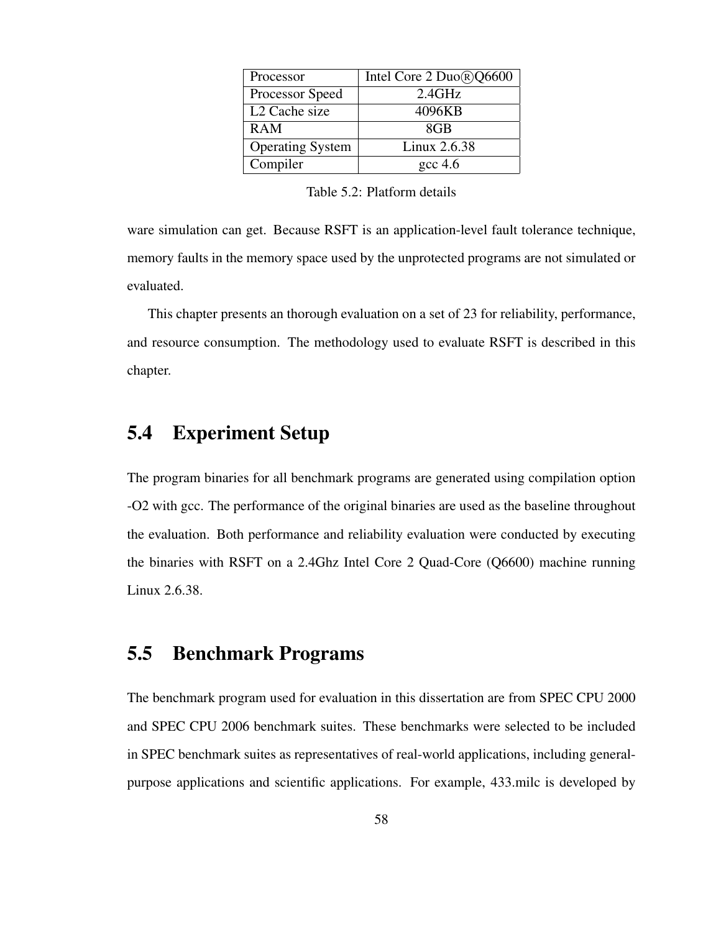| Processor                 | Intel Core 2 Duo®Q6600 |
|---------------------------|------------------------|
| Processor Speed           | 2.4GHz                 |
| L <sub>2</sub> Cache size | 4096KB                 |
| <b>RAM</b>                | 8GB                    |
| <b>Operating System</b>   | Linux 2.6.38           |
| Compiler                  | $\csc 4.6$             |

ware simulation can get. Because RSFT is an application-level fault tolerance technique, memory faults in the memory space used by the unprotected programs are not simulated or evaluated.

This chapter presents an thorough evaluation on a set of 23 for reliability, performance, and resource consumption. The methodology used to evaluate RSFT is described in this chapter.

### 5.4 Experiment Setup

The program binaries for all benchmark programs are generated using compilation option -O2 with gcc. The performance of the original binaries are used as the baseline throughout the evaluation. Both performance and reliability evaluation were conducted by executing the binaries with RSFT on a 2.4Ghz Intel Core 2 Quad-Core (Q6600) machine running Linux 2.6.38.

### 5.5 Benchmark Programs

The benchmark program used for evaluation in this dissertation are from SPEC CPU 2000 and SPEC CPU 2006 benchmark suites. These benchmarks were selected to be included in SPEC benchmark suites as representatives of real-world applications, including generalpurpose applications and scientific applications. For example, 433.milc is developed by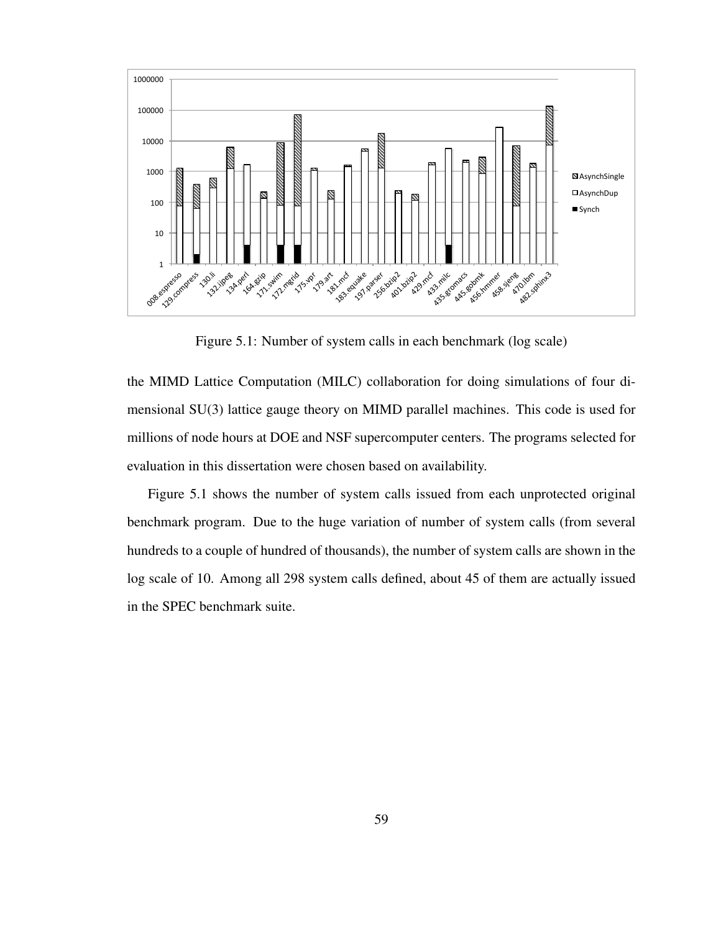

Figure 5.1: Number of system calls in each benchmark (log scale)

the MIMD Lattice Computation (MILC) collaboration for doing simulations of four dimensional SU(3) lattice gauge theory on MIMD parallel machines. This code is used for millions of node hours at DOE and NSF supercomputer centers. The programs selected for evaluation in this dissertation were chosen based on availability.

Figure 5.1 shows the number of system calls issued from each unprotected original benchmark program. Due to the huge variation of number of system calls (from several hundreds to a couple of hundred of thousands), the number of system calls are shown in the log scale of 10. Among all 298 system calls defined, about 45 of them are actually issued in the SPEC benchmark suite.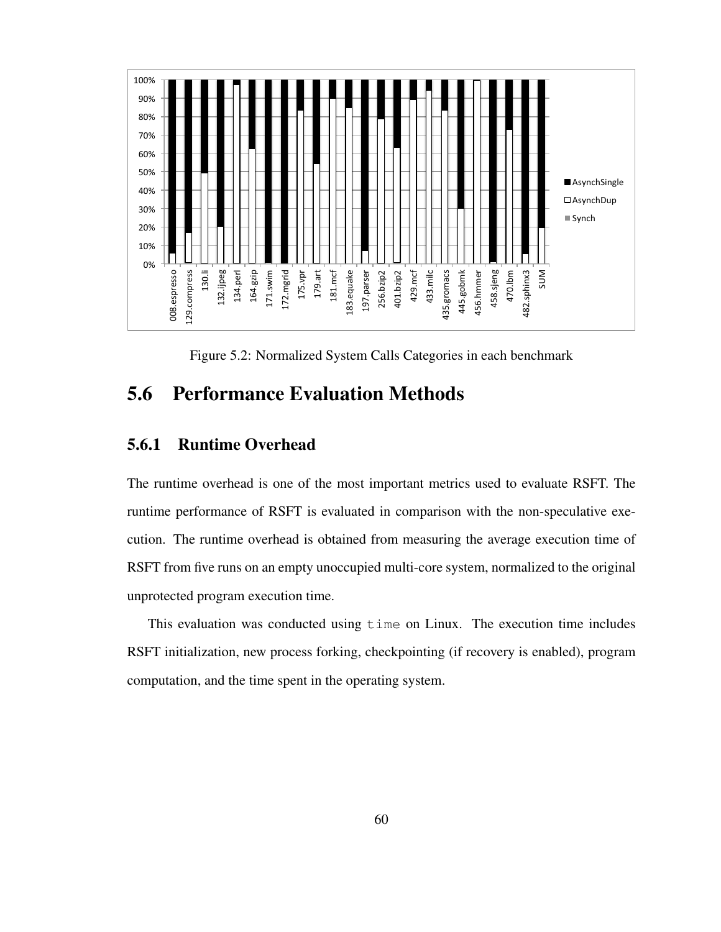

Figure 5.2: Normalized System Calls Categories in each benchmark

## 5.6 Performance Evaluation Methods

### 5.6.1 Runtime Overhead

The runtime overhead is one of the most important metrics used to evaluate RSFT. The runtime performance of RSFT is evaluated in comparison with the non-speculative execution. The runtime overhead is obtained from measuring the average execution time of RSFT from five runs on an empty unoccupied multi-core system, normalized to the original unprotected program execution time.

This evaluation was conducted using time on Linux. The execution time includes RSFT initialization, new process forking, checkpointing (if recovery is enabled), program computation, and the time spent in the operating system.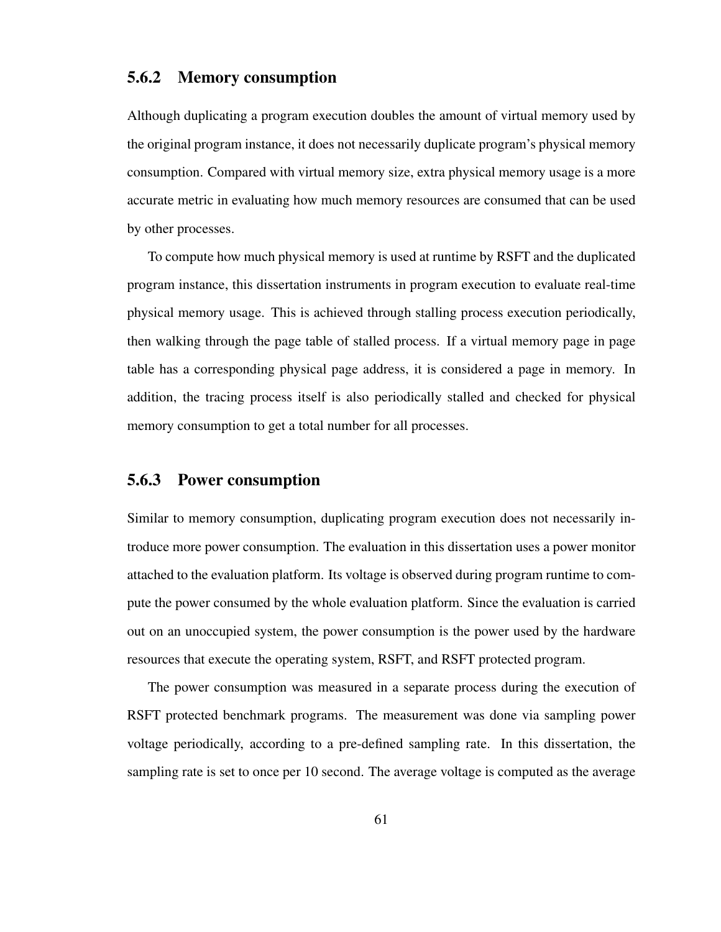### 5.6.2 Memory consumption

Although duplicating a program execution doubles the amount of virtual memory used by the original program instance, it does not necessarily duplicate program's physical memory consumption. Compared with virtual memory size, extra physical memory usage is a more accurate metric in evaluating how much memory resources are consumed that can be used by other processes.

To compute how much physical memory is used at runtime by RSFT and the duplicated program instance, this dissertation instruments in program execution to evaluate real-time physical memory usage. This is achieved through stalling process execution periodically, then walking through the page table of stalled process. If a virtual memory page in page table has a corresponding physical page address, it is considered a page in memory. In addition, the tracing process itself is also periodically stalled and checked for physical memory consumption to get a total number for all processes.

## 5.6.3 Power consumption

Similar to memory consumption, duplicating program execution does not necessarily introduce more power consumption. The evaluation in this dissertation uses a power monitor attached to the evaluation platform. Its voltage is observed during program runtime to compute the power consumed by the whole evaluation platform. Since the evaluation is carried out on an unoccupied system, the power consumption is the power used by the hardware resources that execute the operating system, RSFT, and RSFT protected program.

The power consumption was measured in a separate process during the execution of RSFT protected benchmark programs. The measurement was done via sampling power voltage periodically, according to a pre-defined sampling rate. In this dissertation, the sampling rate is set to once per 10 second. The average voltage is computed as the average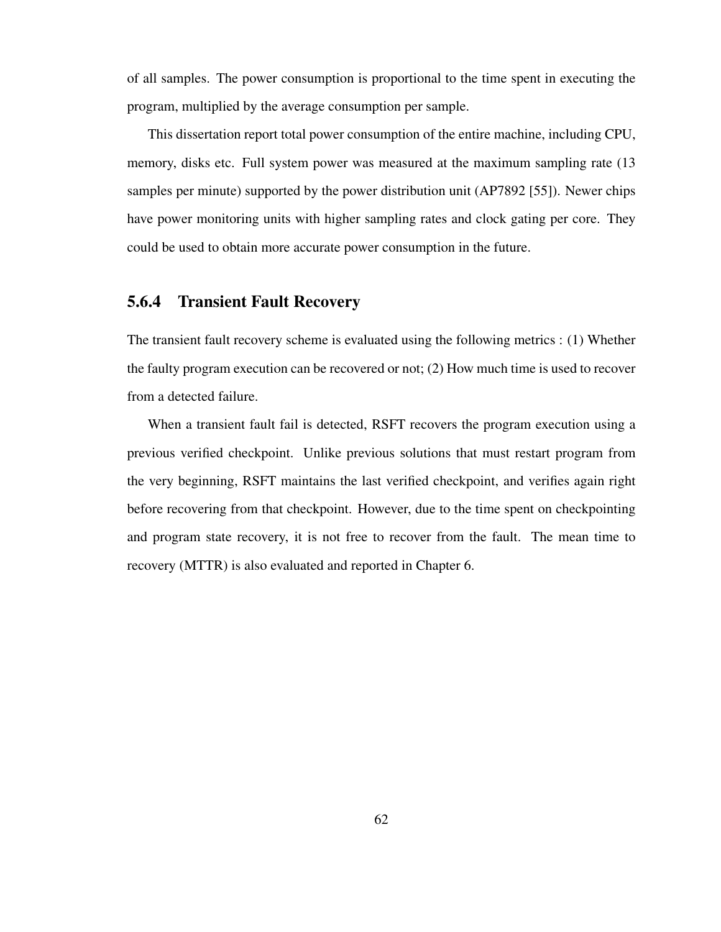of all samples. The power consumption is proportional to the time spent in executing the program, multiplied by the average consumption per sample.

This dissertation report total power consumption of the entire machine, including CPU, memory, disks etc. Full system power was measured at the maximum sampling rate (13 samples per minute) supported by the power distribution unit (AP7892 [55]). Newer chips have power monitoring units with higher sampling rates and clock gating per core. They could be used to obtain more accurate power consumption in the future.

#### 5.6.4 Transient Fault Recovery

The transient fault recovery scheme is evaluated using the following metrics : (1) Whether the faulty program execution can be recovered or not; (2) How much time is used to recover from a detected failure.

When a transient fault fail is detected, RSFT recovers the program execution using a previous verified checkpoint. Unlike previous solutions that must restart program from the very beginning, RSFT maintains the last verified checkpoint, and verifies again right before recovering from that checkpoint. However, due to the time spent on checkpointing and program state recovery, it is not free to recover from the fault. The mean time to recovery (MTTR) is also evaluated and reported in Chapter 6.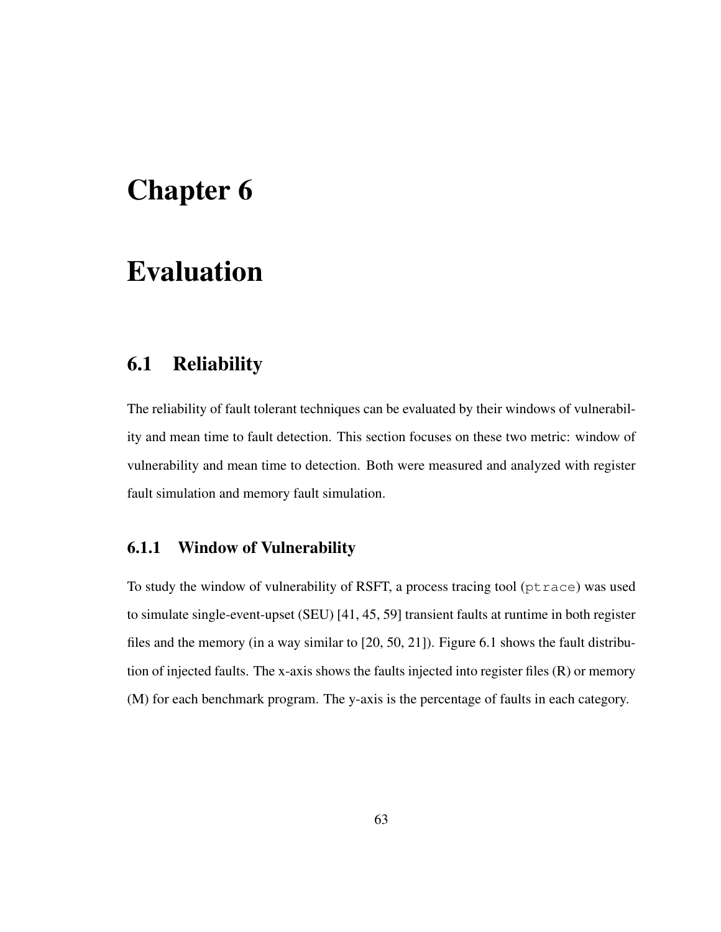# Chapter 6

# Evaluation

## 6.1 Reliability

The reliability of fault tolerant techniques can be evaluated by their windows of vulnerability and mean time to fault detection. This section focuses on these two metric: window of vulnerability and mean time to detection. Both were measured and analyzed with register fault simulation and memory fault simulation.

### 6.1.1 Window of Vulnerability

To study the window of vulnerability of RSFT, a process tracing tool (ptrace) was used to simulate single-event-upset (SEU) [41, 45, 59] transient faults at runtime in both register files and the memory (in a way similar to [20, 50, 21]). Figure 6.1 shows the fault distribution of injected faults. The x-axis shows the faults injected into register files (R) or memory (M) for each benchmark program. The y-axis is the percentage of faults in each category.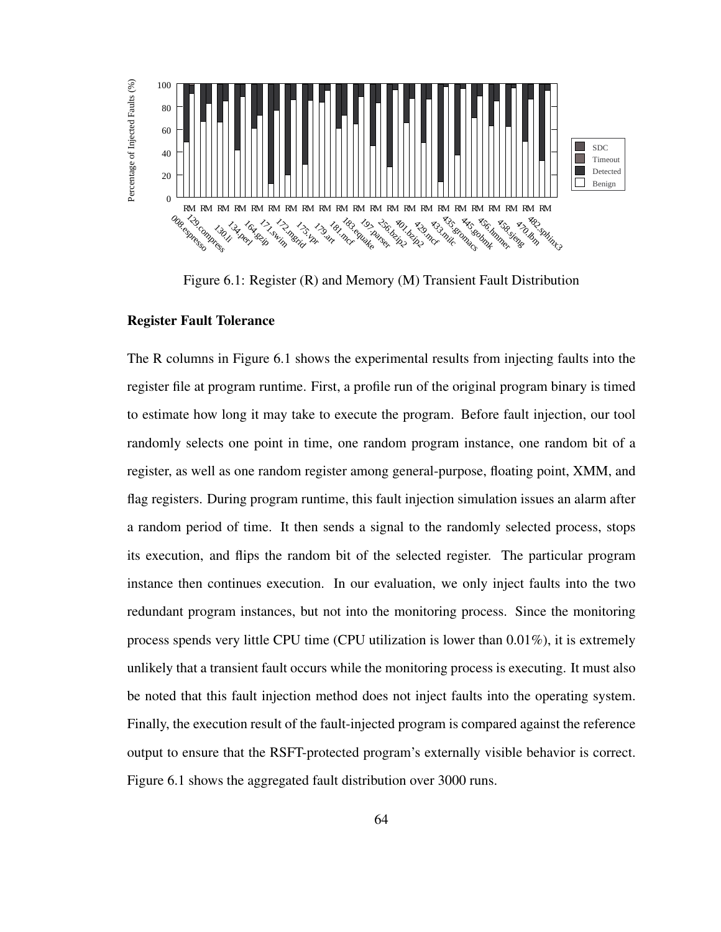

Figure 6.1: Register (R) and Memory (M) Transient Fault Distribution

#### Register Fault Tolerance

The R columns in Figure 6.1 shows the experimental results from injecting faults into the register file at program runtime. First, a profile run of the original program binary is timed to estimate how long it may take to execute the program. Before fault injection, our tool randomly selects one point in time, one random program instance, one random bit of a register, as well as one random register among general-purpose, floating point, XMM, and flag registers. During program runtime, this fault injection simulation issues an alarm after a random period of time. It then sends a signal to the randomly selected process, stops its execution, and flips the random bit of the selected register. The particular program instance then continues execution. In our evaluation, we only inject faults into the two redundant program instances, but not into the monitoring process. Since the monitoring process spends very little CPU time (CPU utilization is lower than 0.01%), it is extremely unlikely that a transient fault occurs while the monitoring process is executing. It must also be noted that this fault injection method does not inject faults into the operating system. Finally, the execution result of the fault-injected program is compared against the reference output to ensure that the RSFT-protected program's externally visible behavior is correct. Figure 6.1 shows the aggregated fault distribution over 3000 runs.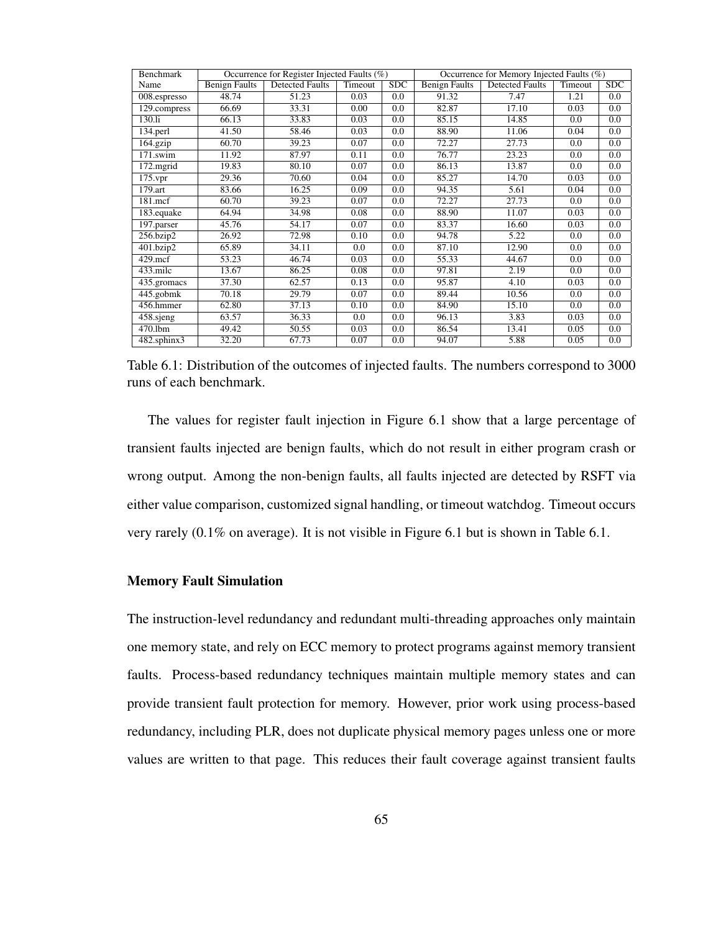| Benchmark       | Occurrence for Register Injected Faults (%) |                        |         |     | Occurrence for Memory Injected Faults (%) |                        |         |     |
|-----------------|---------------------------------------------|------------------------|---------|-----|-------------------------------------------|------------------------|---------|-----|
| Name            | <b>Benign Faults</b>                        | <b>Detected Faults</b> | Timeout | SDC | <b>Benign Faults</b>                      | <b>Detected Faults</b> | Timeout | SDC |
| 008.espresso    | 48.74                                       | 51.23                  | 0.03    | 0.0 | 91.32                                     | 7.47                   | 1.21    | 0.0 |
| 129.compress    | 66.69                                       | 33.31                  | 0.00    | 0.0 | 82.87                                     | 17.10                  | 0.03    | 0.0 |
| 130.li          | 66.13                                       | 33.83                  | 0.03    | 0.0 | 85.15                                     | 14.85                  | 0.0     | 0.0 |
| 134.perl        | 41.50                                       | 58.46                  | 0.03    | 0.0 | 88.90                                     | 11.06                  | 0.04    | 0.0 |
| 164.gzip        | 60.70                                       | 39.23                  | 0.07    | 0.0 | 72.27                                     | 27.73                  | 0.0     | 0.0 |
| 171.swim        | 11.92                                       | 87.97                  | 0.11    | 0.0 | 76.77                                     | 23.23                  | 0.0     | 0.0 |
| 172.mgrid       | 19.83                                       | 80.10                  | 0.07    | 0.0 | 86.13                                     | 13.87                  | 0.0     | 0.0 |
| 175.vpr         | 29.36                                       | 70.60                  | 0.04    | 0.0 | 85.27                                     | 14.70                  | 0.03    | 0.0 |
| 179.art         | 83.66                                       | 16.25                  | 0.09    | 0.0 | 94.35                                     | 5.61                   | 0.04    | 0.0 |
| 181.mcf         | 60.70                                       | 39.23                  | 0.07    | 0.0 | 72.27                                     | 27.73                  | 0.0     | 0.0 |
| 183.equake      | 64.94                                       | 34.98                  | 0.08    | 0.0 | 88.90                                     | 11.07                  | 0.03    | 0.0 |
| 197.parser      | 45.76                                       | 54.17                  | 0.07    | 0.0 | 83.37                                     | 16.60                  | 0.03    | 0.0 |
| $256.$ bzip $2$ | 26.92                                       | 72.98                  | 0.10    | 0.0 | 94.78                                     | 5.22                   | 0.0     | 0.0 |
| 401.bzip2       | 65.89                                       | 34.11                  | 0.0     | 0.0 | 87.10                                     | 12.90                  | 0.0     | 0.0 |
| $429$ .mcf      | 53.23                                       | 46.74                  | 0.03    | 0.0 | 55.33                                     | 44.67                  | 0.0     | 0.0 |
| $433$ .milc     | 13.67                                       | 86.25                  | 0.08    | 0.0 | 97.81                                     | 2.19                   | 0.0     | 0.0 |
| 435.gromacs     | 37.30                                       | 62.57                  | 0.13    | 0.0 | 95.87                                     | 4.10                   | 0.03    | 0.0 |
| 445.gobmk       | 70.18                                       | 29.79                  | 0.07    | 0.0 | 89.44                                     | 10.56                  | 0.0     | 0.0 |
| 456.hmmer       | 62.80                                       | 37.13                  | 0.10    | 0.0 | 84.90                                     | 15.10                  | 0.0     | 0.0 |
| 458 sjeng       | 63.57                                       | 36.33                  | 0.0     | 0.0 | 96.13                                     | 3.83                   | 0.03    | 0.0 |
| 470.1bm         | 49.42                                       | 50.55                  | 0.03    | 0.0 | 86.54                                     | 13.41                  | 0.05    | 0.0 |
| 482.sphinx3     | 32.20                                       | 67.73                  | 0.07    | 0.0 | 94.07                                     | 5.88                   | 0.05    | 0.0 |

Table 6.1: Distribution of the outcomes of injected faults. The numbers correspond to 3000 runs of each benchmark.

The values for register fault injection in Figure 6.1 show that a large percentage of transient faults injected are benign faults, which do not result in either program crash or wrong output. Among the non-benign faults, all faults injected are detected by RSFT via either value comparison, customized signal handling, or timeout watchdog. Timeout occurs very rarely (0.1% on average). It is not visible in Figure 6.1 but is shown in Table 6.1.

#### Memory Fault Simulation

The instruction-level redundancy and redundant multi-threading approaches only maintain one memory state, and rely on ECC memory to protect programs against memory transient faults. Process-based redundancy techniques maintain multiple memory states and can provide transient fault protection for memory. However, prior work using process-based redundancy, including PLR, does not duplicate physical memory pages unless one or more values are written to that page. This reduces their fault coverage against transient faults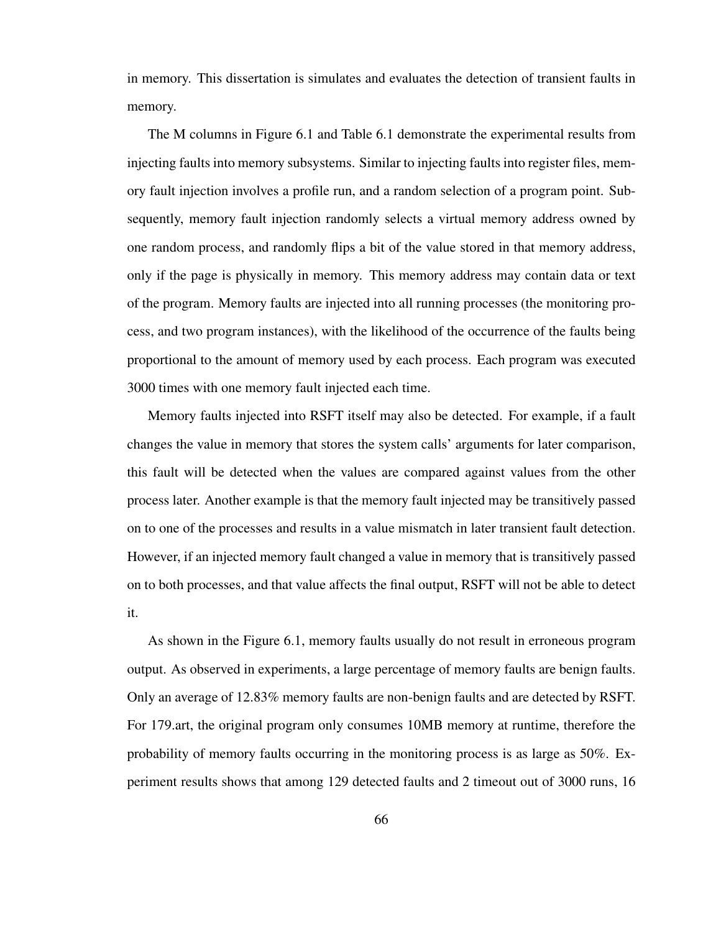in memory. This dissertation is simulates and evaluates the detection of transient faults in memory.

The M columns in Figure 6.1 and Table 6.1 demonstrate the experimental results from injecting faults into memory subsystems. Similar to injecting faults into register files, memory fault injection involves a profile run, and a random selection of a program point. Subsequently, memory fault injection randomly selects a virtual memory address owned by one random process, and randomly flips a bit of the value stored in that memory address, only if the page is physically in memory. This memory address may contain data or text of the program. Memory faults are injected into all running processes (the monitoring process, and two program instances), with the likelihood of the occurrence of the faults being proportional to the amount of memory used by each process. Each program was executed 3000 times with one memory fault injected each time.

Memory faults injected into RSFT itself may also be detected. For example, if a fault changes the value in memory that stores the system calls' arguments for later comparison, this fault will be detected when the values are compared against values from the other process later. Another example is that the memory fault injected may be transitively passed on to one of the processes and results in a value mismatch in later transient fault detection. However, if an injected memory fault changed a value in memory that is transitively passed on to both processes, and that value affects the final output, RSFT will not be able to detect it.

As shown in the Figure 6.1, memory faults usually do not result in erroneous program output. As observed in experiments, a large percentage of memory faults are benign faults. Only an average of 12.83% memory faults are non-benign faults and are detected by RSFT. For 179.art, the original program only consumes 10MB memory at runtime, therefore the probability of memory faults occurring in the monitoring process is as large as 50%. Experiment results shows that among 129 detected faults and 2 timeout out of 3000 runs, 16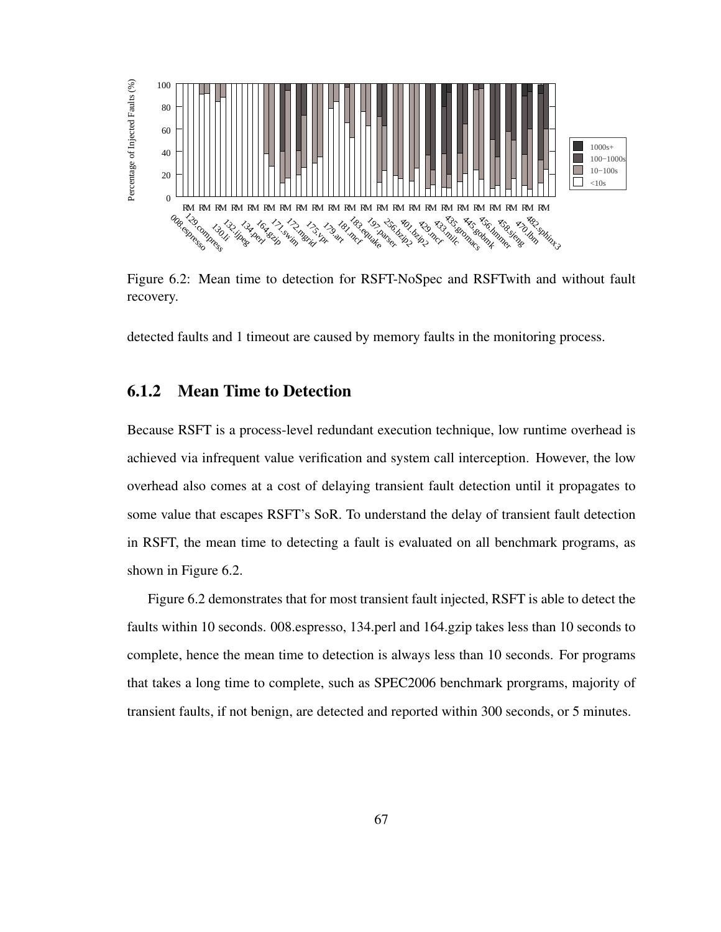

Figure 6.2: Mean time to detection for RSFT-NoSpec and RSFTwith and without fault recovery.

detected faults and 1 timeout are caused by memory faults in the monitoring process.

### 6.1.2 Mean Time to Detection

Because RSFT is a process-level redundant execution technique, low runtime overhead is achieved via infrequent value verification and system call interception. However, the low overhead also comes at a cost of delaying transient fault detection until it propagates to some value that escapes RSFT's SoR. To understand the delay of transient fault detection in RSFT, the mean time to detecting a fault is evaluated on all benchmark programs, as shown in Figure 6.2.

Figure 6.2 demonstrates that for most transient fault injected, RSFT is able to detect the faults within 10 seconds. 008.espresso, 134.perl and 164.gzip takes less than 10 seconds to complete, hence the mean time to detection is always less than 10 seconds. For programs that takes a long time to complete, such as SPEC2006 benchmark prorgrams, majority of transient faults, if not benign, are detected and reported within 300 seconds, or 5 minutes.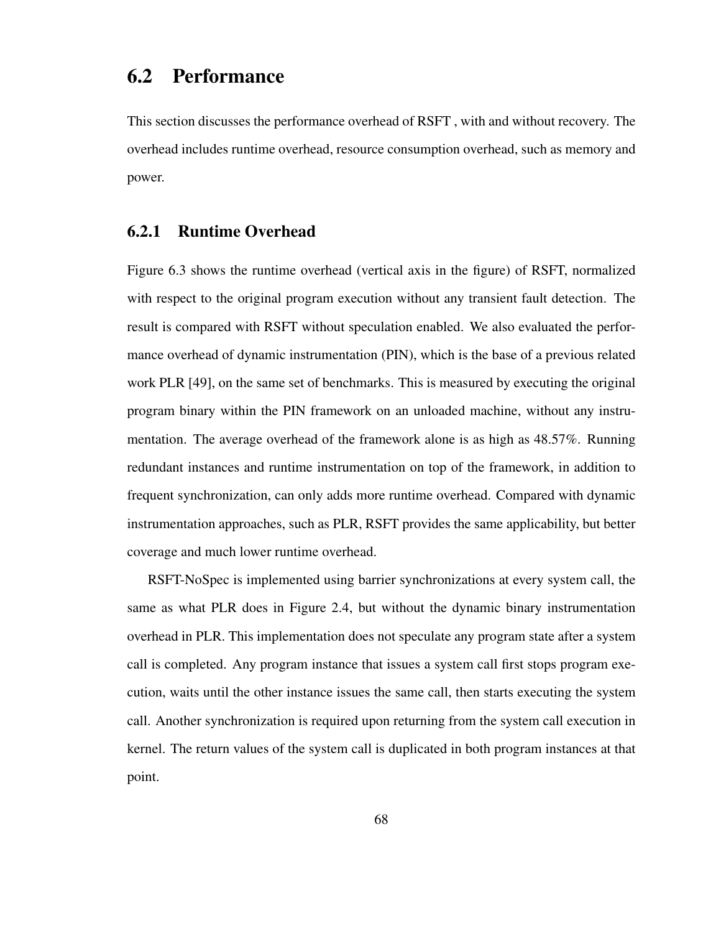## 6.2 Performance

This section discusses the performance overhead of RSFT , with and without recovery. The overhead includes runtime overhead, resource consumption overhead, such as memory and power.

#### 6.2.1 Runtime Overhead

Figure 6.3 shows the runtime overhead (vertical axis in the figure) of RSFT, normalized with respect to the original program execution without any transient fault detection. The result is compared with RSFT without speculation enabled. We also evaluated the performance overhead of dynamic instrumentation (PIN), which is the base of a previous related work PLR [49], on the same set of benchmarks. This is measured by executing the original program binary within the PIN framework on an unloaded machine, without any instrumentation. The average overhead of the framework alone is as high as 48.57%. Running redundant instances and runtime instrumentation on top of the framework, in addition to frequent synchronization, can only adds more runtime overhead. Compared with dynamic instrumentation approaches, such as PLR, RSFT provides the same applicability, but better coverage and much lower runtime overhead.

RSFT-NoSpec is implemented using barrier synchronizations at every system call, the same as what PLR does in Figure 2.4, but without the dynamic binary instrumentation overhead in PLR. This implementation does not speculate any program state after a system call is completed. Any program instance that issues a system call first stops program execution, waits until the other instance issues the same call, then starts executing the system call. Another synchronization is required upon returning from the system call execution in kernel. The return values of the system call is duplicated in both program instances at that point.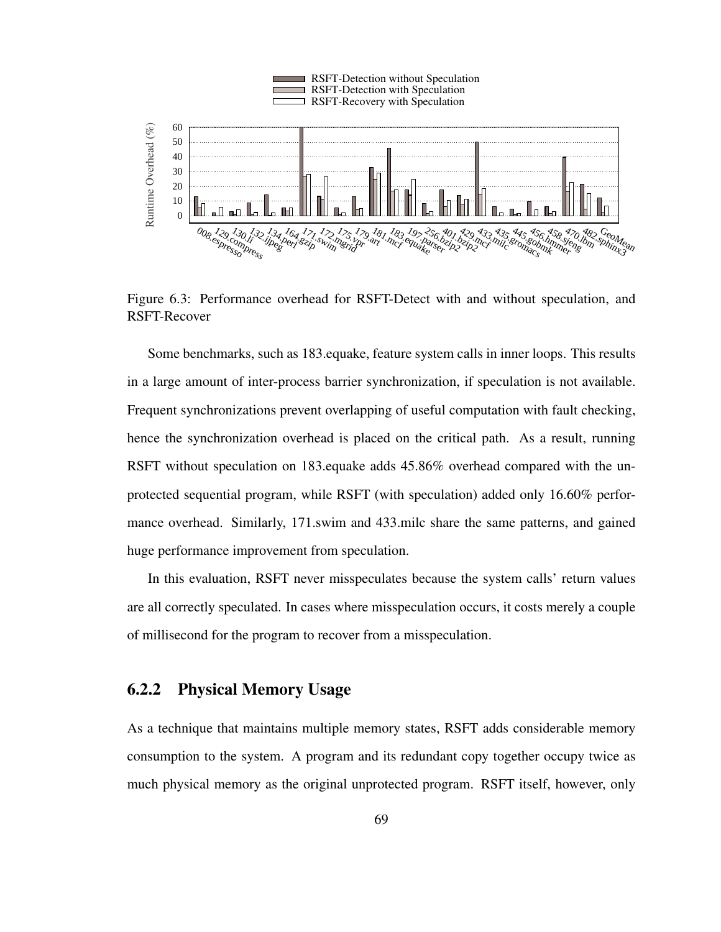

Figure 6.3: Performance overhead for RSFT-Detect with and without speculation, and RSFT-Recover

Some benchmarks, such as 183.equake, feature system calls in inner loops. This results in a large amount of inter-process barrier synchronization, if speculation is not available. Frequent synchronizations prevent overlapping of useful computation with fault checking, hence the synchronization overhead is placed on the critical path. As a result, running RSFT without speculation on 183.equake adds 45.86% overhead compared with the unprotected sequential program, while RSFT (with speculation) added only 16.60% performance overhead. Similarly, 171.swim and 433.milc share the same patterns, and gained huge performance improvement from speculation.

In this evaluation, RSFT never misspeculates because the system calls' return values are all correctly speculated. In cases where misspeculation occurs, it costs merely a couple of millisecond for the program to recover from a misspeculation.

#### 6.2.2 Physical Memory Usage

As a technique that maintains multiple memory states, RSFT adds considerable memory consumption to the system. A program and its redundant copy together occupy twice as much physical memory as the original unprotected program. RSFT itself, however, only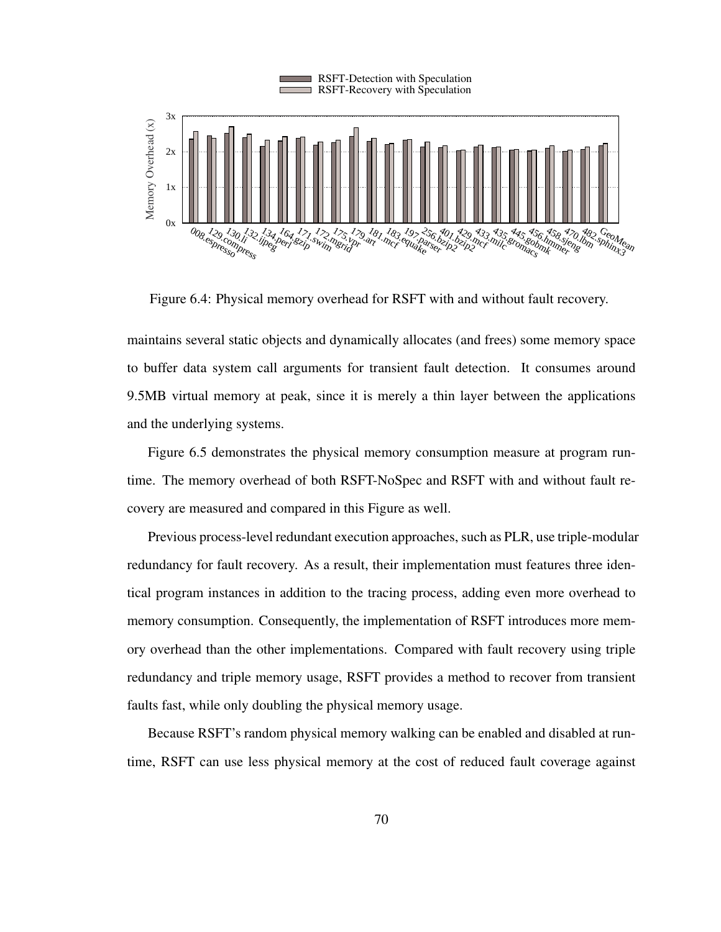

Figure 6.4: Physical memory overhead for RSFT with and without fault recovery.

maintains several static objects and dynamically allocates (and frees) some memory space to buffer data system call arguments for transient fault detection. It consumes around 9.5MB virtual memory at peak, since it is merely a thin layer between the applications and the underlying systems.

Figure 6.5 demonstrates the physical memory consumption measure at program runtime. The memory overhead of both RSFT-NoSpec and RSFT with and without fault recovery are measured and compared in this Figure as well.

Previous process-level redundant execution approaches, such as PLR, use triple-modular redundancy for fault recovery. As a result, their implementation must features three identical program instances in addition to the tracing process, adding even more overhead to memory consumption. Consequently, the implementation of RSFT introduces more memory overhead than the other implementations. Compared with fault recovery using triple redundancy and triple memory usage, RSFT provides a method to recover from transient faults fast, while only doubling the physical memory usage.

Because RSFT's random physical memory walking can be enabled and disabled at runtime, RSFT can use less physical memory at the cost of reduced fault coverage against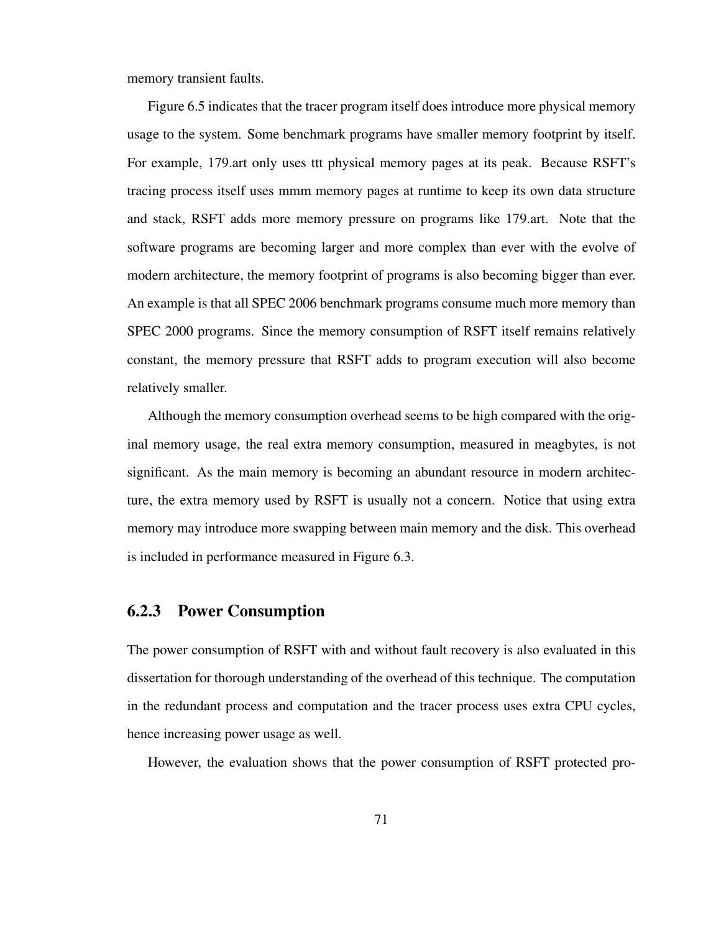memory transient faults.

Figure 6.5 indicates that the tracer program itself does introduce more physical memory usage to the system. Some benchmark programs have smaller memory footprint by itself. For example, 179.art only uses ttt physical memory pages at its peak. Because RSFT's tracing process itself uses mmm memory pages at runtime to keep its own data structure and stack, RSFT adds more memory pressure on programs like 179.art. Note that the software programs are becoming larger and more complex than ever with the evolve of modern architecture, the memory footprint of programs is also becoming bigger than ever. An example is that all SPEC 2006 benchmark programs consume much more memory than SPEC 2000 programs. Since the memory consumption of RSFT itself remains relatively constant, the memory pressure that RSFT adds to program execution will also become relatively smaller.

Although the memory consumption overhead seems to be high compared with the original memory usage, the real extra memory consumption, measured in meagbytes, is not significant. As the main memory is becoming an abundant resource in modern architecture, the extra memory used by RSFT is usually not a concern. Notice that using extra memory may introduce more swapping between main memory and the disk. This overhead is included in performance measured in Figure 6.3.

### 6.2.3 Power Consumption

The power consumption of RSFT with and without fault recovery is also evaluated in this dissertation for thorough understanding of the overhead of this technique. The computation in the redundant process and computation and the tracer process uses extra CPU cycles, hence increasing power usage as well.

However, the evaluation shows that the power consumption of RSFT protected pro-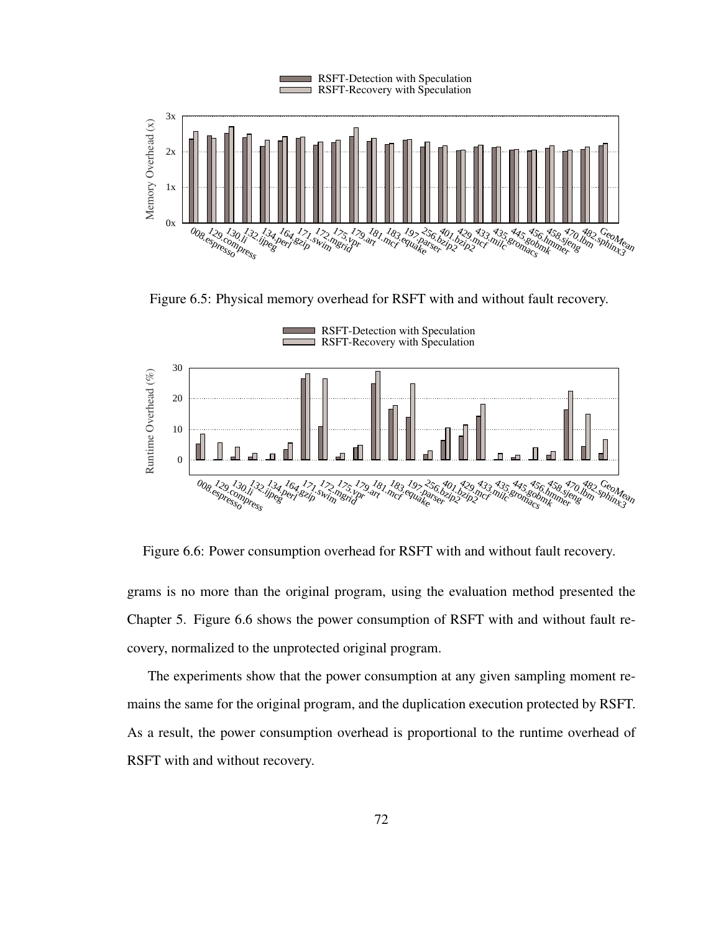

Figure 6.5: Physical memory overhead for RSFT with and without fault recovery.



Figure 6.6: Power consumption overhead for RSFT with and without fault recovery.

grams is no more than the original program, using the evaluation method presented the Chapter 5. Figure 6.6 shows the power consumption of RSFT with and without fault recovery, normalized to the unprotected original program.

The experiments show that the power consumption at any given sampling moment remains the same for the original program, and the duplication execution protected by RSFT. As a result, the power consumption overhead is proportional to the runtime overhead of RSFT with and without recovery.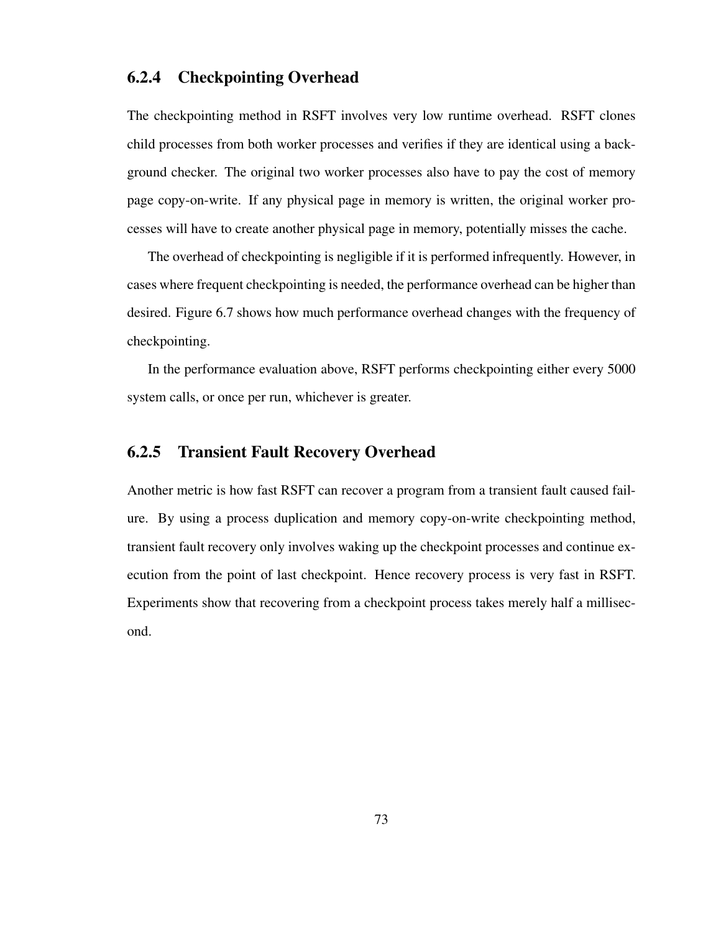### 6.2.4 Checkpointing Overhead

The checkpointing method in RSFT involves very low runtime overhead. RSFT clones child processes from both worker processes and verifies if they are identical using a background checker. The original two worker processes also have to pay the cost of memory page copy-on-write. If any physical page in memory is written, the original worker processes will have to create another physical page in memory, potentially misses the cache.

The overhead of checkpointing is negligible if it is performed infrequently. However, in cases where frequent checkpointing is needed, the performance overhead can be higher than desired. Figure 6.7 shows how much performance overhead changes with the frequency of checkpointing.

In the performance evaluation above, RSFT performs checkpointing either every 5000 system calls, or once per run, whichever is greater.

#### 6.2.5 Transient Fault Recovery Overhead

Another metric is how fast RSFT can recover a program from a transient fault caused failure. By using a process duplication and memory copy-on-write checkpointing method, transient fault recovery only involves waking up the checkpoint processes and continue execution from the point of last checkpoint. Hence recovery process is very fast in RSFT. Experiments show that recovering from a checkpoint process takes merely half a millisecond.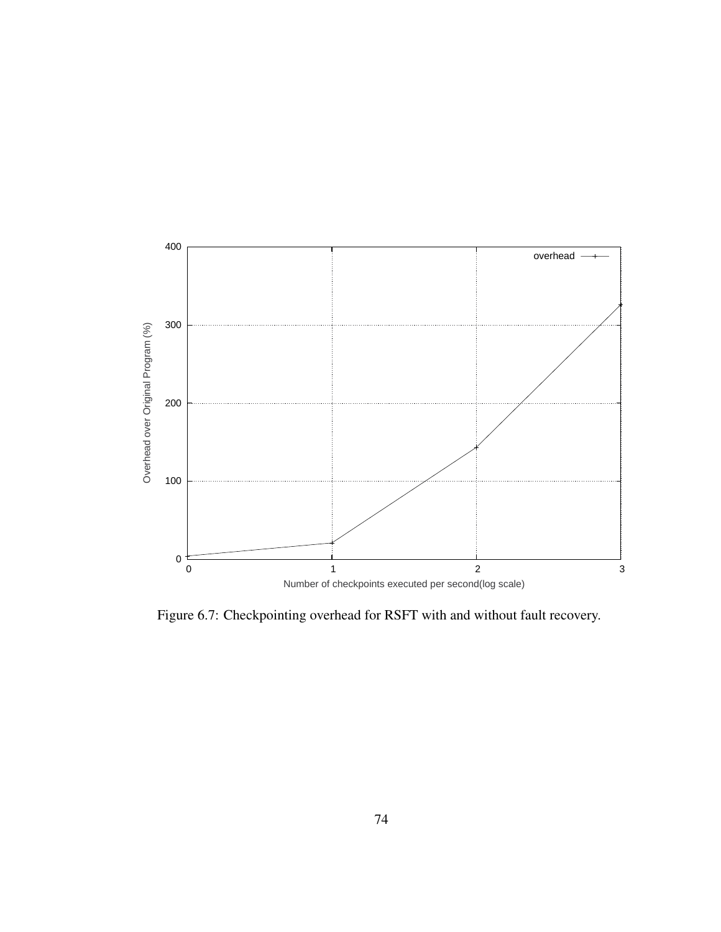

Figure 6.7: Checkpointing overhead for RSFT with and without fault recovery.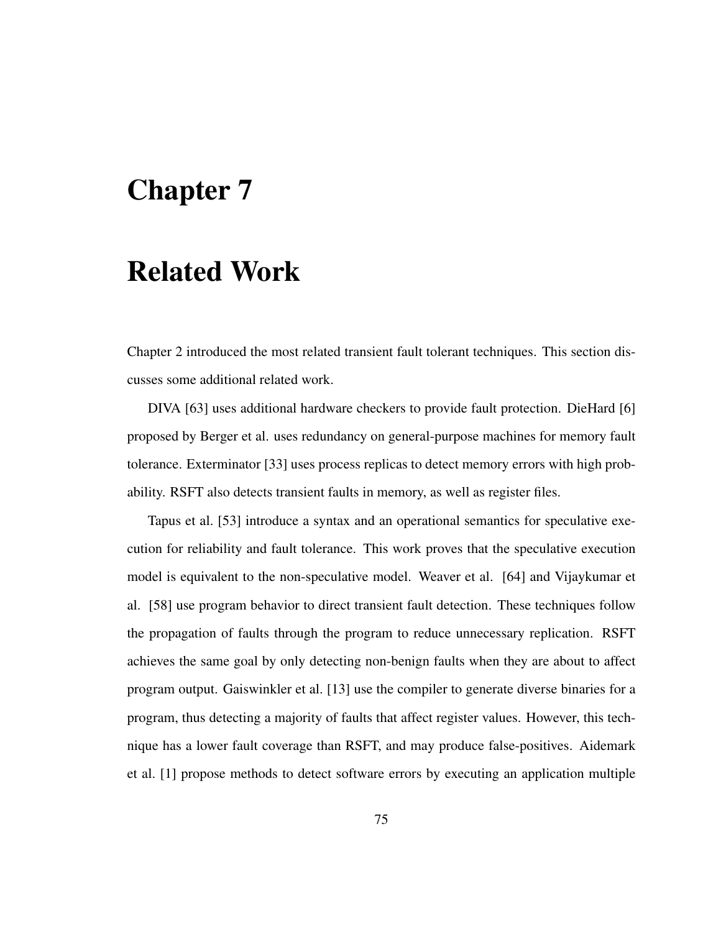# Chapter 7

## Related Work

Chapter 2 introduced the most related transient fault tolerant techniques. This section discusses some additional related work.

DIVA [63] uses additional hardware checkers to provide fault protection. DieHard [6] proposed by Berger et al. uses redundancy on general-purpose machines for memory fault tolerance. Exterminator [33] uses process replicas to detect memory errors with high probability. RSFT also detects transient faults in memory, as well as register files.

Tapus et al. [53] introduce a syntax and an operational semantics for speculative execution for reliability and fault tolerance. This work proves that the speculative execution model is equivalent to the non-speculative model. Weaver et al. [64] and Vijaykumar et al. [58] use program behavior to direct transient fault detection. These techniques follow the propagation of faults through the program to reduce unnecessary replication. RSFT achieves the same goal by only detecting non-benign faults when they are about to affect program output. Gaiswinkler et al. [13] use the compiler to generate diverse binaries for a program, thus detecting a majority of faults that affect register values. However, this technique has a lower fault coverage than RSFT, and may produce false-positives. Aidemark et al. [1] propose methods to detect software errors by executing an application multiple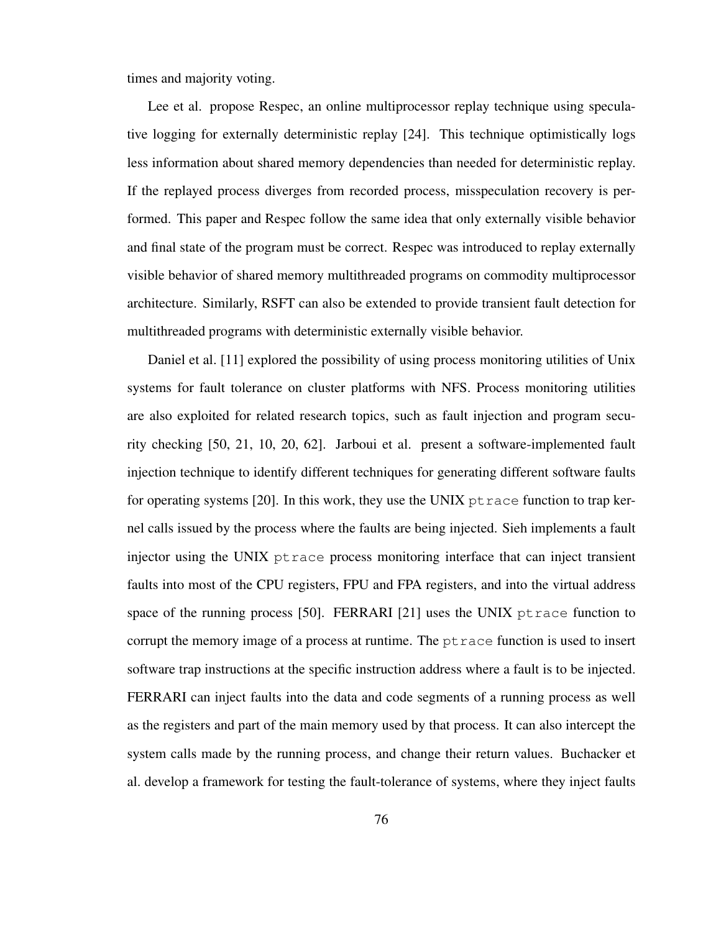times and majority voting.

Lee et al. propose Respec, an online multiprocessor replay technique using speculative logging for externally deterministic replay [24]. This technique optimistically logs less information about shared memory dependencies than needed for deterministic replay. If the replayed process diverges from recorded process, misspeculation recovery is performed. This paper and Respec follow the same idea that only externally visible behavior and final state of the program must be correct. Respec was introduced to replay externally visible behavior of shared memory multithreaded programs on commodity multiprocessor architecture. Similarly, RSFT can also be extended to provide transient fault detection for multithreaded programs with deterministic externally visible behavior.

Daniel et al. [11] explored the possibility of using process monitoring utilities of Unix systems for fault tolerance on cluster platforms with NFS. Process monitoring utilities are also exploited for related research topics, such as fault injection and program security checking [50, 21, 10, 20, 62]. Jarboui et al. present a software-implemented fault injection technique to identify different techniques for generating different software faults for operating systems [20]. In this work, they use the UNIX  $p$ t race function to trap kernel calls issued by the process where the faults are being injected. Sieh implements a fault injector using the UNIX ptrace process monitoring interface that can inject transient faults into most of the CPU registers, FPU and FPA registers, and into the virtual address space of the running process [50]. FERRARI [21] uses the UNIX ptrace function to corrupt the memory image of a process at runtime. The ptrace function is used to insert software trap instructions at the specific instruction address where a fault is to be injected. FERRARI can inject faults into the data and code segments of a running process as well as the registers and part of the main memory used by that process. It can also intercept the system calls made by the running process, and change their return values. Buchacker et al. develop a framework for testing the fault-tolerance of systems, where they inject faults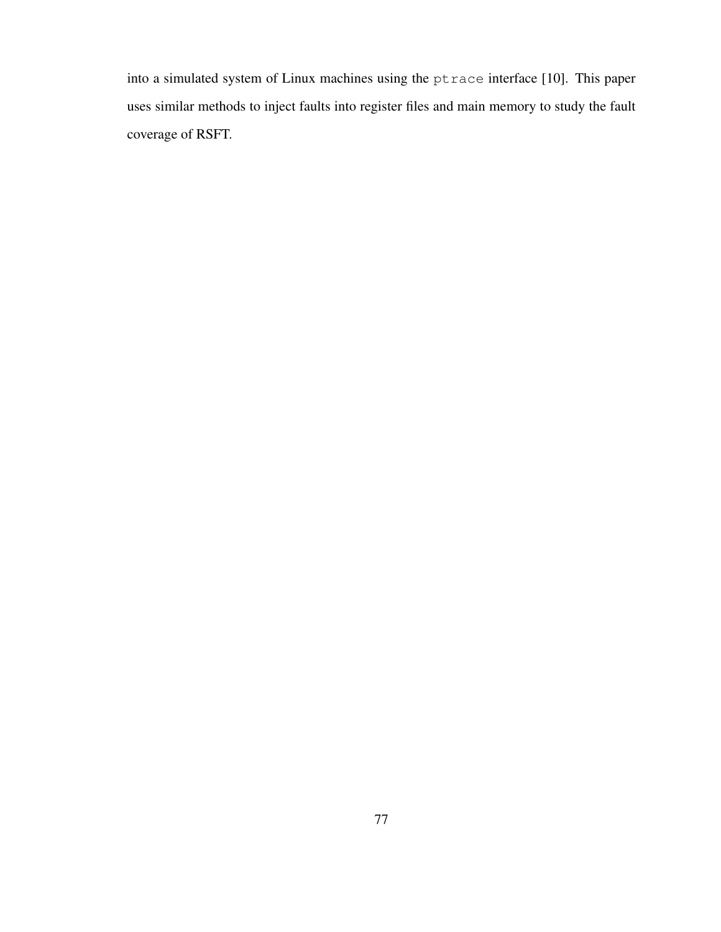into a simulated system of Linux machines using the ptrace interface [10]. This paper uses similar methods to inject faults into register files and main memory to study the fault coverage of RSFT.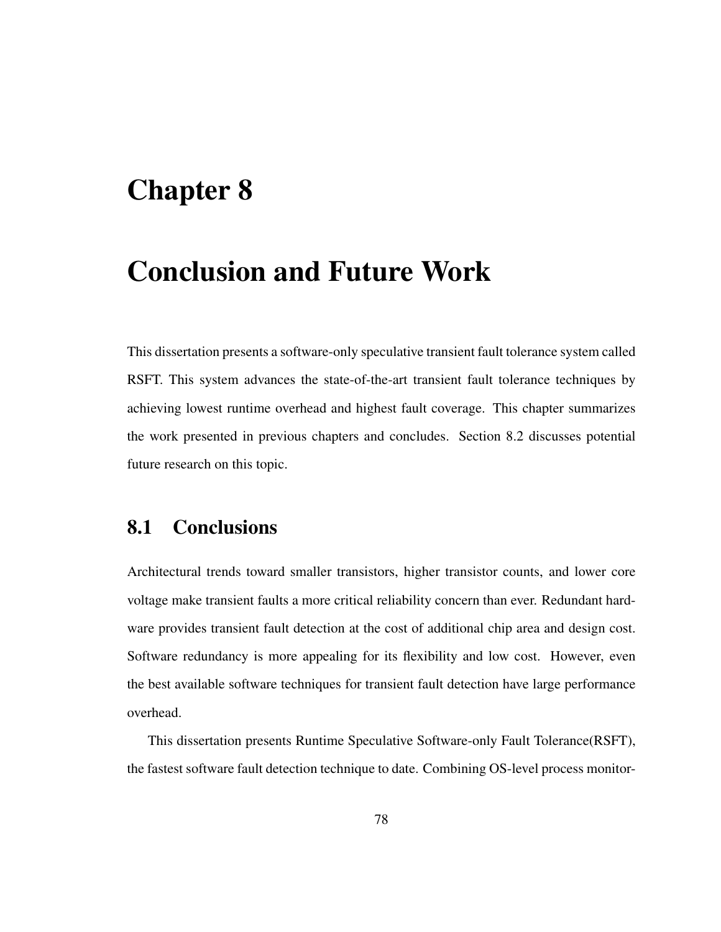# Chapter 8

# Conclusion and Future Work

This dissertation presents a software-only speculative transient fault tolerance system called RSFT. This system advances the state-of-the-art transient fault tolerance techniques by achieving lowest runtime overhead and highest fault coverage. This chapter summarizes the work presented in previous chapters and concludes. Section 8.2 discusses potential future research on this topic.

## 8.1 Conclusions

Architectural trends toward smaller transistors, higher transistor counts, and lower core voltage make transient faults a more critical reliability concern than ever. Redundant hardware provides transient fault detection at the cost of additional chip area and design cost. Software redundancy is more appealing for its flexibility and low cost. However, even the best available software techniques for transient fault detection have large performance overhead.

This dissertation presents Runtime Speculative Software-only Fault Tolerance(RSFT), the fastest software fault detection technique to date. Combining OS-level process monitor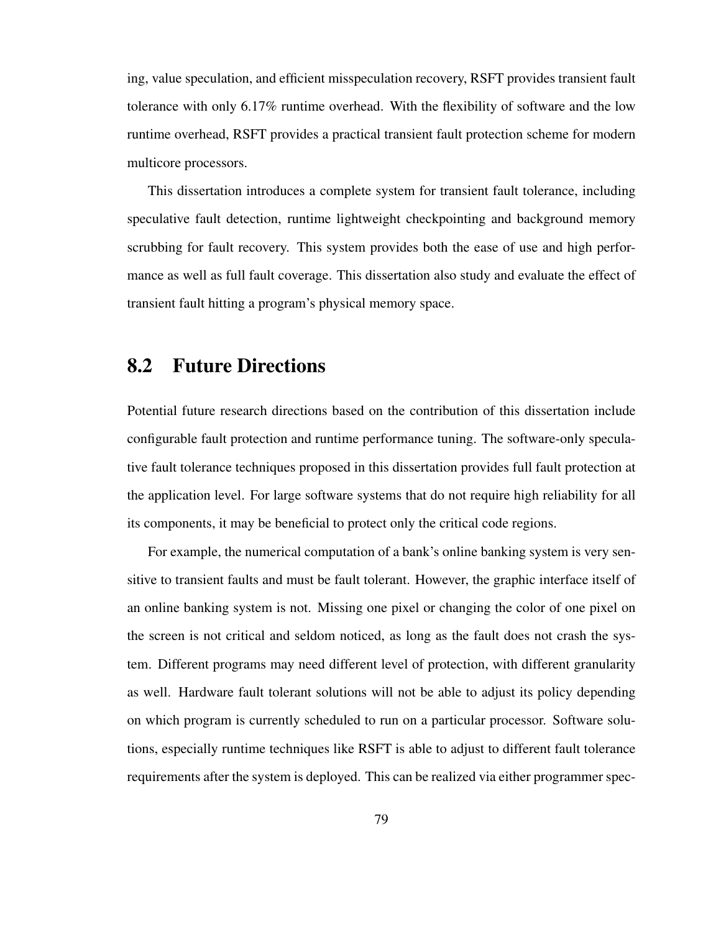ing, value speculation, and efficient misspeculation recovery, RSFT provides transient fault tolerance with only 6.17% runtime overhead. With the flexibility of software and the low runtime overhead, RSFT provides a practical transient fault protection scheme for modern multicore processors.

This dissertation introduces a complete system for transient fault tolerance, including speculative fault detection, runtime lightweight checkpointing and background memory scrubbing for fault recovery. This system provides both the ease of use and high performance as well as full fault coverage. This dissertation also study and evaluate the effect of transient fault hitting a program's physical memory space.

## 8.2 Future Directions

Potential future research directions based on the contribution of this dissertation include configurable fault protection and runtime performance tuning. The software-only speculative fault tolerance techniques proposed in this dissertation provides full fault protection at the application level. For large software systems that do not require high reliability for all its components, it may be beneficial to protect only the critical code regions.

For example, the numerical computation of a bank's online banking system is very sensitive to transient faults and must be fault tolerant. However, the graphic interface itself of an online banking system is not. Missing one pixel or changing the color of one pixel on the screen is not critical and seldom noticed, as long as the fault does not crash the system. Different programs may need different level of protection, with different granularity as well. Hardware fault tolerant solutions will not be able to adjust its policy depending on which program is currently scheduled to run on a particular processor. Software solutions, especially runtime techniques like RSFT is able to adjust to different fault tolerance requirements after the system is deployed. This can be realized via either programmer spec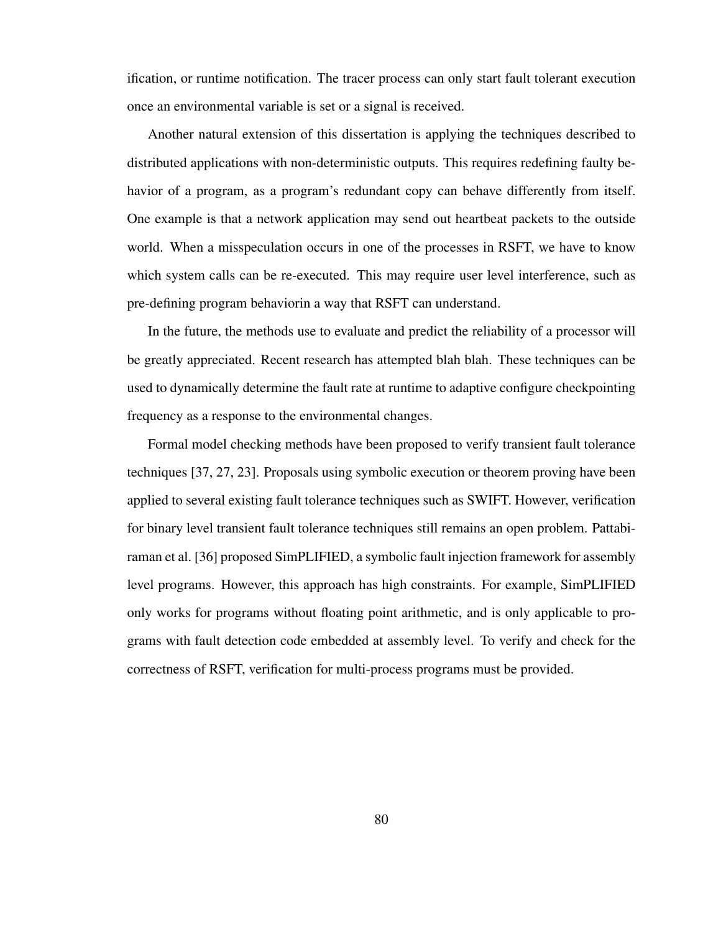ification, or runtime notification. The tracer process can only start fault tolerant execution once an environmental variable is set or a signal is received.

Another natural extension of this dissertation is applying the techniques described to distributed applications with non-deterministic outputs. This requires redefining faulty behavior of a program, as a program's redundant copy can behave differently from itself. One example is that a network application may send out heartbeat packets to the outside world. When a misspeculation occurs in one of the processes in RSFT, we have to know which system calls can be re-executed. This may require user level interference, such as pre-defining program behaviorin a way that RSFT can understand.

In the future, the methods use to evaluate and predict the reliability of a processor will be greatly appreciated. Recent research has attempted blah blah. These techniques can be used to dynamically determine the fault rate at runtime to adaptive configure checkpointing frequency as a response to the environmental changes.

Formal model checking methods have been proposed to verify transient fault tolerance techniques [37, 27, 23]. Proposals using symbolic execution or theorem proving have been applied to several existing fault tolerance techniques such as SWIFT. However, verification for binary level transient fault tolerance techniques still remains an open problem. Pattabiraman et al. [36] proposed SimPLIFIED, a symbolic fault injection framework for assembly level programs. However, this approach has high constraints. For example, SimPLIFIED only works for programs without floating point arithmetic, and is only applicable to programs with fault detection code embedded at assembly level. To verify and check for the correctness of RSFT, verification for multi-process programs must be provided.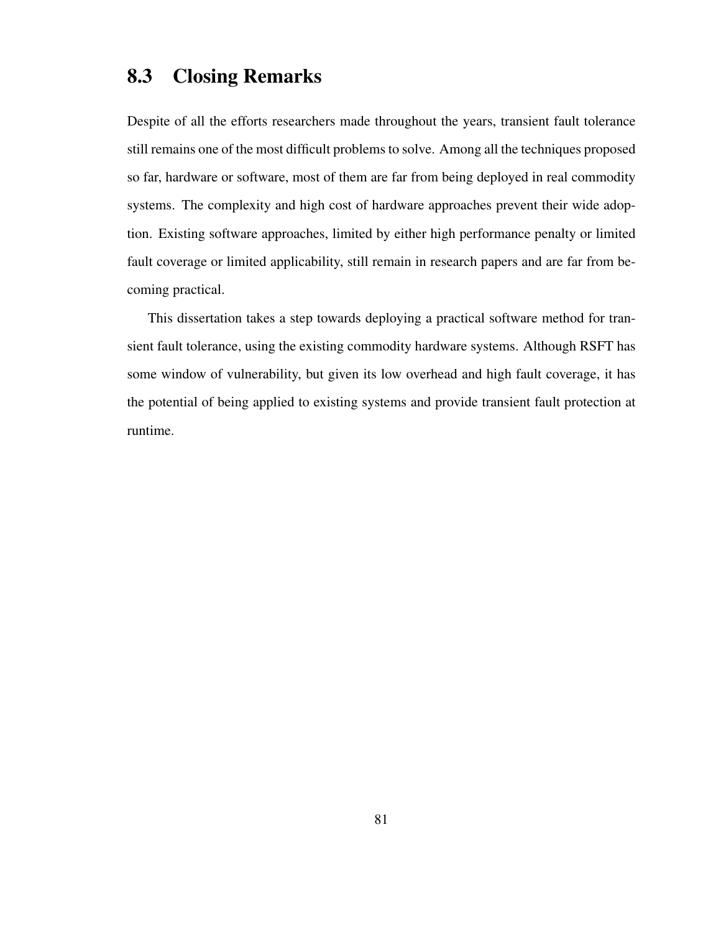## 8.3 Closing Remarks

Despite of all the efforts researchers made throughout the years, transient fault tolerance still remains one of the most difficult problems to solve. Among all the techniques proposed so far, hardware or software, most of them are far from being deployed in real commodity systems. The complexity and high cost of hardware approaches prevent their wide adoption. Existing software approaches, limited by either high performance penalty or limited fault coverage or limited applicability, still remain in research papers and are far from becoming practical.

This dissertation takes a step towards deploying a practical software method for transient fault tolerance, using the existing commodity hardware systems. Although RSFT has some window of vulnerability, but given its low overhead and high fault coverage, it has the potential of being applied to existing systems and provide transient fault protection at runtime.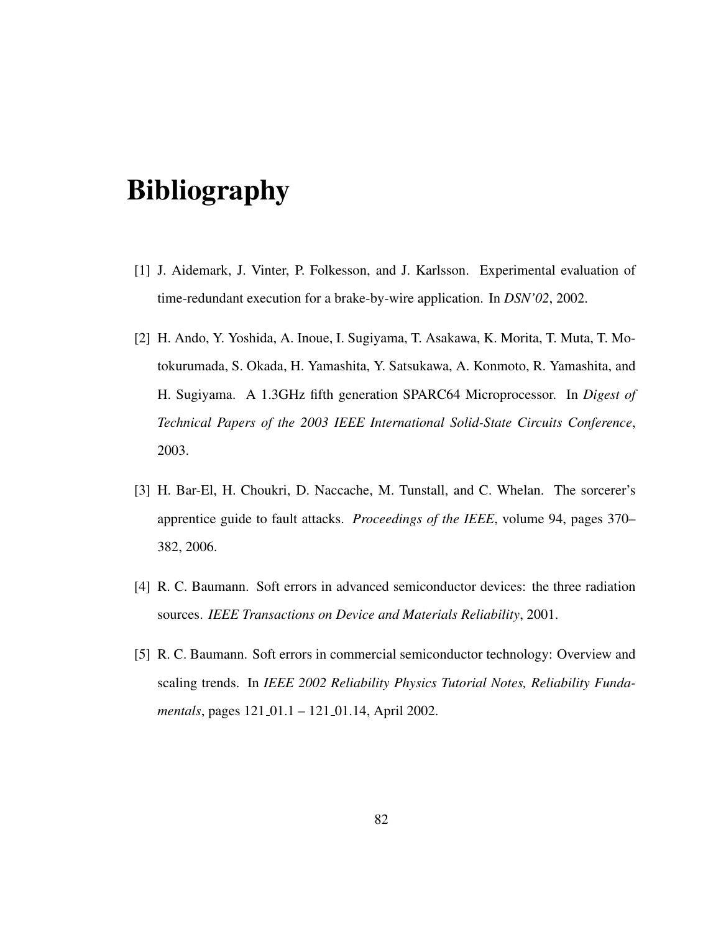# Bibliography

- [1] J. Aidemark, J. Vinter, P. Folkesson, and J. Karlsson. Experimental evaluation of time-redundant execution for a brake-by-wire application. In *DSN'02*, 2002.
- [2] H. Ando, Y. Yoshida, A. Inoue, I. Sugiyama, T. Asakawa, K. Morita, T. Muta, T. Motokurumada, S. Okada, H. Yamashita, Y. Satsukawa, A. Konmoto, R. Yamashita, and H. Sugiyama. A 1.3GHz fifth generation SPARC64 Microprocessor. In *Digest of Technical Papers of the 2003 IEEE International Solid-State Circuits Conference*, 2003.
- [3] H. Bar-El, H. Choukri, D. Naccache, M. Tunstall, and C. Whelan. The sorcerer's apprentice guide to fault attacks. *Proceedings of the IEEE*, volume 94, pages 370– 382, 2006.
- [4] R. C. Baumann. Soft errors in advanced semiconductor devices: the three radiation sources. *IEEE Transactions on Device and Materials Reliability*, 2001.
- [5] R. C. Baumann. Soft errors in commercial semiconductor technology: Overview and scaling trends. In *IEEE 2002 Reliability Physics Tutorial Notes, Reliability Fundamentals*, pages 121\_01.1 – 121\_01.14, April 2002.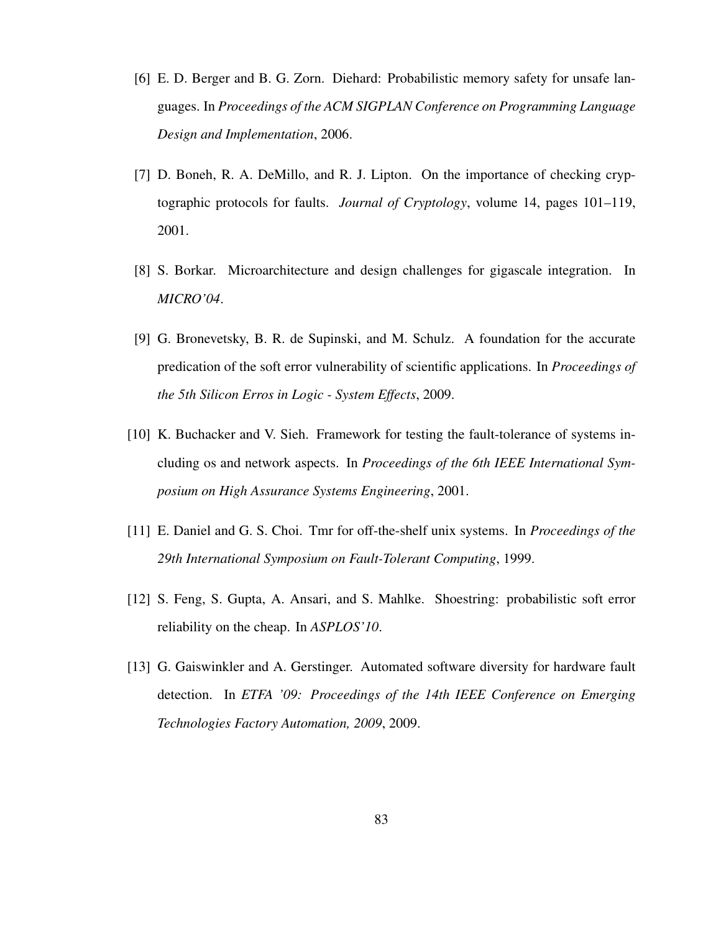- [6] E. D. Berger and B. G. Zorn. Diehard: Probabilistic memory safety for unsafe languages. In *Proceedings of the ACM SIGPLAN Conference on Programming Language Design and Implementation*, 2006.
- [7] D. Boneh, R. A. DeMillo, and R. J. Lipton. On the importance of checking cryptographic protocols for faults. *Journal of Cryptology*, volume 14, pages 101–119, 2001.
- [8] S. Borkar. Microarchitecture and design challenges for gigascale integration. In *MICRO'04*.
- [9] G. Bronevetsky, B. R. de Supinski, and M. Schulz. A foundation for the accurate predication of the soft error vulnerability of scientific applications. In *Proceedings of the 5th Silicon Erros in Logic - System Effects*, 2009.
- [10] K. Buchacker and V. Sieh. Framework for testing the fault-tolerance of systems including os and network aspects. In *Proceedings of the 6th IEEE International Symposium on High Assurance Systems Engineering*, 2001.
- [11] E. Daniel and G. S. Choi. Tmr for off-the-shelf unix systems. In *Proceedings of the 29th International Symposium on Fault-Tolerant Computing*, 1999.
- [12] S. Feng, S. Gupta, A. Ansari, and S. Mahlke. Shoestring: probabilistic soft error reliability on the cheap. In *ASPLOS'10*.
- [13] G. Gaiswinkler and A. Gerstinger. Automated software diversity for hardware fault detection. In *ETFA '09: Proceedings of the 14th IEEE Conference on Emerging Technologies Factory Automation, 2009*, 2009.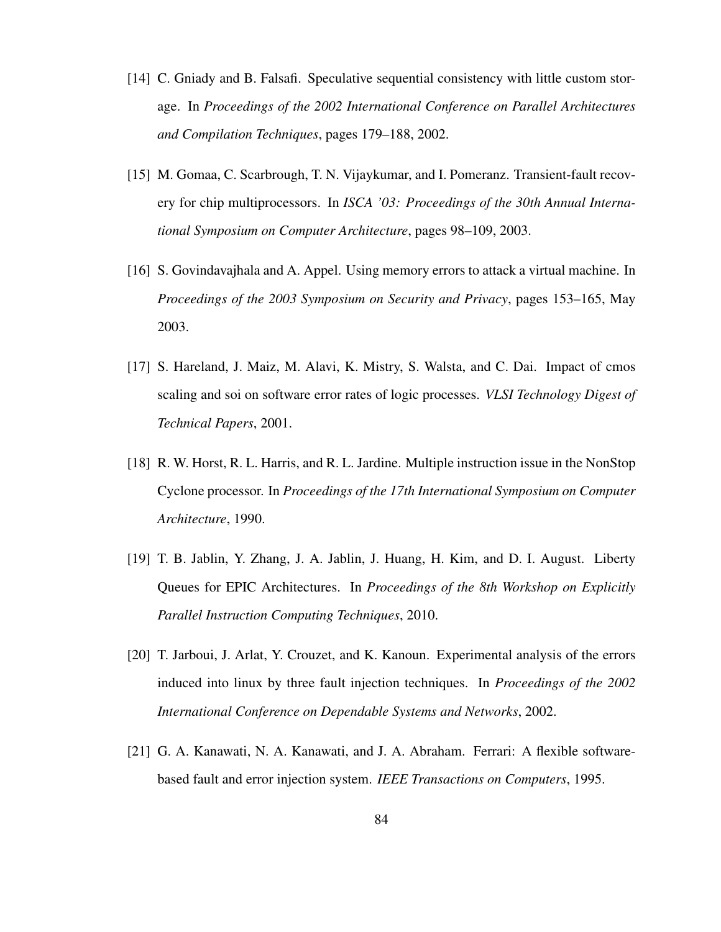- [14] C. Gniady and B. Falsafi. Speculative sequential consistency with little custom storage. In *Proceedings of the 2002 International Conference on Parallel Architectures and Compilation Techniques*, pages 179–188, 2002.
- [15] M. Gomaa, C. Scarbrough, T. N. Vijaykumar, and I. Pomeranz. Transient-fault recovery for chip multiprocessors. In *ISCA '03: Proceedings of the 30th Annual International Symposium on Computer Architecture*, pages 98–109, 2003.
- [16] S. Govindavajhala and A. Appel. Using memory errors to attack a virtual machine. In *Proceedings of the 2003 Symposium on Security and Privacy*, pages 153–165, May 2003.
- [17] S. Hareland, J. Maiz, M. Alavi, K. Mistry, S. Walsta, and C. Dai. Impact of cmos scaling and soi on software error rates of logic processes. *VLSI Technology Digest of Technical Papers*, 2001.
- [18] R. W. Horst, R. L. Harris, and R. L. Jardine. Multiple instruction issue in the NonStop Cyclone processor. In *Proceedings of the 17th International Symposium on Computer Architecture*, 1990.
- [19] T. B. Jablin, Y. Zhang, J. A. Jablin, J. Huang, H. Kim, and D. I. August. Liberty Queues for EPIC Architectures. In *Proceedings of the 8th Workshop on Explicitly Parallel Instruction Computing Techniques*, 2010.
- [20] T. Jarboui, J. Arlat, Y. Crouzet, and K. Kanoun. Experimental analysis of the errors induced into linux by three fault injection techniques. In *Proceedings of the 2002 International Conference on Dependable Systems and Networks*, 2002.
- [21] G. A. Kanawati, N. A. Kanawati, and J. A. Abraham. Ferrari: A flexible softwarebased fault and error injection system. *IEEE Transactions on Computers*, 1995.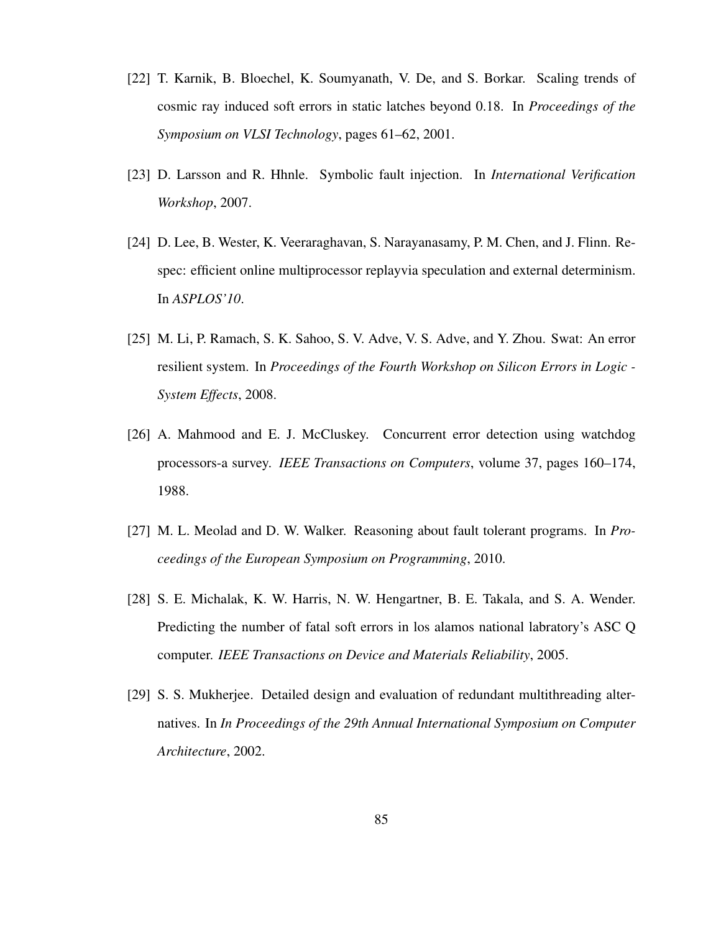- [22] T. Karnik, B. Bloechel, K. Soumyanath, V. De, and S. Borkar. Scaling trends of cosmic ray induced soft errors in static latches beyond 0.18. In *Proceedings of the Symposium on VLSI Technology*, pages 61–62, 2001.
- [23] D. Larsson and R. Hhnle. Symbolic fault injection. In *International Verification Workshop*, 2007.
- [24] D. Lee, B. Wester, K. Veeraraghavan, S. Narayanasamy, P. M. Chen, and J. Flinn. Respec: efficient online multiprocessor replayvia speculation and external determinism. In *ASPLOS'10*.
- [25] M. Li, P. Ramach, S. K. Sahoo, S. V. Adve, V. S. Adve, and Y. Zhou. Swat: An error resilient system. In *Proceedings of the Fourth Workshop on Silicon Errors in Logic - System Effects*, 2008.
- [26] A. Mahmood and E. J. McCluskey. Concurrent error detection using watchdog processors-a survey. *IEEE Transactions on Computers*, volume 37, pages 160–174, 1988.
- [27] M. L. Meolad and D. W. Walker. Reasoning about fault tolerant programs. In *Proceedings of the European Symposium on Programming*, 2010.
- [28] S. E. Michalak, K. W. Harris, N. W. Hengartner, B. E. Takala, and S. A. Wender. Predicting the number of fatal soft errors in los alamos national labratory's ASC Q computer. *IEEE Transactions on Device and Materials Reliability*, 2005.
- [29] S. S. Mukherjee. Detailed design and evaluation of redundant multithreading alternatives. In *In Proceedings of the 29th Annual International Symposium on Computer Architecture*, 2002.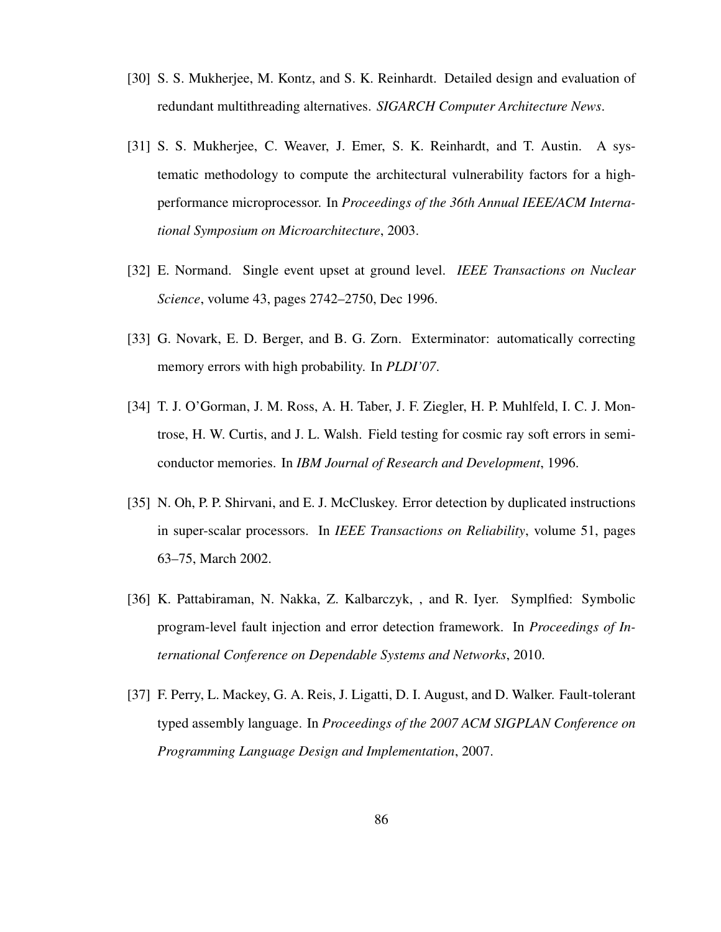- [30] S. S. Mukherjee, M. Kontz, and S. K. Reinhardt. Detailed design and evaluation of redundant multithreading alternatives. *SIGARCH Computer Architecture News*.
- [31] S. S. Mukherjee, C. Weaver, J. Emer, S. K. Reinhardt, and T. Austin. A systematic methodology to compute the architectural vulnerability factors for a highperformance microprocessor. In *Proceedings of the 36th Annual IEEE/ACM International Symposium on Microarchitecture*, 2003.
- [32] E. Normand. Single event upset at ground level. *IEEE Transactions on Nuclear Science*, volume 43, pages 2742–2750, Dec 1996.
- [33] G. Novark, E. D. Berger, and B. G. Zorn. Exterminator: automatically correcting memory errors with high probability. In *PLDI'07*.
- [34] T. J. O'Gorman, J. M. Ross, A. H. Taber, J. F. Ziegler, H. P. Muhlfeld, I. C. J. Montrose, H. W. Curtis, and J. L. Walsh. Field testing for cosmic ray soft errors in semiconductor memories. In *IBM Journal of Research and Development*, 1996.
- [35] N. Oh, P. P. Shirvani, and E. J. McCluskey. Error detection by duplicated instructions in super-scalar processors. In *IEEE Transactions on Reliability*, volume 51, pages 63–75, March 2002.
- [36] K. Pattabiraman, N. Nakka, Z. Kalbarczyk, , and R. Iyer. Symplfied: Symbolic program-level fault injection and error detection framework. In *Proceedings of International Conference on Dependable Systems and Networks*, 2010.
- [37] F. Perry, L. Mackey, G. A. Reis, J. Ligatti, D. I. August, and D. Walker. Fault-tolerant typed assembly language. In *Proceedings of the 2007 ACM SIGPLAN Conference on Programming Language Design and Implementation*, 2007.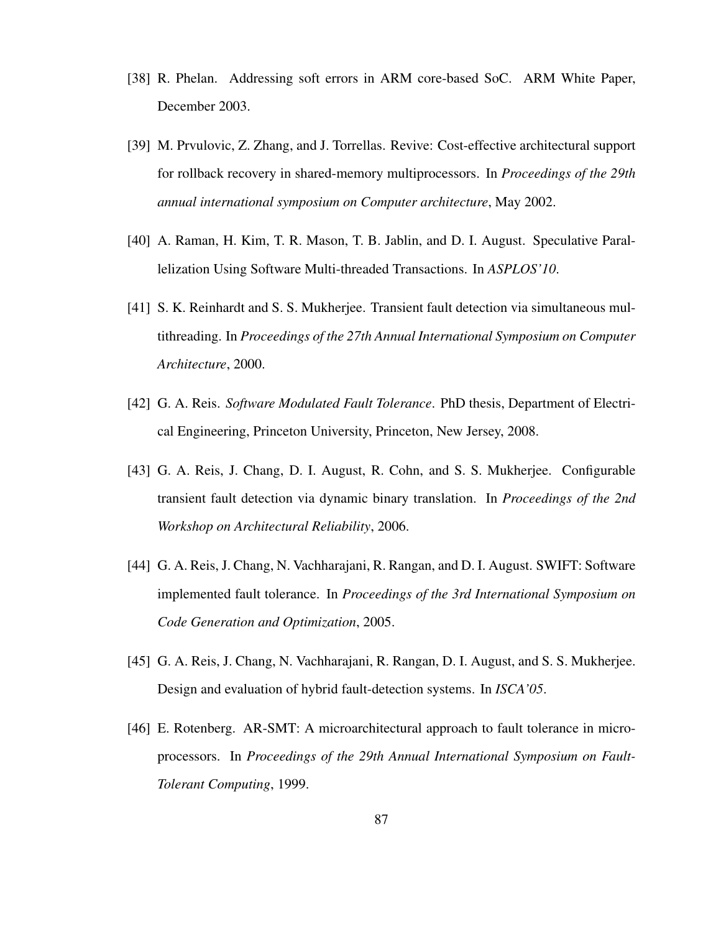- [38] R. Phelan. Addressing soft errors in ARM core-based SoC. ARM White Paper, December 2003.
- [39] M. Prvulovic, Z. Zhang, and J. Torrellas. Revive: Cost-effective architectural support for rollback recovery in shared-memory multiprocessors. In *Proceedings of the 29th annual international symposium on Computer architecture*, May 2002.
- [40] A. Raman, H. Kim, T. R. Mason, T. B. Jablin, and D. I. August. Speculative Parallelization Using Software Multi-threaded Transactions. In *ASPLOS'10*.
- [41] S. K. Reinhardt and S. S. Mukherjee. Transient fault detection via simultaneous multithreading. In *Proceedings of the 27th Annual International Symposium on Computer Architecture*, 2000.
- [42] G. A. Reis. *Software Modulated Fault Tolerance*. PhD thesis, Department of Electrical Engineering, Princeton University, Princeton, New Jersey, 2008.
- [43] G. A. Reis, J. Chang, D. I. August, R. Cohn, and S. S. Mukherjee. Configurable transient fault detection via dynamic binary translation. In *Proceedings of the 2nd Workshop on Architectural Reliability*, 2006.
- [44] G. A. Reis, J. Chang, N. Vachharajani, R. Rangan, and D. I. August. SWIFT: Software implemented fault tolerance. In *Proceedings of the 3rd International Symposium on Code Generation and Optimization*, 2005.
- [45] G. A. Reis, J. Chang, N. Vachharajani, R. Rangan, D. I. August, and S. S. Mukherjee. Design and evaluation of hybrid fault-detection systems. In *ISCA'05*.
- [46] E. Rotenberg. AR-SMT: A microarchitectural approach to fault tolerance in microprocessors. In *Proceedings of the 29th Annual International Symposium on Fault-Tolerant Computing*, 1999.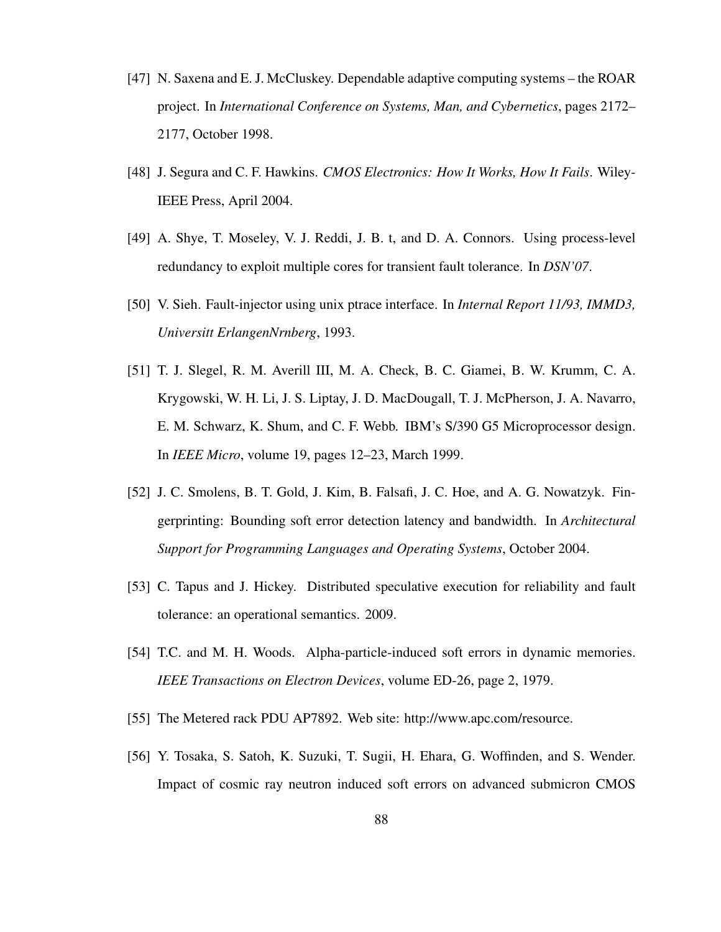- [47] N. Saxena and E. J. McCluskey. Dependable adaptive computing systems the ROAR project. In *International Conference on Systems, Man, and Cybernetics*, pages 2172– 2177, October 1998.
- [48] J. Segura and C. F. Hawkins. *CMOS Electronics: How It Works, How It Fails*. Wiley-IEEE Press, April 2004.
- [49] A. Shye, T. Moseley, V. J. Reddi, J. B. t, and D. A. Connors. Using process-level redundancy to exploit multiple cores for transient fault tolerance. In *DSN'07*.
- [50] V. Sieh. Fault-injector using unix ptrace interface. In *Internal Report 11/93, IMMD3, Universitt ErlangenNrnberg*, 1993.
- [51] T. J. Slegel, R. M. Averill III, M. A. Check, B. C. Giamei, B. W. Krumm, C. A. Krygowski, W. H. Li, J. S. Liptay, J. D. MacDougall, T. J. McPherson, J. A. Navarro, E. M. Schwarz, K. Shum, and C. F. Webb. IBM's S/390 G5 Microprocessor design. In *IEEE Micro*, volume 19, pages 12–23, March 1999.
- [52] J. C. Smolens, B. T. Gold, J. Kim, B. Falsafi, J. C. Hoe, and A. G. Nowatzyk. Fingerprinting: Bounding soft error detection latency and bandwidth. In *Architectural Support for Programming Languages and Operating Systems*, October 2004.
- [53] C. Tapus and J. Hickey. Distributed speculative execution for reliability and fault tolerance: an operational semantics. 2009.
- [54] T.C. and M. H. Woods. Alpha-particle-induced soft errors in dynamic memories. *IEEE Transactions on Electron Devices*, volume ED-26, page 2, 1979.
- [55] The Metered rack PDU AP7892. Web site: http://www.apc.com/resource.
- [56] Y. Tosaka, S. Satoh, K. Suzuki, T. Sugii, H. Ehara, G. Woffinden, and S. Wender. Impact of cosmic ray neutron induced soft errors on advanced submicron CMOS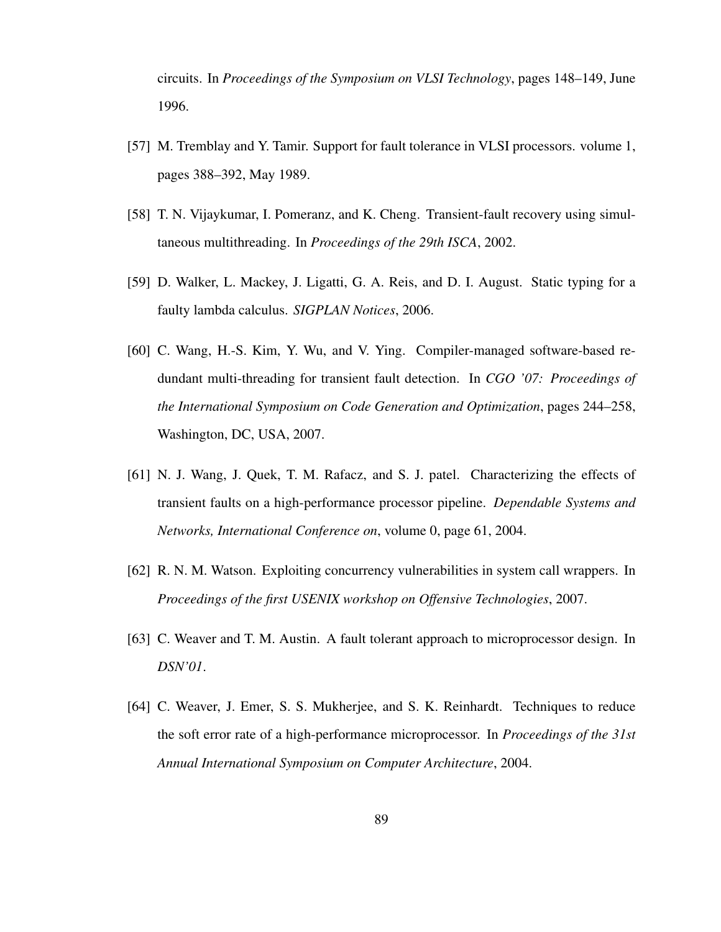circuits. In *Proceedings of the Symposium on VLSI Technology*, pages 148–149, June 1996.

- [57] M. Tremblay and Y. Tamir. Support for fault tolerance in VLSI processors. volume 1, pages 388–392, May 1989.
- [58] T. N. Vijaykumar, I. Pomeranz, and K. Cheng. Transient-fault recovery using simultaneous multithreading. In *Proceedings of the 29th ISCA*, 2002.
- [59] D. Walker, L. Mackey, J. Ligatti, G. A. Reis, and D. I. August. Static typing for a faulty lambda calculus. *SIGPLAN Notices*, 2006.
- [60] C. Wang, H.-S. Kim, Y. Wu, and V. Ying. Compiler-managed software-based redundant multi-threading for transient fault detection. In *CGO '07: Proceedings of the International Symposium on Code Generation and Optimization*, pages 244–258, Washington, DC, USA, 2007.
- [61] N. J. Wang, J. Quek, T. M. Rafacz, and S. J. patel. Characterizing the effects of transient faults on a high-performance processor pipeline. *Dependable Systems and Networks, International Conference on*, volume 0, page 61, 2004.
- [62] R. N. M. Watson. Exploiting concurrency vulnerabilities in system call wrappers. In *Proceedings of the first USENIX workshop on Offensive Technologies*, 2007.
- [63] C. Weaver and T. M. Austin. A fault tolerant approach to microprocessor design. In *DSN'01*.
- [64] C. Weaver, J. Emer, S. S. Mukherjee, and S. K. Reinhardt. Techniques to reduce the soft error rate of a high-performance microprocessor. In *Proceedings of the 31st Annual International Symposium on Computer Architecture*, 2004.